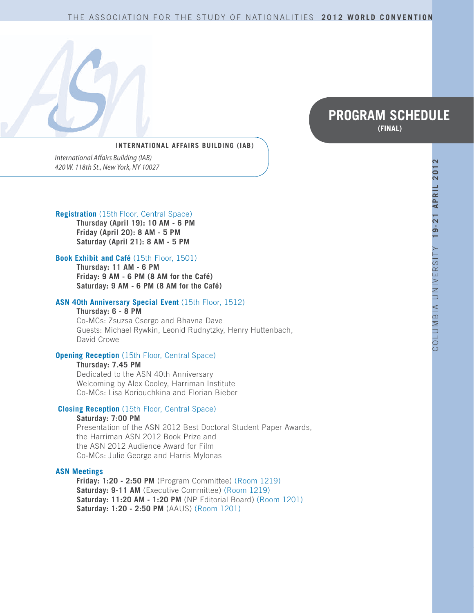#### THE ASSOCIATION FOR THE STUDY OF NATIONALITIES **2012 WORLD CONVENTION**



# **PROGRAM SCHEDULE (FINAL)**

#### **INTERNATIONAL AFFAIRS BUILDING (IAB)**

*International Affairs Building (IAB) 420 W. 118th St., New York, NY 10027*

#### **Registration** (15th Floor, Central Space)

**Thursday (April 19): 10 AM - 6 PM Friday (April 20): 8 AM - 5 PM Saturday (April 21): 8 AM - 5 PM** 

#### **Book Exhibit and Café** (15th Floor, 1501)

**Thursday: 11 AM - 6 PM Friday: 9 AM - 6 PM (8 AM for the Café) Saturday: 9 AM - 6 PM (8 AM for the Café)**

#### **ASN 40th Anniversary Special Event** (15th Floor, 1512)

**Thursday: 6 - 8 PM**  Co-MCs: Zsuzsa Csergo and Bhavna Dave

Guests: Michael Rywkin, Leonid Rudnytzky, Henry Huttenbach, David Crowe

#### **Opening Reception** (15th Floor, Central Space)

**Thursday: 7.45 PM** 

Dedicated to the ASN 40th Anniversary Welcoming by Alex Cooley, Harriman Institute Co-MCs: Lisa Koriouchkina and Florian Bieber

#### **Closing Reception** (15th Floor, Central Space)

#### **Saturday: 7:00 PM**

Presentation of the ASN 2012 Best Doctoral Student Paper Awards, the Harriman ASN 2012 Book Prize and the ASN 2012 Audience Award for Film Co-MCs: Julie George and Harris Mylonas

#### **ASN Meetings**

**Friday: 1:20 - 2:50 PM** (Program Committee) (Room 1219) **Saturday: 9-11 AM** (Executive Committee) (Room 1219) **Saturday: 11:20 AM - 1:20 PM** (NP Editorial Board) (Room 1201) **Saturday: 1:20 - 2:50 PM** (AAUS) (Room 1201)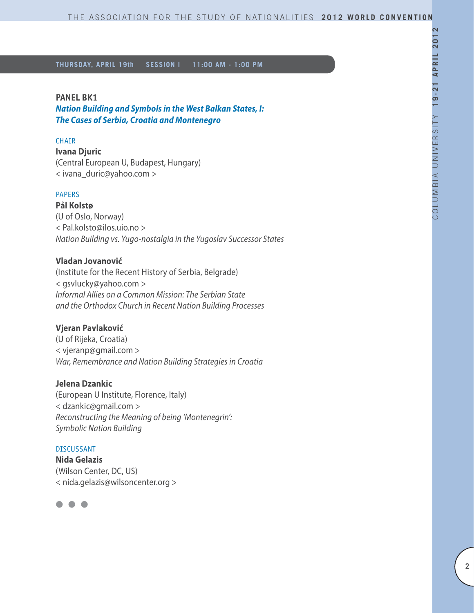#### **PANEL BK1**

*Nation Building and Symbols in the West Balkan States, I: The Cases of Serbia, Croatia and Montenegro*

#### **CHAIR**

**Ivana Djuric** (Central European U, Budapest, Hungary) < ivana\_duric@yahoo.com >

#### PAPERS

**Pål Kolstø** (U of Oslo, Norway) < Pal.kolsto@ilos.uio.no > *Nation Building vs. Yugo-nostalgia in the Yugoslav Successor States*

## **Vladan Jovanović**

(Institute for the Recent History of Serbia, Belgrade) < gsvlucky@yahoo.com > *Informal Allies on a Common Mission: The Serbian State and the Orthodox Church in Recent Nation Building Processes*

## **Vjeran Pavlaković**

(U of Rijeka, Croatia) < vjeranp@gmail.com > *War, Remembrance and Nation Building Strategies in Croatia*

# **Jelena Dzankic**

(European U Institute, Florence, Italy) < dzankic@gmail.com > *Reconstructing the Meaning of being 'Montenegrin': Symbolic Nation Building*

#### DISCUSSANT

**Nida Gelazis** (Wilson Center, DC, US) < nida.gelazis@wilsoncenter.org >

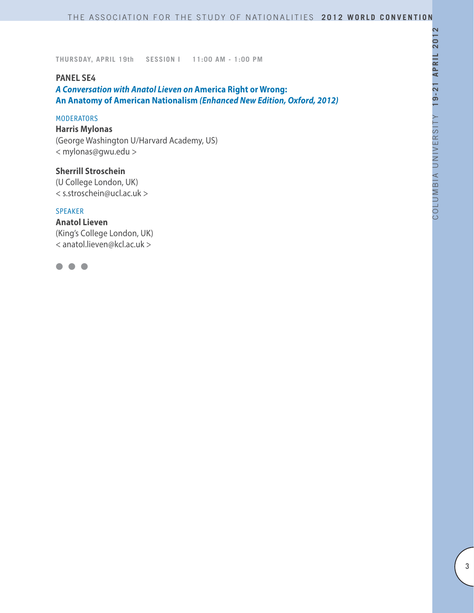## **PANEL SE4**

*A Conversation with Anatol Lieven on* **America Right or Wrong: An Anatomy of American Nationalism** *(Enhanced New Edition, Oxford, 2012)*

#### **MODERATORS**

**Harris Mylonas** (George Washington U/Harvard Academy, US) < mylonas@gwu.edu >

**Sherrill Stroschein**  (U College London, UK) < s.stroschein@ucl.ac.uk >

#### SPEAKER

**Anatol Lieven** (King's College London, UK) < anatol.lieven@kcl.ac.uk >

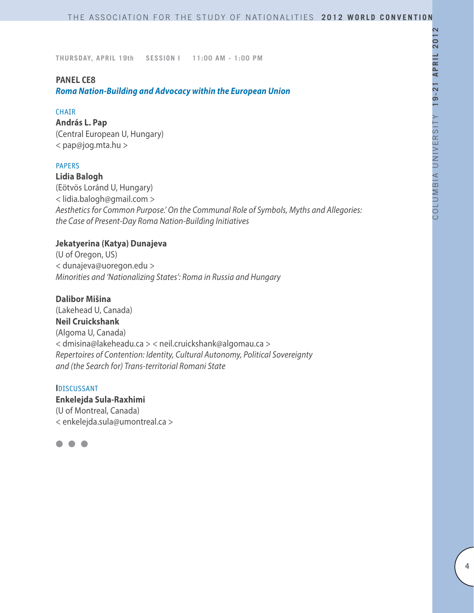#### **PANEL CE8**

*Roma Nation-Building and Advocacy within the European Union*

#### **CHAIR**

**András L. Pap** (Central European U, Hungary) < pap@jog.mta.hu >

## PAPERS

**Lidia Balogh**

(Eötvös Loránd U, Hungary) < lidia.balogh@gmail.com > *Aesthetics for Common Purpose.' On the Communal Role of Symbols, Myths and Allegories: the Case of Present-Day Roma Nation-Building Initiatives*

## **Jekatyerina (Katya) Dunajeva**

(U of Oregon, US) < dunajeva@uoregon.edu > *Minorities and 'Nationalizing States': Roma in Russia and Hungary*

## **Dalibor Mišina**

(Lakehead U, Canada) **Neil Cruickshank**  (Algoma U, Canada) < dmisina@lakeheadu.ca > < neil.cruickshank@algomau.ca > *Repertoires of Contention: Identity, Cultural Autonomy, Political Sovereignty and (the Search for) Trans-territorial Romani State*

#### **I**DISCUSSANT

**Enkelejda Sula-Raxhimi** (U of Montreal, Canada) < enkelejda.sula@umontreal.ca >

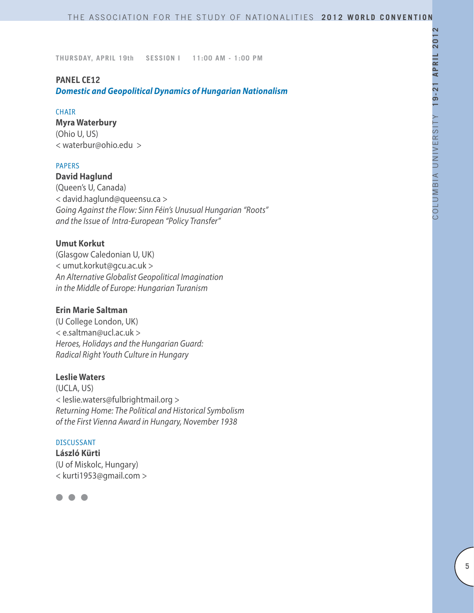## **PANEL CE12**

*Domestic and Geopolitical Dynamics of Hungarian Nationalism*

#### **CHAIR**

**Myra Waterbury**

(Ohio U, US) < waterbur@ohio.edu >

# PAPERS

**David Haglund**

(Queen's U, Canada) < david.haglund@queensu.ca > *Going Against the Flow: Sinn Féin's Unusual Hungarian "Roots" and the Issue of Intra-European "Policy Transfer"*

## **Umut Korkut**

(Glasgow Caledonian U, UK) < umut.korkut@gcu.ac.uk > *An Alternative Globalist Geopolitical Imagination in the Middle of Europe: Hungarian Turanism*

# **Erin Marie Saltman**

(U College London, UK) < e.saltman@ucl.ac.uk > *Heroes, Holidays and the Hungarian Guard: Radical Right Youth Culture in Hungary*

## **Leslie Waters**

(UCLA, US) < leslie.waters@fulbrightmail.org > *Returning Home: The Political and Historical Symbolism of the First Vienna Award in Hungary, November 1938*

## DISCUSSANT

**László Kürti** (U of Miskolc, Hungary) < kurti1953@gmail.com >

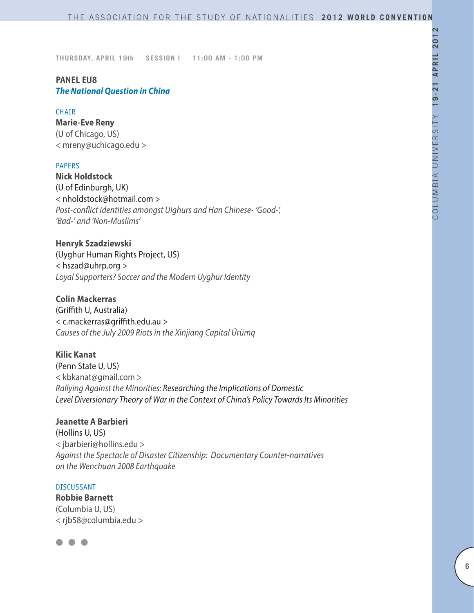# **PANEL EU8** *The National Question in China*

#### **CHAIR**

**Marie-Eve Reny** (U of Chicago, US) < mreny@uchicago.edu >

#### PAPERS

**Nick Holdstock** (U of Edinburgh, UK) < nholdstock@hotmail.com > *Post-conflict identities amongst Uighurs and Han Chinese- 'Good-', 'Bad-' and 'Non-Muslims'* 

**Henryk Szadziewski**

(Uyghur Human Rights Project, US) < hszad@uhrp.org > *Loyal Supporters? Soccer and the Modern Uyghur Identity*

## **Colin Mackerras**

(Griffith U, Australia) < c.mackerras@griffith.edu.au > *Causes of the July 2009 Riots in the Xinjiang Capital Ürümq*

#### **Kilic Kanat**

(Penn State U, US) < kbkanat@gmail.com > *Rallying Against the Minorities: Researching the Implications of Domestic Level Diversionary Theory of War in the Context of China's Policy Towards Its Minorities*

# **Jeanette A Barbieri**

(Hollins U, US) < jbarbieri@hollins.edu > *Against the Spectacle of Disaster Citizenship: Documentary Counter-narratives on the Wenchuan 2008 Earthquake*

#### DISCUSSANT

**Robbie Barnett** (Columbia U, US) < rjb58@columbia.edu >

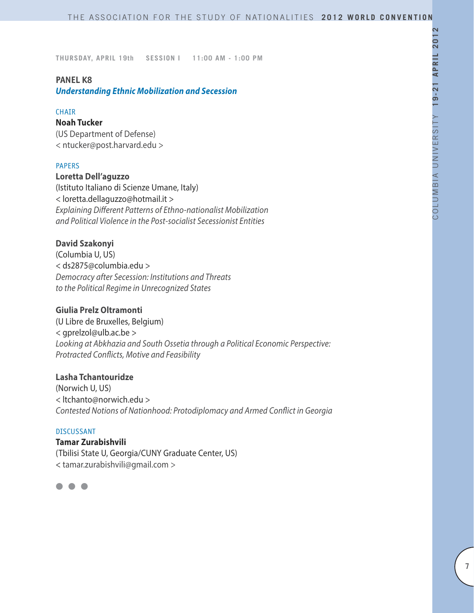## **PANEL K8**

*Understanding Ethnic Mobilization and Secession*

#### CHAIR

#### **Noah Tucker**

(US Department of Defense) < ntucker@post.harvard.edu >

## PAPERS

## **Loretta Dell'aguzzo**

(Istituto Italiano di Scienze Umane, Italy) < loretta.dellaguzzo@hotmail.it > *Explaining Different Patterns of Ethno-nationalist Mobilization and Political Violence in the Post-socialist Secessionist Entities* 

## **David Szakonyi**

(Columbia U, US) < ds2875@columbia.edu > *Democracy after Secession: Institutions and Threats to the Political Regime in Unrecognized States*

## **Giulia Prelz Oltramonti**

(U Libre de Bruxelles, Belgium) < gprelzol@ulb.ac.be > *Looking at Abkhazia and South Ossetia through a Political Economic Perspective: Protracted Conflicts, Motive and Feasibility*

## **Lasha Tchantouridze**

(Norwich U, US) < ltchanto@norwich.edu > *Contested Notions of Nationhood: Protodiplomacy and Armed Conflict in Georgia*

#### DISCUSSANT

**Tamar Zurabishvili** (Tbilisi State U, Georgia/CUNY Graduate Center, US) < tamar.zurabishvili@gmail.com >

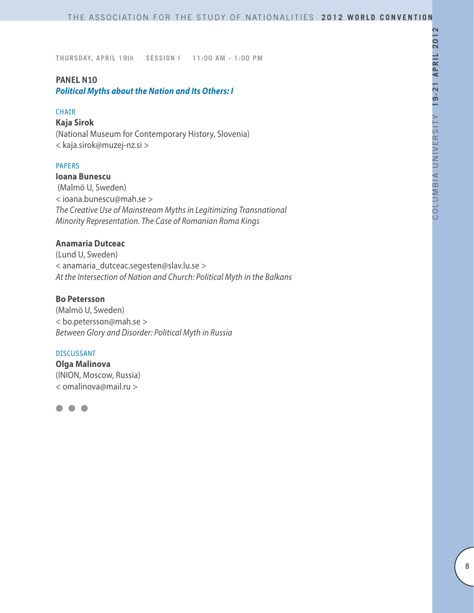## **PANEL N10**

*Political Myths about the Nation and Its Others: I*

#### CHAIR

## **Kaja Sirok**

(National Museum for Contemporary History, Slovenia) < kaja.sirok@muzej-nz.si >

## PAPERS

## **Ioana Bunescu**

 (Malmö U, Sweden) < ioana.bunescu@mah.se > *The Creative Use of Mainstream Myths in Legitimizing Transnational Minority Representation. The Case of Romanian Roma Kings*

# **Anamaria Dutceac**

(Lund U, Sweden) < anamaria\_dutceac.segesten@slav.lu.se > *At the Intersection of Nation and Church: Political Myth in the Balkans*

# **Bo Petersson**

(Malmö U, Sweden) < bo.petersson@mah.se > *Between Glory and Disorder: Political Myth in Russia*

#### DISCUSSANT

**Olga Malinova**  (INION, Moscow, Russia) < omalinova@mail.ru >

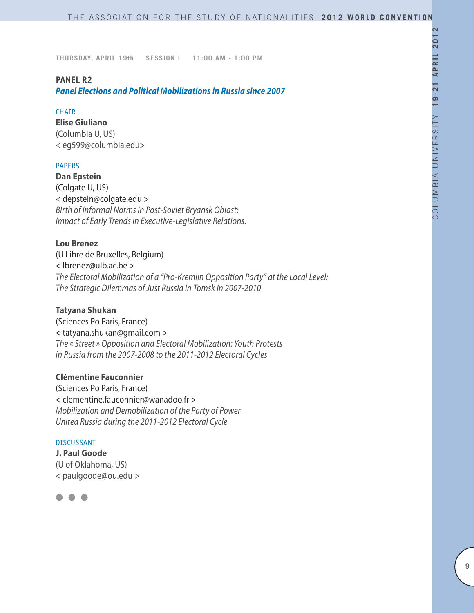## **PANEL R2**

*Panel Elections and Political Mobilizations in Russia since 2007*

#### **CHATR**

**Elise Giuliano** (Columbia U, US) < eg599@columbia.edu>

## PAPERS

**Dan Epstein** (Colgate U, US) < depstein@colgate.edu > *Birth of Informal Norms in Post-Soviet Bryansk Oblast: Impact of Early Trends in Executive-Legislative Relations.*

## **Lou Brenez**

(U Libre de Bruxelles, Belgium) < lbrenez@ulb.ac.be > *The Electoral Mobilization of a "Pro-Kremlin Opposition Party" at the Local Level: The Strategic Dilemmas of Just Russia in Tomsk in 2007-2010*

## **Tatyana Shukan**

(Sciences Po Paris, France) < tatyana.shukan@gmail.com > *The « Street » Opposition and Electoral Mobilization: Youth Protests in Russia from the 2007-2008 to the 2011-2012 Electoral Cycles* 

## **Clémentine Fauconnier**

(Sciences Po Paris, France) < clementine.fauconnier@wanadoo.fr > *Mobilization and Demobilization of the Party of Power United Russia during the 2011-2012 Electoral Cycle*

#### DISCUSSANT

**J. Paul Goode** (U of Oklahoma, US) < paulgoode@ou.edu >

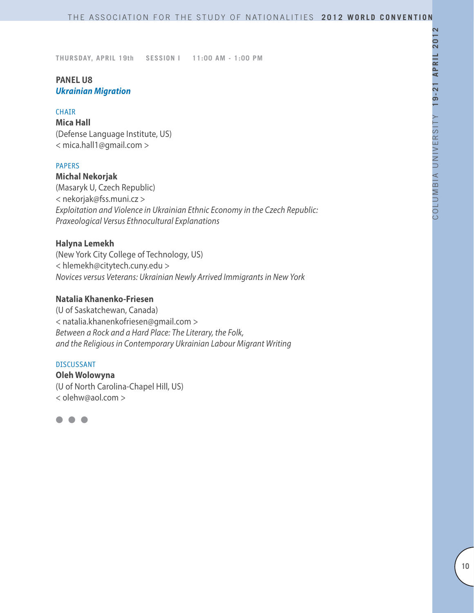# **PANEL U8** *Ukrainian Migration*

#### **CHAIR**

**Mica Hall** (Defense Language Institute, US) < mica.hall1@gmail.com >

## PAPERS

**Michal Nekorjak** (Masaryk U, Czech Republic) < nekorjak@fss.muni.cz > *Exploitation and Violence in Ukrainian Ethnic Economy in the Czech Republic: Praxeological Versus Ethnocultural Explanations*

## **Halyna Lemekh**

(New York City College of Technology, US) < hlemekh@citytech.cuny.edu > *Novices versus Veterans: Ukrainian Newly Arrived Immigrants in New York*

## **Natalia Khanenko-Friesen**

(U of Saskatchewan, Canada) < natalia.khanenkofriesen@gmail.com > *Between a Rock and a Hard Place: The Literary, the Folk, and the Religious in Contemporary Ukrainian Labour Migrant Writing*

#### DISCUSSANT

**Oleh Wolowyna** (U of North Carolina-Chapel Hill, US) < olehw@aol.com >

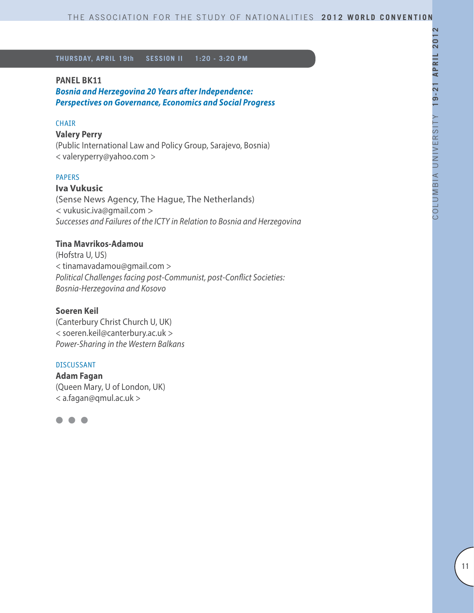#### **PANEL BK11**

*Bosnia and Herzegovina 20 Years after Independence: Perspectives on Governance, Economics and Social Progress*

## **CHAIR**

#### **Valery Perry**

(Public International Law and Policy Group, Sarajevo, Bosnia) < valeryperry@yahoo.com >

#### PAPERS

## **Iva Vukusic**

(Sense News Agency, The Hague, The Netherlands) < vukusic.iva@gmail.com > *Successes and Failures of the ICTY in Relation to Bosnia and Herzegovina*

## **Tina Mavrikos-Adamou**

(Hofstra U, US) < tinamavadamou@gmail.com > *Political Challenges facing post-Communist, post-Conflict Societies: Bosnia-Herzegovina and Kosovo*

## **Soeren Keil**

(Canterbury Christ Church U, UK) < soeren.keil@canterbury.ac.uk > *Power-Sharing in the Western Balkans*

#### DISCUSSANT

**Adam Fagan**  (Queen Mary, U of London, UK) < a.fagan@qmul.ac.uk >

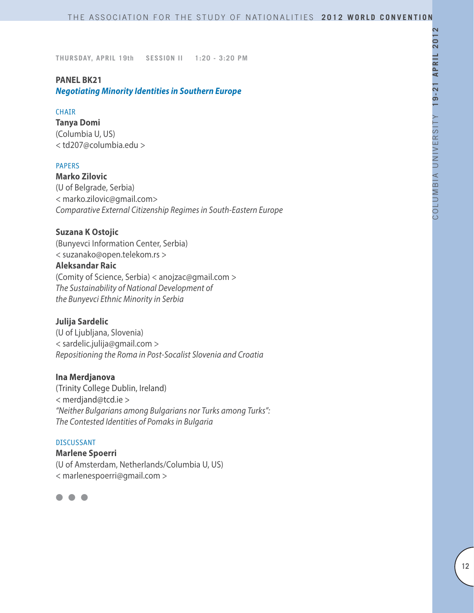# **PANEL BK21**

*Negotiating Minority Identities in Southern Europe*

## **CHAIR**

**Tanya Domi**  (Columbia U, US) < td207@columbia.edu >

## PAPERS

**Marko Zilovic** (U of Belgrade, Serbia) < marko.zilovic@gmail.com> *Comparative External Citizenship Regimes in South-Eastern Europe*

## **Suzana K Ostojic**

(Bunyevci Information Center, Serbia) < suzanako@open.telekom.rs >

## **Aleksandar Raic**

(Comity of Science, Serbia) < anojzac@gmail.com > *The Sustainability of National Development of the Bunyevci Ethnic Minority in Serbia*

## **Julija Sardelic**

(U of Ljubljana, Slovenia) < sardelic.julija@gmail.com > *Repositioning the Roma in Post-Socalist Slovenia and Croatia*

#### **Ina Merdjanova**

(Trinity College Dublin, Ireland) < merdjand@tcd.ie > *"Neither Bulgarians among Bulgarians nor Turks among Turks": The Contested Identities of Pomaks in Bulgaria*

#### DISCUSSANT

**Marlene Spoerri** (U of Amsterdam, Netherlands/Columbia U, US) < marlenespoerri@gmail.com >

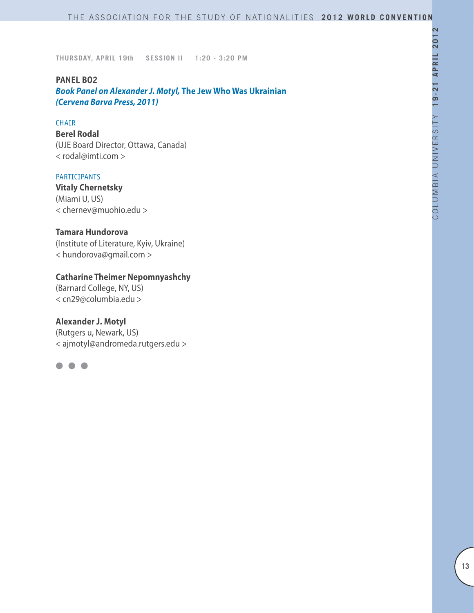#### **PANEL BO2**

*Book Panel on Alexander J. Motyl,* **The Jew Who Was Ukrainian** *(Cervena Barva Press, 2011)*

#### CHAIR

**Berel Rodal** (UJE Board Director, Ottawa, Canada) < rodal@imti.com >

## PARTICIPANTS

**Vitaly Chernetsky** (Miami U, US) < chernev@muohio.edu >

# **Tamara Hundorova**

(Institute of Literature, Kyiv, Ukraine) < hundorova@gmail.com >

# **Catharine Theimer Nepomnyashchy**

(Barnard College, NY, US) < cn29@columbia.edu >

## **Alexander J. Motyl**

(Rutgers u, Newark, US) < ajmotyl@andromeda.rutgers.edu >

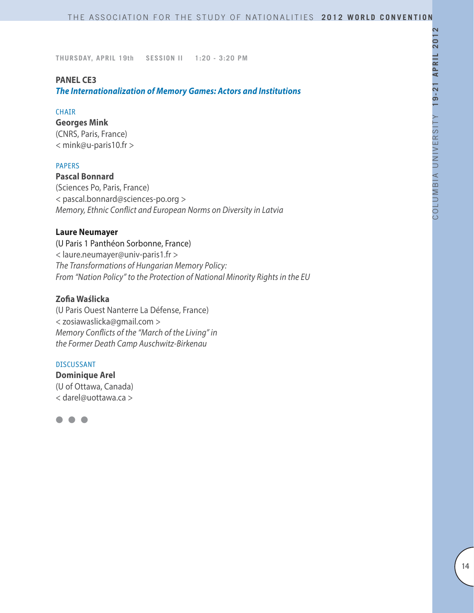#### **PANEL CE3**

*The Internationalization of Memory Games: Actors and Institutions*

#### CHAIR

**Georges Mink** (CNRS, Paris, France) < mink@u-paris10.fr >

## PAPERS

**Pascal Bonnard** (Sciences Po, Paris, France) < pascal.bonnard@sciences-po.org > *Memory, Ethnic Conflict and European Norms on Diversity in Latvia*

#### **Laure Neumayer**

(U Paris 1 Panthéon Sorbonne, France) < laure.neumayer@univ-paris1.fr > *The Transformations of Hungarian Memory Policy: From "Nation Policy" to the Protection of National Minority Rights in the EU*

# **Zofia Waślicka**

(U Paris Ouest Nanterre La Défense, France) < zosiawaslicka@gmail.com > *Memory Conflicts of the "March of the Living" in the Former Death Camp Auschwitz-Birkenau*

#### DISCUSSANT

**Dominique Arel** (U of Ottawa, Canada) < darel@uottawa.ca >

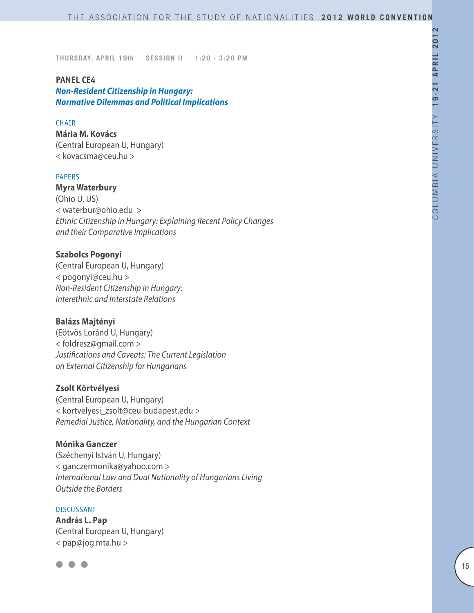#### **PANEL CE4**

*Non-Resident Citizenship in Hungary: Normative Dilemmas and Political Implications*

#### **CHAIR**

**Mária M. Kovács** (Central European U, Hungary) < kovacsma@ceu.hu >

## PAPERS

**Myra Waterbury** (Ohio U, US) < waterbur@ohio.edu > *Ethnic Citizenship in Hungary: Explaining Recent Policy Changes and their Comparative Implications* 

## **Szabolcs Pogonyi**

(Central European U, Hungary) < pogonyi@ceu.hu > *Non-Resident Citizenship in Hungary: Interethnic and Interstate Relations*

#### **Balázs Majtényi**

(Eötvös Loránd U, Hungary) < foldresz@gmail.com > *Justifications and Caveats: The Current Legislation on External Citizenship for Hungarians*

#### **Zsolt Körtvélyesi**

(Central European U, Hungary) < kortvelyesi\_zsolt@ceu-budapest.edu > *Remedial Justice, Nationality, and the Hungarian Context*

#### **Mónika Ganczer**

(Széchenyi István U, Hungary) < ganczermonika@yahoo.com > *International Law and Dual Nationality of Hungarians Living Outside the Borders*

#### **DISCUSSANT**

**András L. Pap** (Central European U, Hungary) < pap@jog.mta.hu >

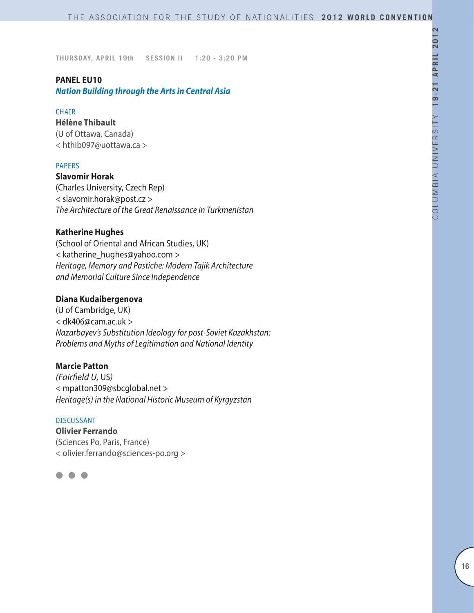#### **PANEL EU10**

*Nation Building through the Arts in Central Asia*

#### **CHAIR**

**Hélène Thibault** (U of Ottawa, Canada) < hthib097@uottawa.ca >

## PAPERS

**Slavomir Horak** (Charles University, Czech Rep) < slavomir.horak@post.cz > *The Architecture of the Great Renaissance in Turkmenistan*

## **Katherine Hughes**

(School of Oriental and African Studies, UK) < katherine\_hughes@yahoo.com > *Heritage, Memory and Pastiche: Modern Tajik Architecture and Memorial Culture Since Independence*

## **Diana Kudaibergenova**

(U of Cambridge, UK) < dk406@cam.ac.uk > *Nazarbayev's Substitution Ideology for post-Soviet Kazakhstan: Problems and Myths of Legitimation and National Identity*

## **Marcie Patton**

*(Fairfield U,* US*)* < mpatton309@sbcglobal.net > *Heritage(s) in the National Historic Museum of Kyrgyzstan*

# DISCUSSANT **Olivier Ferrando** (Sciences Po, Paris, France) < olivier.ferrando@sciences-po.org >

l l l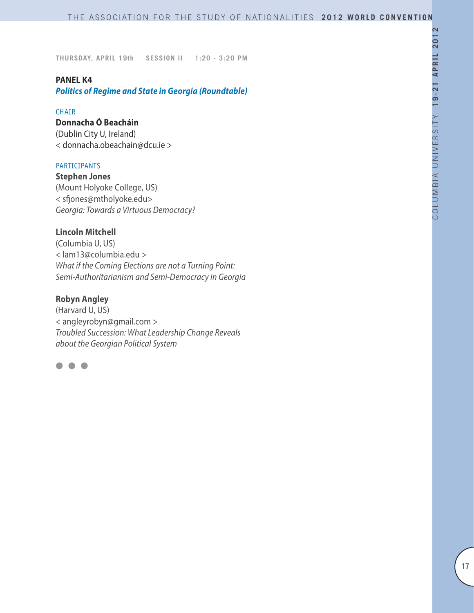#### **PANEL K4**

*Politics of Regime and State in Georgia (Roundtable)*

#### **CHAIR**

# **Donnacha Ó Beacháin**

(Dublin City U, Ireland) < donnacha.obeachain@dcu.ie >

## PARTICIPANTS

**Stephen Jones** (Mount Holyoke College, US) < sfjones@mtholyoke.edu> *Georgia: Towards a Virtuous Democracy?*

## **Lincoln Mitchell**

(Columbia U, US) < lam13@columbia.edu > *What if the Coming Elections are not a Turning Point: Semi-Authoritarianism and Semi-Democracy in Georgia*

# **Robyn Angley**

(Harvard U, US) < angleyrobyn@gmail.com > *Troubled Succession: What Leadership Change Reveals about the Georgian Political System*

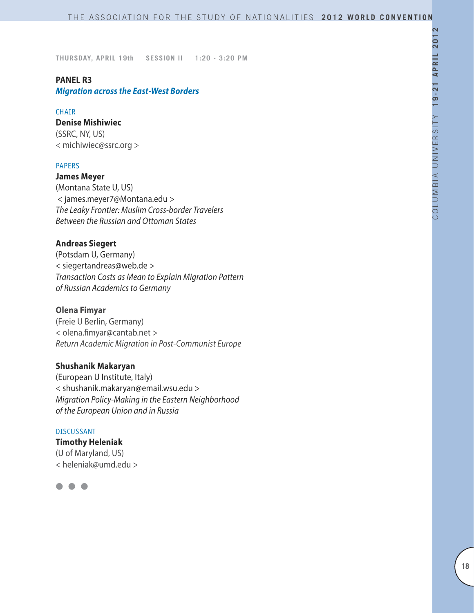# **PANEL R3**

# *Migration across the East-West Borders*

#### CHAIR

## **Denise Mishiwiec**

(SSRC, NY, US) < michiwiec@ssrc.org >

## PAPERS

**James Meyer** (Montana State U, US) < james.meyer7@Montana.edu > *The Leaky Frontier: Muslim Cross-border Travelers Between the Russian and Ottoman States*

## **Andreas Siegert**

(Potsdam U, Germany) < siegertandreas@web.de > *Transaction Costs as Mean to Explain Migration Pattern of Russian Academics to Germany*

## **Olena Fimyar**

(Freie U Berlin, Germany) < olena.fimyar@cantab.net > *Return Academic Migration in Post-Communist Europe*

# **Shushanik Makaryan**

(European U Institute, Italy) < shushanik.makaryan@email.wsu.edu > *Migration Policy-Making in the Eastern Neighborhood of the European Union and in Russia*

#### DISCUSSANT

**Timothy Heleniak** (U of Maryland, US) < heleniak@umd.edu >

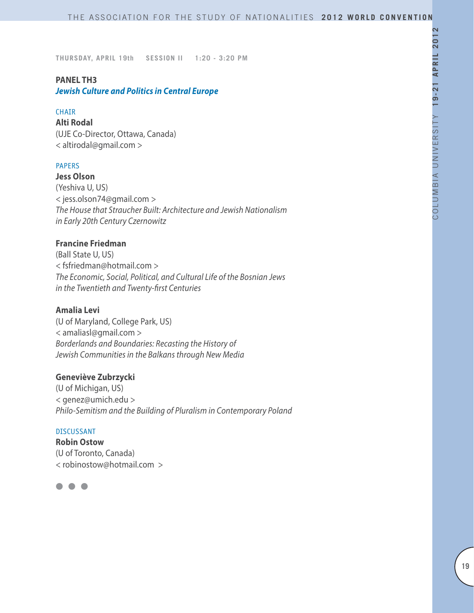# **PANEL TH3**

*Jewish Culture and Politics in Central Europe*

#### CHAIR

**Alti Rodal** (UJE Co-Director, Ottawa, Canada) < altirodal@gmail.com >

## PAPERS

**Jess Olson** (Yeshiva U, US) < jess.olson74@gmail.com > *The House that Straucher Built: Architecture and Jewish Nationalism in Early 20th Century Czernowitz*

# **Francine Friedman**

(Ball State U, US) < fsfriedman@hotmail.com > *The Economic, Social, Political, and Cultural Life of the Bosnian Jews in the Twentieth and Twenty-first Centuries*

#### **Amalia Levi**

(U of Maryland, College Park, US) < amaliasl@gmail.com > *Borderlands and Boundaries: Recasting the History of Jewish Communities in the Balkans through New Media*

## **Geneviève Zubrzycki**

(U of Michigan, US) < genez@umich.edu > *Philo-Semitism and the Building of Pluralism in Contemporary Poland*

#### DISCUSSANT

**Robin Ostow** (U of Toronto, Canada) < robinostow@hotmail.com >

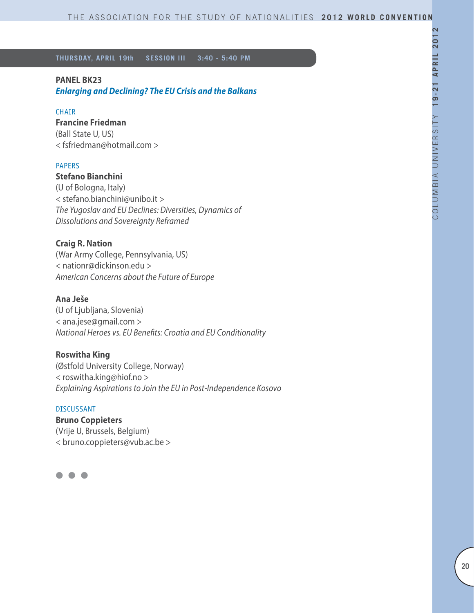## **PANEL BK23**

*Enlarging and Declining? The EU Crisis and the Balkans*

## CHAIR

## **Francine Friedman**

(Ball State U, US) < fsfriedman@hotmail.com >

## PAPERS

# **Stefano Bianchini**

(U of Bologna, Italy) < stefano.bianchini@unibo.it > *The Yugoslav and EU Declines: Diversities, Dynamics of Dissolutions and Sovereignty Reframed*

## **Craig R. Nation**

(War Army College, Pennsylvania, US) < nationr@dickinson.edu > *American Concerns about the Future of Europe*

# **Ana Ješe**

(U of Ljubljana, Slovenia) < ana.jese@gmail.com > *National Heroes vs. EU Benefits: Croatia and EU Conditionality*

## **Roswitha King**

(Østfold University College, Norway) < roswitha.king@hiof.no > *Explaining Aspirations to Join the EU in Post-Independence Kosovo*

## DISCUSSANT

**Bruno Coppieters** (Vrije U, Brussels, Belgium) < bruno.coppieters@vub.ac.be >

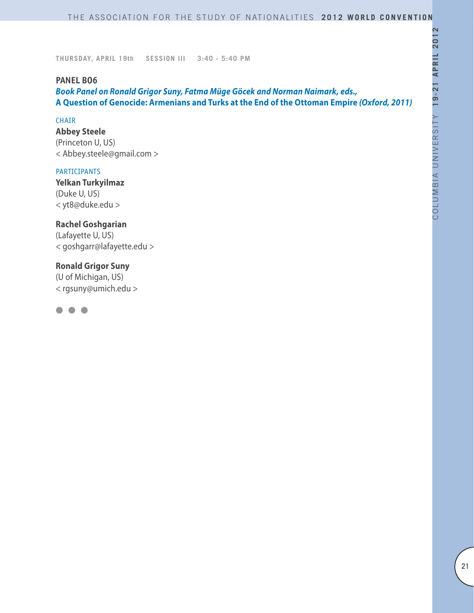#### **PANEL BO6**

*Book Panel on Ronald Grigor Suny, Fatma Müge Göcek and Norman Naimark, eds.,*  **A Question of Genocide: Armenians and Turks at the End of the Ottoman Empire** *(Oxford, 2011)*

#### **CHAIR**

**Abbey Steele** (Princeton U, US) < Abbey.steele@gmail.com >

#### PARTICIPANTS

**Yelkan Turkyilmaz** (Duke U, US) < yt8@duke.edu >

# **Rachel Goshgarian**

(Lafayette U, US) < goshgarr@lafayette.edu >

## **Ronald Grigor Suny**

(U of Michigan, US) < rgsuny@umich.edu >

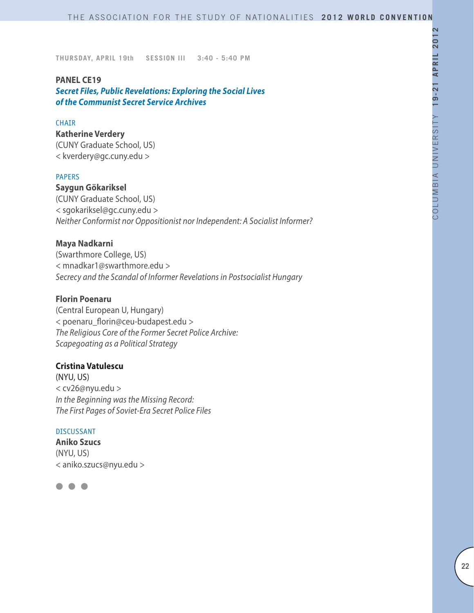#### **PANEL CE19**

*Secret Files, Public Revelations: Exploring the Social Lives of the Communist Secret Service Archives*

#### **CHAIR**

**Katherine Verdery** (CUNY Graduate School, US) < kverdery@gc.cuny.edu >

#### PAPERS

**Saygun Gökariksel** (CUNY Graduate School, US) < sgokariksel@gc.cuny.edu > *Neither Conformist nor Oppositionist nor Independent: A Socialist Informer?*

#### **Maya Nadkarni**

(Swarthmore College, US) < mnadkar1@swarthmore.edu > *Secrecy and the Scandal of Informer Revelations in Postsocialist Hungary*

# **Florin Poenaru**

(Central European U, Hungary) < poenaru\_florin@ceu-budapest.edu > *The Religious Core of the Former Secret Police Archive: Scapegoating as a Political Strategy* 

## **Cristina Vatulescu**

(NYU, US) < cv26@nyu.edu > *In the Beginning was the Missing Record: The First Pages of Soviet-Era Secret Police Files*

#### DISCUSSANT

**Aniko Szucs** (NYU, US) < aniko.szucs@nyu.edu >

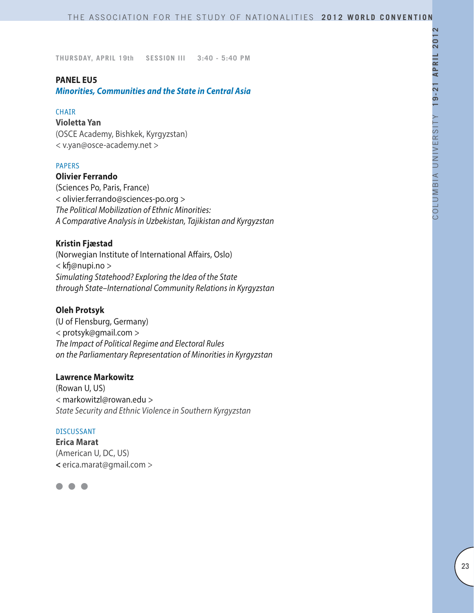## **PANEL EU5**

*Minorities, Communities and the State in Central Asia*

#### CHAIR

**Violetta Yan** (OSCE Academy, Bishkek, Kyrgyzstan) < v.yan@osce-academy.net >

## PAPERS

## **Olivier Ferrando**

(Sciences Po, Paris, France) < olivier.ferrando@sciences-po.org > *The Political Mobilization of Ethnic Minorities: A Comparative Analysis in Uzbekistan, Tajikistan and Kyrgyzstan*

## **Kristin Fjæstad**

(Norwegian Institute of International Affairs, Oslo) < kfj@nupi.no > *Simulating Statehood? Exploring the Idea of the State through State–International Community Relations in Kyrgyzstan* 

#### **Oleh Protsyk**

(U of Flensburg, Germany) < protsyk@gmail.com > *The Impact of Political Regime and Electoral Rules on the Parliamentary Representation of Minorities in Kyrgyzstan*

#### **Lawrence Markowitz**

(Rowan U, US) < markowitzl@rowan.edu > *State Security and Ethnic Violence in Southern Kyrgyzstan*

#### DISCUSSANT

**Erica Marat** (American U, DC, US) **<** erica.marat@gmail.com >

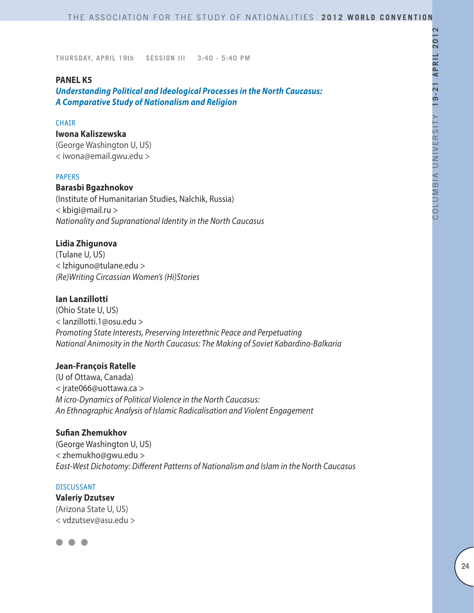## **PANEL K5**

*Understanding Political and Ideological Processes in the North Caucasus: A Comparative Study of Nationalism and Religion*

#### **CHAIR**

#### **Iwona Kaliszewska**

(George Washington U, US) < iwona@email.gwu.edu >

#### PAPERS

## **Barasbi Bgazhnokov**

(Institute of Humanitarian Studies, Nalchik, Russia) < kbigi@mail.ru > *Nationality and Supranational Identity in the North Caucasus*

#### **Lidia Zhigunova**

(Tulane U, US) < lzhiguno@tulane.edu > *(Re)Writing Circassian Women's (Hi)Stories*

## **Ian Lanzillotti**

(Ohio State U, US) < lanzillotti.1@osu.edu > *Promoting State Interests, Preserving Interethnic Peace and Perpetuating National Animosity in the North Caucasus: The Making of Soviet Kabardino-Balkaria*

#### **Jean-François Ratelle**

(U of Ottawa, Canada) < jrate066@uottawa.ca > *M icro-Dynamics of Political Violence in the North Caucasus: An Ethnographic Analysis of Islamic Radicalisation and Violent Engagement*

# **Sufian Zhemukhov**

(George Washington U, US) < zhemukho@gwu.edu > *East-West Dichotomy: Different Patterns of Nationalism and Islam in the North Caucasus*

#### DISCUSSANT

**Valeriy Dzutsev** (Arizona State U, US) < vdzutsev@asu.edu >

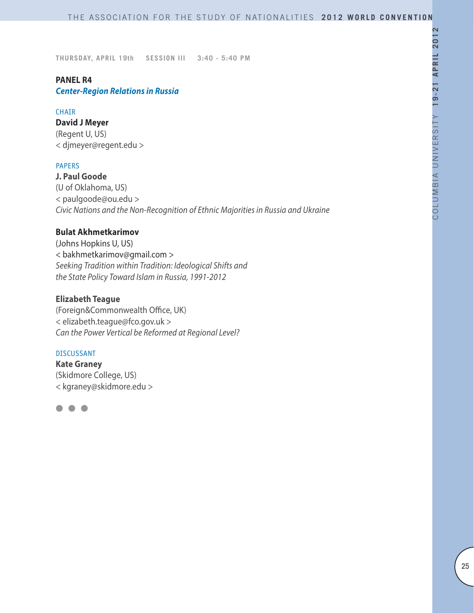# **PANEL R4**

*Center-Region Relations in Russia*

#### CHAIR

**David J Meyer** (Regent U, US) < djmeyer@regent.edu >

## PAPERS

**J. Paul Goode** (U of Oklahoma, US) < paulgoode@ou.edu > *Civic Nations and the Non-Recognition of Ethnic Majorities in Russia and Ukraine*

## **Bulat Akhmetkarimov**

(Johns Hopkins U, US) < bakhmetkarimov@gmail.com > *Seeking Tradition within Tradition: Ideological Shifts and the State Policy Toward Islam in Russia, 1991-2012*

# **Elizabeth Teague**

(Foreign&Commonwealth Office, UK) < elizabeth.teague@fco.gov.uk > *Can the Power Vertical be Reformed at Regional Level?*

#### DISCUSSANT

**Kate Graney** (Skidmore College, US) < kgraney@skidmore.edu >

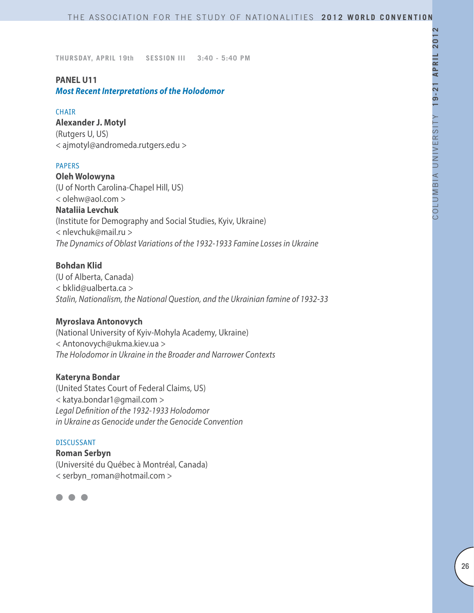## **PANEL U11**

*Most Recent Interpretations of the Holodomor*

#### CHAIR

**Alexander J. Motyl** (Rutgers U, US) < ajmotyl@andromeda.rutgers.edu >

## PAPERS

**Oleh Wolowyna** (U of North Carolina-Chapel Hill, US) < olehw@aol.com > **Nataliia Levchuk** (Institute for Demography and Social Studies, Kyiv, Ukraine) < nlevchuk@mail.ru > *The Dynamics of Oblast Variations of the 1932-1933 Famine Losses in Ukraine*

# **Bohdan Klid**

(U of Alberta, Canada) < bklid@ualberta.ca > *Stalin, Nationalism, the National Question, and the Ukrainian famine of 1932-33*

## **Myroslava Antonovych**

(National University of Kyiv-Mohyla Academy, Ukraine) < Antonovych@ukma.kiev.ua > *The Holodomor in Ukraine in the Broader and Narrower Contexts*

## **Kateryna Bondar**

(United States Court of Federal Claims, US) < katya.bondar1@gmail.com > *Legal Definition of the 1932-1933 Holodomor in Ukraine as Genocide under the Genocide Convention*

## DISCUSSANT

**Roman Serbyn** (Université du Québec à Montréal, Canada) < serbyn\_roman@hotmail.com >

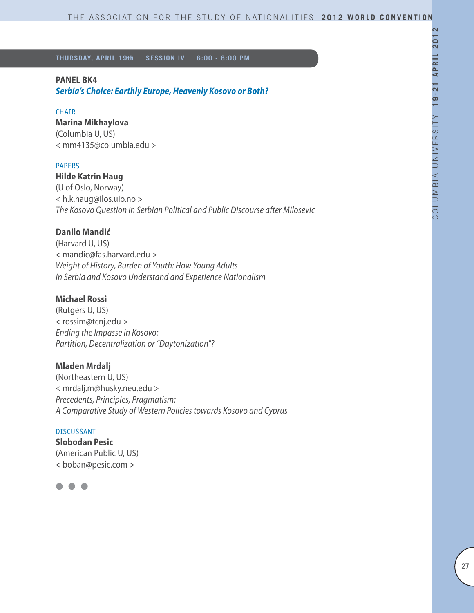# **PANEL BK4**

*Serbia's Choice: Earthly Europe, Heavenly Kosovo or Both?*

#### CHAIR

**Marina Mikhaylova** (Columbia U, US)

< mm4135@columbia.edu >

#### PAPERS

## **Hilde Katrin Haug**

(U of Oslo, Norway) < h.k.haug@ilos.uio.no > *The Kosovo Question in Serbian Political and Public Discourse after Milosevic*

# **Danilo Mandić**

(Harvard U, US) < mandic@fas.harvard.edu > *Weight of History, Burden of Youth: How Young Adults in Serbia and Kosovo Understand and Experience Nationalism*

## **Michael Rossi**

(Rutgers U, US) < rossim@tcnj.edu > *Ending the Impasse in Kosovo: Partition, Decentralization or "Daytonization"?*

#### **Mladen Mrdalj**

(Northeastern U, US) < mrdalj.m@husky.neu.edu > *Precedents, Principles, Pragmatism: A Comparative Study of Western Policies towards Kosovo and Cyprus*

#### DISCUSSANT

**Slobodan Pesic** (American Public U, US) < boban@pesic.com >

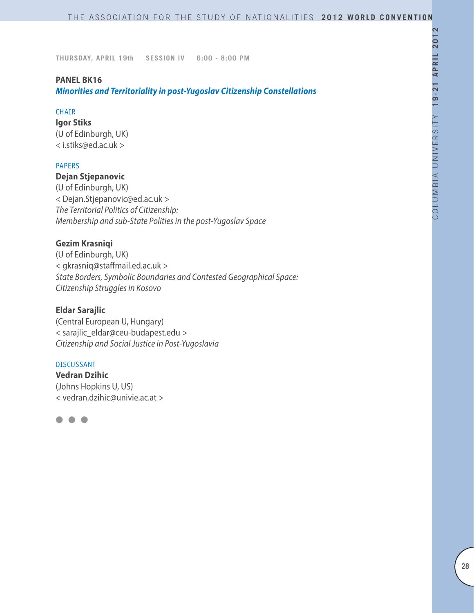## **PANEL BK16**

*Minorities and Territoriality in post-Yugoslav Citizenship Constellations*

#### **CHAIR**

**Igor Stiks** (U of Edinburgh, UK) < i.stiks@ed.ac.uk >

## PAPERS

# **Dejan Stjepanovic**

(U of Edinburgh, UK) < Dejan.Stjepanovic@ed.ac.uk > *The Territorial Politics of Citizenship: Membership and sub-State Polities in the post-Yugoslav Space* 

## **Gezim Krasniqi**

(U of Edinburgh, UK) < gkrasniq@staffmail.ed.ac.uk > *State Borders, Symbolic Boundaries and Contested Geographical Space: Citizenship Struggles in Kosovo* 

#### **Eldar Sarajlic**

(Central European U, Hungary) < sarajlic\_eldar@ceu-budapest.edu > *Citizenship and Social Justice in Post-Yugoslavia* 

#### DISCUSSANT

**Vedran Dzihic** (Johns Hopkins U, US) < vedran.dzihic@univie.ac.at >

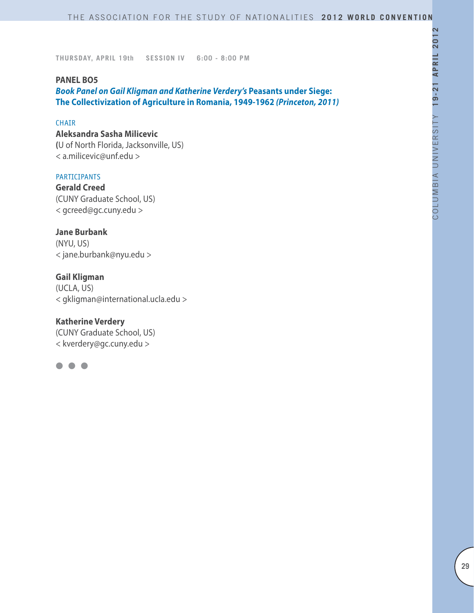#### **PANEL BO5**

*Book Panel on Gail Kligman and Katherine Verdery's* **Peasants under Siege: The Collectivization of Agriculture in Romania, 1949-1962** *(Princeton, 2011)*

#### **CHAIR**

## **Aleksandra Sasha Milicevic**

**(**U of North Florida, Jacksonville, US) < a.milicevic@unf.edu >

#### **PARTICIPANTS**

**Gerald Creed** (CUNY Graduate School, US) < gcreed@gc.cuny.edu >

**Jane Burbank** (NYU, US) < jane.burbank@nyu.edu >

**Gail Kligman** (UCLA, US) < gkligman@international.ucla.edu >

## **Katherine Verdery**

(CUNY Graduate School, US) < kverdery@gc.cuny.edu >

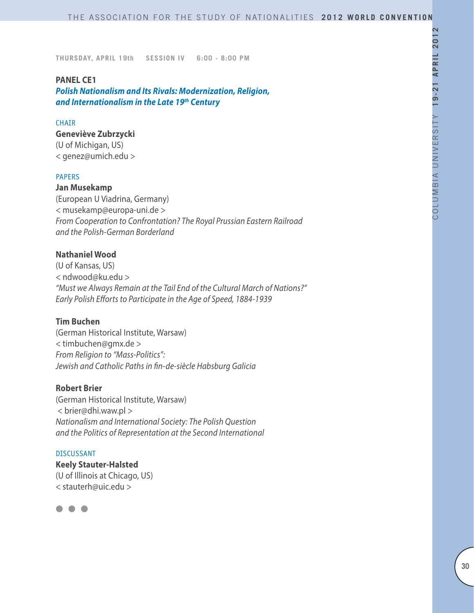#### **PANEL CE1**

*Polish Nationalism and Its Rivals: Modernization, Religion, and Internationalism in the Late 19th Century*

#### **CHAIR**

# **Geneviève Zubrzycki**

(U of Michigan, US) < genez@umich.edu >

#### PAPERS

#### **Jan Musekamp**

(European U Viadrina, Germany) < musekamp@europa-uni.de > *From Cooperation to Confrontation? The Royal Prussian Eastern Railroad and the Polish-German Borderland*

# **Nathaniel Wood**

(U of Kansas, US) < ndwood@ku.edu > *"Must we Always Remain at the Tail End of the Cultural March of Nations?" Early Polish Efforts to Participate in the Age of Speed, 1884-1939*

## **Tim Buchen**

(German Historical Institute, Warsaw) < timbuchen@gmx.de > *From Religion to "Mass-Politics": Jewish and Catholic Paths in fin-de-siècle Habsburg Galicia*

## **Robert Brier**

(German Historical Institute, Warsaw) < brier@dhi.waw.pl > *Nationalism and International Society: The Polish Question and the Politics of Representation at the Second International*

#### DISCUSSANT

**Keely Stauter-Halsted** (U of Illinois at Chicago, US) < stauterh@uic.edu >

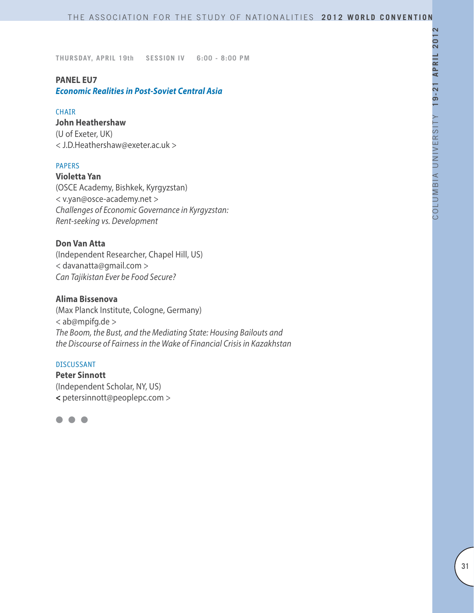## **PANEL EU7**

*Economic Realities in Post-Soviet Central Asia* 

#### **CHATR**

#### **John Heathershaw**

(U of Exeter, UK) < J.D.Heathershaw@exeter.ac.uk >

## PAPERS

**Violetta Yan** (OSCE Academy, Bishkek, Kyrgyzstan) < v.yan@osce-academy.net > *Challenges of Economic Governance in Kyrgyzstan: Rent-seeking vs. Development*

# **Don Van Atta**

(Independent Researcher, Chapel Hill, US) < davanatta@gmail.com > *Can Tajikistan Ever be Food Secure?*

# **Alima Bissenova**

(Max Planck Institute, Cologne, Germany) < ab@mpifg.de > *The Boom, the Bust, and the Mediating State: Housing Bailouts and the Discourse of Fairness in the Wake of Financial Crisis in Kazakhstan*

# DISCUSSANT

**Peter Sinnott** (Independent Scholar, NY, US) **<** petersinnott@peoplepc.com >

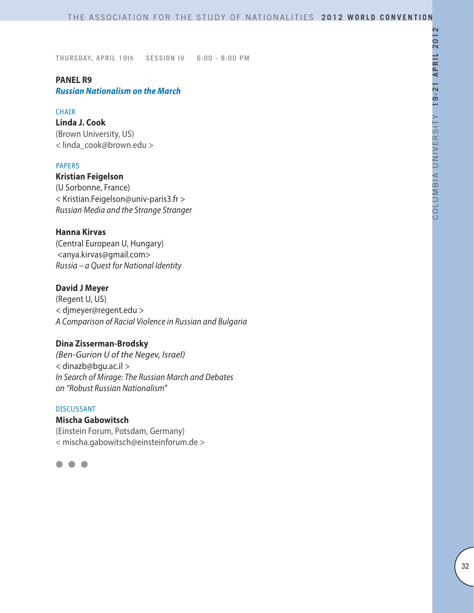# **PANEL R9**

*Russian Nationalism on the March* 

#### **CHATR**

**Linda J. Cook** (Brown University, US) < linda\_cook@brown.edu >

## PAPERS

**Kristian Feigelson**  (U Sorbonne, France) < Kristian.Feigelson@univ-paris3.fr > *Russian Media and the Strange Stranger*

## **Hanna Kirvas**

(Central European U, Hungary) <anya.kirvas@gmail.com> *Russia – a Quest for National Identity*

## **David J Meyer**

(Regent U, US) < djmeyer@regent.edu > *A Comparison of Racial Violence in Russian and Bulgaria*

#### **Dina Zisserman-Brodsky**

*(Ben-Gurion U of the Negev, Israel)* < dinazb@bgu.ac.il *> In Search of Mirage: The Russian March and Debates on "Robust Russian Nationalism"*

# DISCUSSANT

**Mischa Gabowitsch** (Einstein Forum, Potsdam, Germany)

< mischa.gabowitsch@einsteinforum.de >

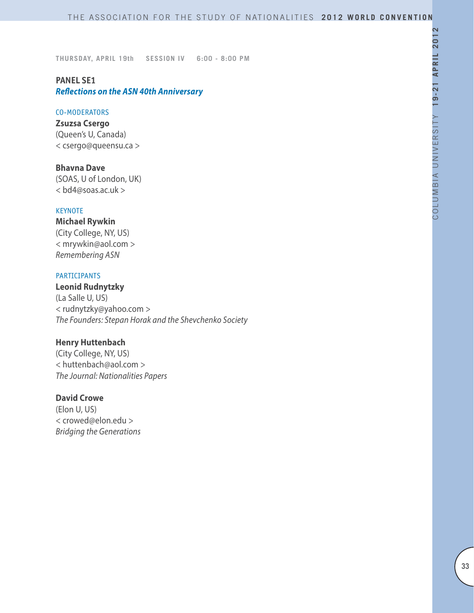# **PANEL SE1** *Reflections on the ASN 40th Anniversary*

#### CO-MODERATORS

**Zsuzsa Csergo** (Queen's U, Canada) < csergo@queensu.ca >

**Bhavna Dave** (SOAS, U of London, UK) < bd4@soas.ac.uk >

#### **KEYNOTE**

# **Michael Rywkin**

(City College, NY, US) < mrywkin@aol.com > *Remembering ASN*

#### PARTICIPANTS

**Leonid Rudnytzky** (La Salle U, US) < rudnytzky@yahoo.com > *The Founders: Stepan Horak and the Shevchenko Society*

# **Henry Huttenbach**

(City College, NY, US) < huttenbach@aol.com > *The Journal: Nationalities Papers*

# **David Crowe**

(Elon U, US) < crowed@elon.edu > *Bridging the Generations*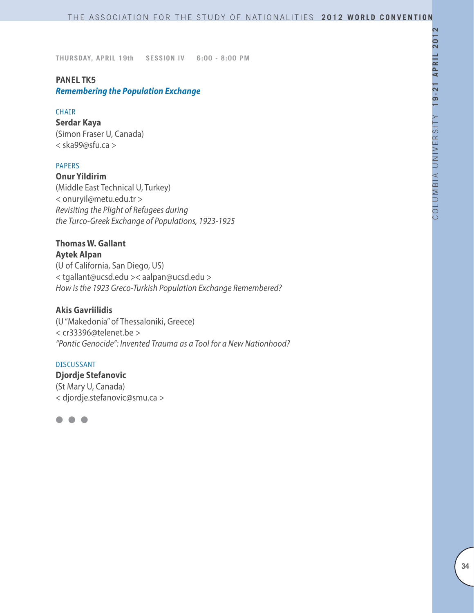# **PANEL TK5**

# *Remembering the Population Exchange*

#### CHAIR

**Serdar Kaya** (Simon Fraser U, Canada) < ska99@sfu.ca >

## PAPERS

**Onur Yildirim** (Middle East Technical U, Turkey) < onuryil@metu.edu.tr > *Revisiting the Plight of Refugees during the Turco-Greek Exchange of Populations, 1923-1925* 

# **Thomas W. Gallant**

**Aytek Alpan** (U of California, San Diego, US) < tgallant@ucsd.edu >< aalpan@ucsd.edu > *How is the 1923 Greco-Turkish Population Exchange Remembered?*

## **Akis Gavriilidis**

(U "Makedonia" of Thessaloniki, Greece) < cr33396@telenet.be > *"Pontic Genocide": Invented Trauma as a Tool for a New Nationhood?*

#### DISCUSSANT

**Djordje Stefanovic** (St Mary U, Canada) < djordje.stefanovic@smu.ca >

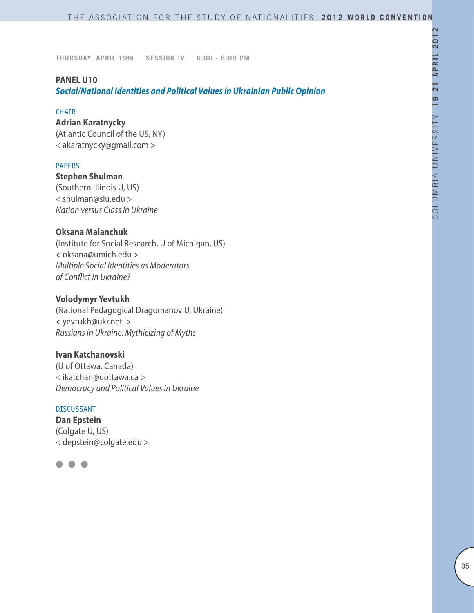## **PANEL U10**

*Social/National Identities and Political Values in Ukrainian Public Opinion*

#### CHAIR

# **Adrian Karatnycky**

(Atlantic Council of the US, NY) < akaratnycky@gmail.com >

## PAPERS

**Stephen Shulman** (Southern Illinois U, US) < shulman@siu.edu > *Nation versus Class in Ukraine*

# **Oksana Malanchuk**

(Institute for Social Research, U of Michigan, US) < oksana@umich.edu > *Multiple Social Identities as Moderators of Conflict in Ukraine?*

## **Volodymyr Yevtukh**

(National Pedagogical Dragomanov U, Ukraine) < yevtukh@ukr.net > *Russians in Ukraine: Mythicizing of Myths*

# **Ivan Katchanovski**

(U of Ottawa, Canada) < ikatchan@uottawa.ca > *Democracy and Political Values in Ukraine*

## DISCUSSANT

**Dan Epstein** (Colgate U, US) < depstein@colgate.edu >

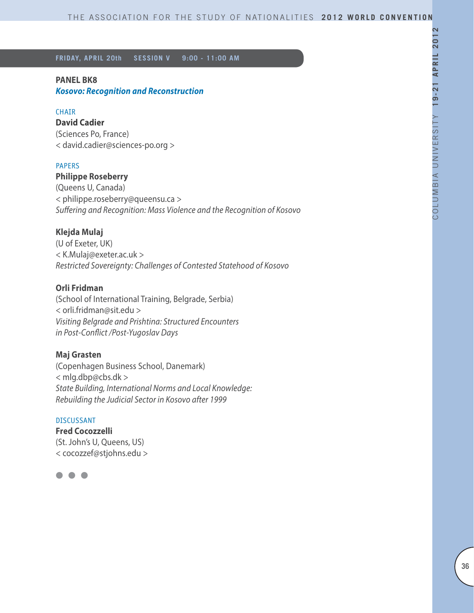**FRIDAY, APRIL 20th SESSION V 9:00 - 11:00 AM**

# **PANEL BK8**

*Kosovo: Recognition and Reconstruction*

## CHAIR

**David Cadier** (Sciences Po, France) < david.cadier@sciences-po.org >

## PAPERS

# **Philippe Roseberry**

(Queens U, Canada) < philippe.roseberry@queensu.ca > *Suffering and Recognition: Mass Violence and the Recognition of Kosovo*

# **Klejda Mulaj**

(U of Exeter, UK) < K.Mulaj@exeter.ac.uk > *Restricted Sovereignty: Challenges of Contested Statehood of Kosovo*

# **Orli Fridman**

(School of International Training, Belgrade, Serbia) < orli.fridman@sit.edu > *Visiting Belgrade and Prishtina: Structured Encounters in Post-Conflict /Post-Yugoslav Days*

## **Maj Grasten**

(Copenhagen Business School, Danemark) < mlg.dbp@cbs.dk > *State Building, International Norms and Local Knowledge: Rebuilding the Judicial Sector in Kosovo after 1999*

#### DISCUSSANT

**Fred Cocozzelli** (St. John's U, Queens, US) < cocozzef@stjohns.edu >

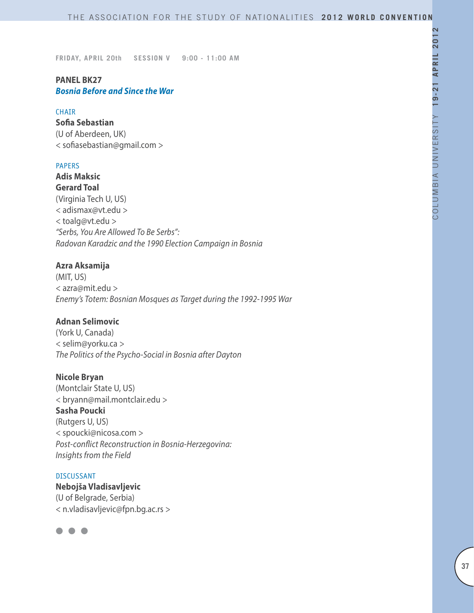# **PANEL BK27** *Bosnia Before and Since the War*

#### **CHATR**

**Sofia Sebastian** (U of Aberdeen, UK) < sofiasebastian@gmail.com >

### PAPERS

**Adis Maksic Gerard Toal** (Virginia Tech U, US) < adismax@vt.edu > < toalg@vt.edu > *"Serbs, You Are Allowed To Be Serbs": Radovan Karadzic and the 1990 Election Campaign in Bosnia*

### **Azra Aksamija**

(MIT, US) < azra@mit.edu > *Enemy's Totem: Bosnian Mosques as Target during the 1992-1995 War*

## **Adnan Selimovic**

(York U, Canada) < selim@yorku.ca > *The Politics of the Psycho-Social in Bosnia after Dayton*

#### **Nicole Bryan**

(Montclair State U, US) < bryann@mail.montclair.edu > **Sasha Poucki** (Rutgers U, US) < spoucki@nicosa.com > *Post-conflict Reconstruction in Bosnia-Herzegovina: Insights from the Field*

#### DISCUSSANT

**Nebojša Vladisavljevic** (U of Belgrade, Serbia) < n.vladisavljevic@fpn.bg.ac.rs >

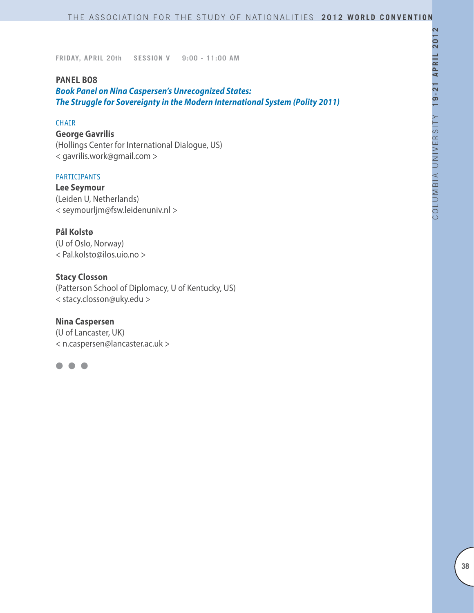### **PANEL BO8**

*Book Panel on Nina Caspersen's Unrecognized States: The Struggle for Sovereignty in the Modern International System (Polity 2011)*

#### CHAIR

### **George Gavrilis**

(Hollings Center for International Dialogue, US) < gavrilis.work@gmail.com >

#### PARTICIPANTS

**Lee Seymour** (Leiden U, Netherlands) < seymourljm@fsw.leidenuniv.nl >

### **Pål Kolstø**

(U of Oslo, Norway) < Pal.kolsto@ilos.uio.no >

# **Stacy Closson**

(Patterson School of Diplomacy, U of Kentucky, US) < stacy.closson@uky.edu >

### **Nina Caspersen**

(U of Lancaster, UK) < n.caspersen@lancaster.ac.uk >

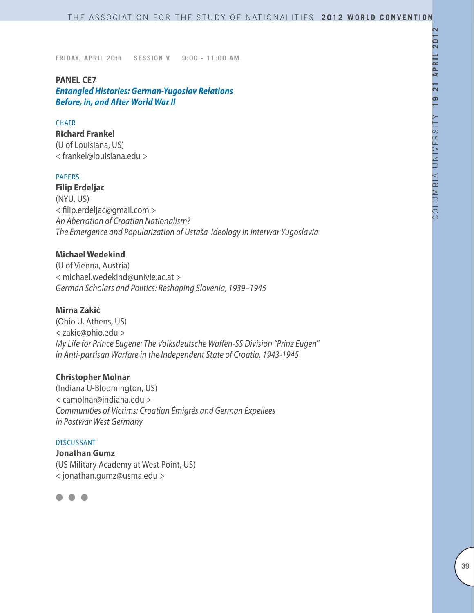### **PANEL CE7**

*Entangled Histories: German-Yugoslav Relations Before, in, and After World War II*

### **CHAIR**

**Richard Frankel**

(U of Louisiana, US) < frankel@louisiana.edu >

### PAPERS

**Filip Erdeljac**  (NYU, US) < filip.erdeljac@gmail.com > *An Aberration of Croatian Nationalism? The Emergence and Popularization of Ustaša Ideology in Interwar Yugoslavia*

# **Michael Wedekind**

(U of Vienna, Austria) < michael.wedekind@univie.ac.at > *German Scholars and Politics: Reshaping Slovenia, 1939–1945*

#### **Mirna Zakić**

(Ohio U, Athens, US) < zakic@ohio.edu > *My Life for Prince Eugene: The Volksdeutsche Waffen-SS Division "Prinz Eugen" in Anti-partisan Warfare in the Independent State of Croatia, 1943-1945*

#### **Christopher Molnar**

(Indiana U-Bloomington, US) < camolnar@indiana.edu > *Communities of Victims: Croatian Émigrés and German Expellees in Postwar West Germany*

DISCUSSANT **Jonathan Gumz**  (US Military Academy at West Point, US) < jonathan.gumz@usma.edu >

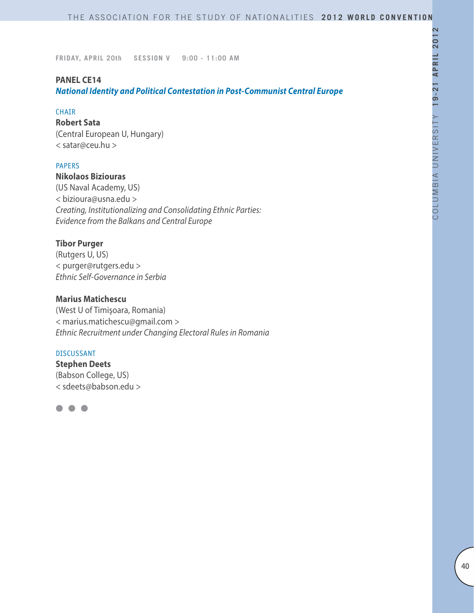### **PANEL CE14**

*National Identity and Political Contestation in Post-Communist Central Europe*

#### CHAIR

**Robert Sata** (Central European U, Hungary) < satar@ceu.hu >

### PAPERS

# **Nikolaos Biziouras**

(US Naval Academy, US) < bizioura@usna.edu > *Creating, Institutionalizing and Consolidating Ethnic Parties: Evidence from the Balkans and Central Europe*

### **Tibor Purger**

(Rutgers U, US) < purger@rutgers.edu > *Ethnic Self-Governance in Serbia*

# **Marius Matichescu**

(West U of Timişoara, Romania) < marius.matichescu@gmail.com > *Ethnic Recruitment under Changing Electoral Rules in Romania*

#### DISCUSSANT

**Stephen Deets** (Babson College, US) < sdeets@babson.edu >

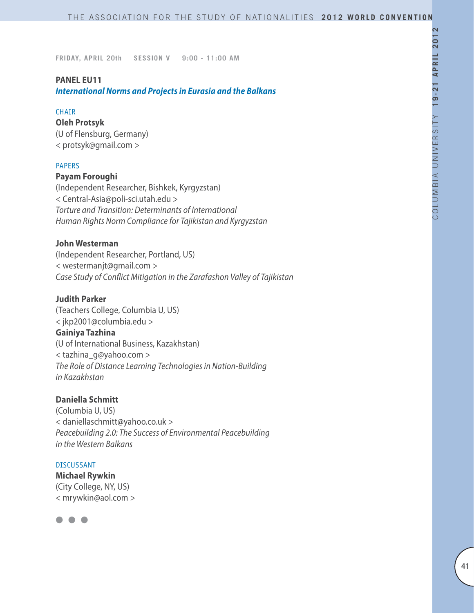### **PANEL EU11**

*International Norms and Projects in Eurasia and the Balkans*

#### **CHAIR**

**Oleh Protsyk** (U of Flensburg, Germany)

< protsyk@gmail.com >

### PAPERS

### **Payam Foroughi**

(Independent Researcher, Bishkek, Kyrgyzstan) < Central-Asia@poli-sci.utah.edu > *Torture and Transition: Determinants of International Human Rights Norm Compliance for Tajikistan and Kyrgyzstan*

#### **John Westerman**

(Independent Researcher, Portland, US) < westermanjt@gmail.com > *Case Study of Conflict Mitigation in the Zarafashon Valley of Tajikistan*

# **Judith Parker**

(Teachers College, Columbia U, US) < jkp2001@columbia.edu > **Gainiya Tazhina**  (U of International Business, Kazakhstan) < tazhina\_g@yahoo.com > *The Role of Distance Learning Technologies in Nation-Building in Kazakhstan*

#### **Daniella Schmitt**

(Columbia U, US) < daniellaschmitt@yahoo.co.uk > *Peacebuilding 2.0: The Success of Environmental Peacebuilding in the Western Balkans*

#### DISCUSSANT

**Michael Rywkin** (City College, NY, US) < mrywkin@aol.com >

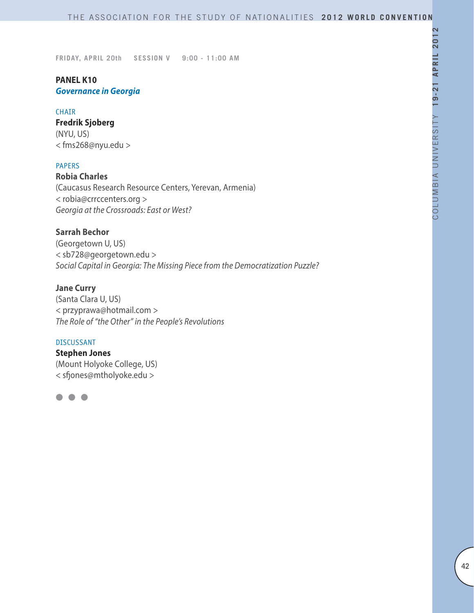# **PANEL K10** *Governance in Georgia*

#### CHAIR

**Fredrik Sjoberg** (NYU, US) < fms268@nyu.edu >

### PAPERS

**Robia Charles** (Caucasus Research Resource Centers, Yerevan, Armenia) < robia@crrccenters.org > *Georgia at the Crossroads: East or West?*

### **Sarrah Bechor**

(Georgetown U, US) < sb728@georgetown.edu > *Social Capital in Georgia: The Missing Piece from the Democratization Puzzle?*

### **Jane Curry**

(Santa Clara U, US) < przyprawa@hotmail.com > *The Role of "the Other" in the People's Revolutions*

### DISCUSSANT

**Stephen Jones** (Mount Holyoke College, US) < sfjones@mtholyoke.edu >

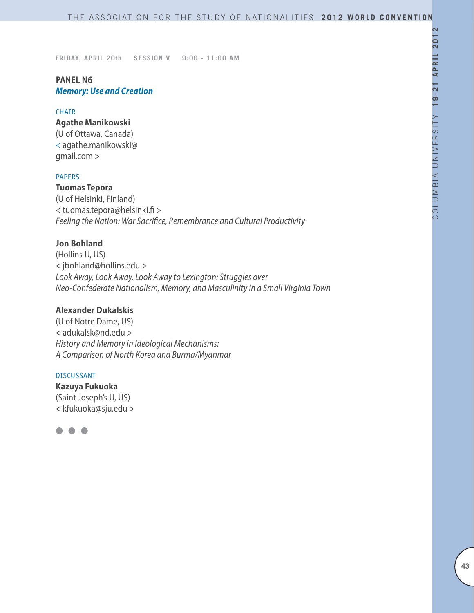# **PANEL N6** *Memory: Use and Creation*

#### CHAIR

#### **Agathe Manikowski**

(U of Ottawa, Canada) < agathe.manikowski@ gmail.com >

### PAPERS

**Tuomas Tepora** (U of Helsinki, Finland) < tuomas.tepora@helsinki.fi > *Feeling the Nation: War Sacrifice, Remembrance and Cultural Productivity*

### **Jon Bohland**

(Hollins U, US) < jbohland@hollins.edu > *Look Away, Look Away, Look Away to Lexington: Struggles over Neo-Confederate Nationalism, Memory, and Masculinity in a Small Virginia Town*

# **Alexander Dukalskis**

(U of Notre Dame, US) < adukalsk@nd.edu > *History and Memory in Ideological Mechanisms: A Comparison of North Korea and Burma/Myanmar*

#### DISCUSSANT

**Kazuya Fukuoka** (Saint Joseph's U, US) < kfukuoka@sju.edu >

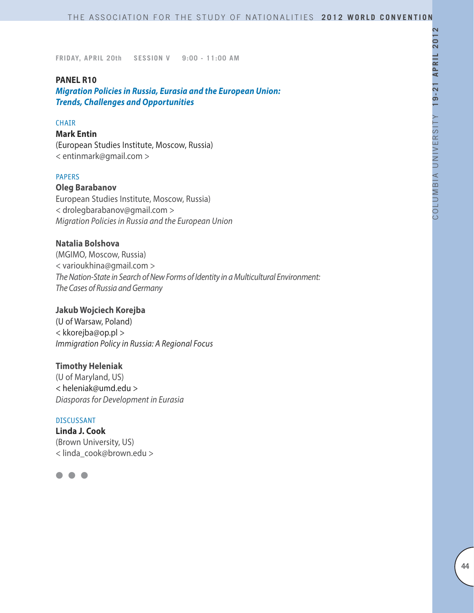### **PANEL R10**

*Migration Policies in Russia, Eurasia and the European Union: Trends, Challenges and Opportunities*

### **CHAIR**

#### **Mark Entin**

(European Studies Institute, Moscow, Russia) < entinmark@gmail.com >

### PAPERS

# **Oleg Barabanov**

European Studies Institute, Moscow, Russia) < drolegbarabanov@gmail.com > *Migration Policies in Russia and the European Union*

### **Natalia Bolshova**

(MGIMO, Moscow, Russia) < varioukhina@gmail.com > *The Nation-State in Search of New Forms of Identity in a Multicultural Environment: The Cases of Russia and Germany*

### **Jakub Wojciech Korejba**

(U of Warsaw, Poland) < kkorejba@op.pl > *Immigration Policy in Russia: A Regional Focus*

#### **Timothy Heleniak**

(U of Maryland, US) < heleniak@umd.edu > *Diasporas for Development in Eurasia*

#### DISCUSSANT

**Linda J. Cook** (Brown University, US) < linda\_cook@brown.edu >

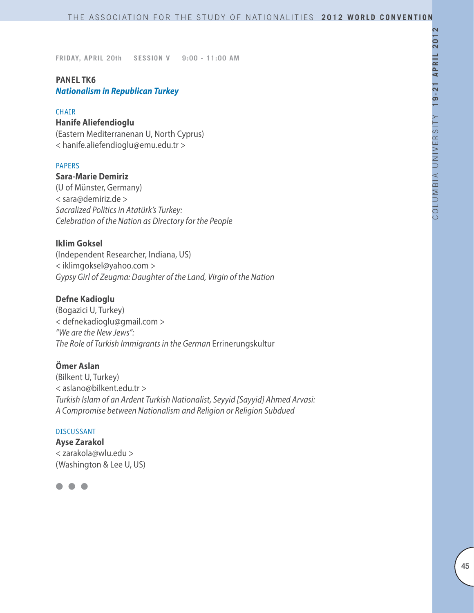### **PANEL TK6** *Nationalism in Republican Turkey*

#### CHAIR

# **Hanife Aliefendioglu**

(Eastern Mediterranenan U, North Cyprus) < hanife.aliefendioglu@emu.edu.tr >

### PAPERS

### **Sara-Marie Demiriz**

(U of Münster, Germany) < sara@demiriz.de > *Sacralized Politics in Atatürk's Turkey: Celebration of the Nation as Directory for the People*

### **Iklim Goksel**

(Independent Researcher, Indiana, US) < iklimgoksel@yahoo.com > *Gypsy Girl of Zeugma: Daughter of the Land, Virgin of the Nation*

# **Defne Kadioglu**

(Bogazici U, Turkey) < defnekadioglu@gmail.com > *"We are the New Jews": The Role of Turkish Immigrants in the German* Errinerungskultur

### **Ömer Aslan**

(Bilkent U, Turkey) < aslano@bilkent.edu.tr > *Turkish Islam of an Ardent Turkish Nationalist, Seyyid [Sayyid] Ahmed Arvasi: A Compromise between Nationalism and Religion or Religion Subdued*

#### DISCUSSANT

**Ayse Zarakol**  < zarakola@wlu.edu > (Washington & Lee U, US)

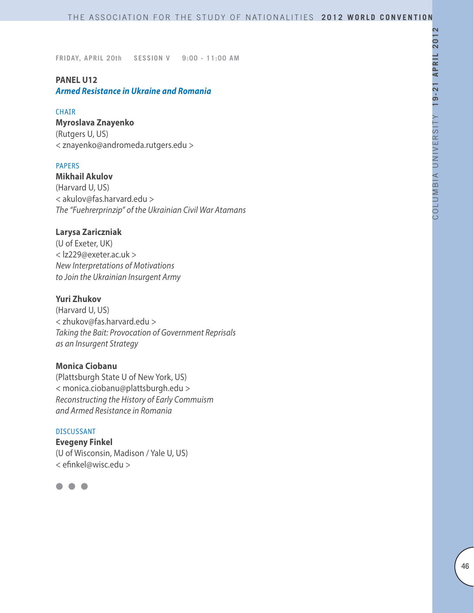# **PANEL U12**

# *Armed Resistance in Ukraine and Romania*

#### CHAIR

### **Myroslava Znayenko**

(Rutgers U, US) < znayenko@andromeda.rutgers.edu >

### PAPERS

**Mikhail Akulov** (Harvard U, US) < akulov@fas.harvard.edu > *The "Fuehrerprinzip" of the Ukrainian Civil War Atamans*

### **Larysa Zariczniak**

(U of Exeter, UK) < lz229@exeter.ac.uk > *New Interpretations of Motivations to Join the Ukrainian Insurgent Army*

# **Yuri Zhukov**

(Harvard U, US) < zhukov@fas.harvard.edu > *Taking the Bait: Provocation of Government Reprisals as an Insurgent Strategy*

### **Monica Ciobanu**

(Plattsburgh State U of New York, US) < monica.ciobanu@plattsburgh.edu > *Reconstructing the History of Early Commuism and Armed Resistance in Romania*

#### DISCUSSANT

**Evegeny Finkel** (U of Wisconsin, Madison / Yale U, US) < efinkel@wisc.edu >

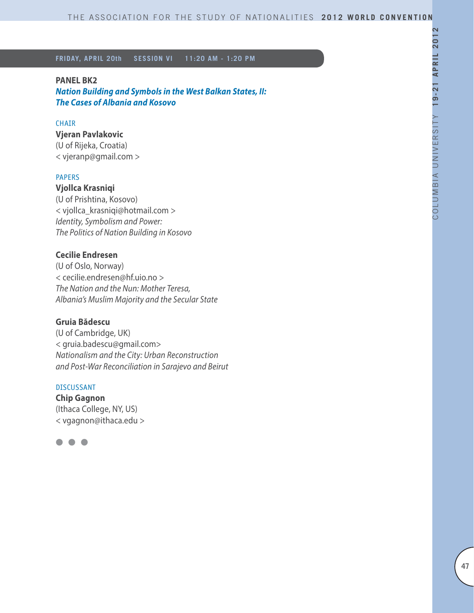#### **PANEL BK2**

*Nation Building and Symbols in the West Balkan States, II: The Cases of Albania and Kosovo*

### **CHATR**

#### **Vjeran Pavlakovic**

(U of Rijeka, Croatia) < vjeranp@gmail.com >

#### PAPERS

**Vjollca Krasniqi** (U of Prishtina, Kosovo) < vjollca\_krasniqi@hotmail.com > *Identity, Symbolism and Power: The Politics of Nation Building in Kosovo*

#### **Cecilie Endresen**

(U of Oslo, Norway) < cecilie.endresen@hf.uio.no > *The Nation and the Nun: Mother Teresa, Albania's Muslim Majority and the Secular State*

### **Gruia Bădescu**

(U of Cambridge, UK) < gruia.badescu@gmail.com> *Nationalism and the City: Urban Reconstruction and Post-War Reconciliation in Sarajevo and Beirut*

### DISCUSSANT

**Chip Gagnon** (Ithaca College, NY, US) < vgagnon@ithaca.edu >

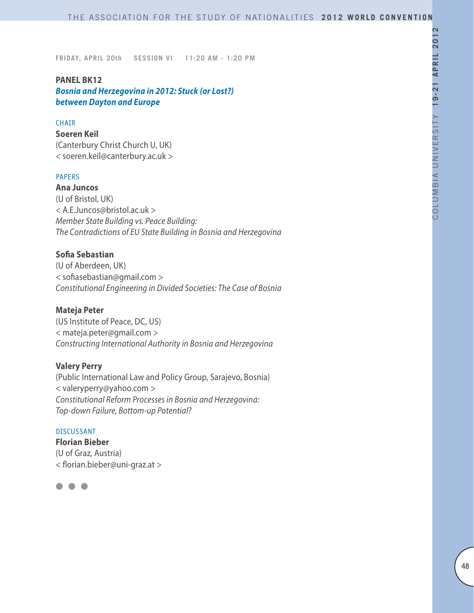# **PANEL BK12**

*Bosnia and Herzegovina in 2012: Stuck (or Lost?) between Dayton and Europe* 

#### **CHAIR**

**Soeren Keil** (Canterbury Christ Church U, UK) < soeren.keil@canterbury.ac.uk >

#### PAPERS

**Ana Juncos** (U of Bristol, UK) < A.E.Juncos@bristol.ac.uk > *Member State Building vs. Peace Building: The Contradictions of EU State Building in Bosnia and Herzegovina* 

# **Sofia Sebastian**

(U of Aberdeen, UK) < sofiasebastian@gmail.com > *Constitutional Engineering in Divided Societies: The Case of Bosnia*

#### **Mateja Peter**

(US Institute of Peace, DC, US) < mateja.peter@gmail.com > *Constructing International Authority in Bosnia and Herzegovina*

### **Valery Perry**

(Public International Law and Policy Group, Sarajevo, Bosnia) < valeryperry@yahoo.com > *Constitutional Reform Processes in Bosnia and Herzegovina: Top-down Failure, Bottom-up Potential?*

#### DISCUSSANT

**Florian Bieber** (U of Graz, Austria) < florian.bieber@uni-graz.at >

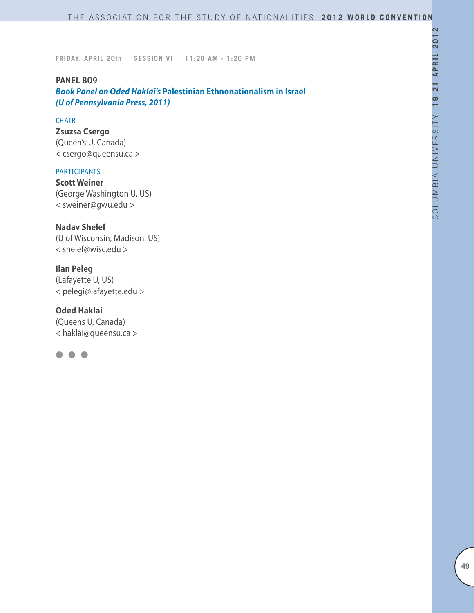### **PANEL BO9**

*Book Panel on Oded Haklai's* **Palestinian Ethnonationalism in Israel** *(U of Pennsylvania Press, 2011)*

#### CHAIR

**Zsuzsa Csergo** (Queen's U, Canada) < csergo@queensu.ca >

#### PARTICIPANTS

**Scott Weiner** (George Washington U, US) < sweiner@gwu.edu >

**Nadav Shelef**  (U of Wisconsin, Madison, US) < shelef@wisc.edu >

**Ilan Peleg** (Lafayette U, US) < pelegi@lafayette.edu >

**Oded Haklai** (Queens U, Canada) < haklai@queensu.ca >

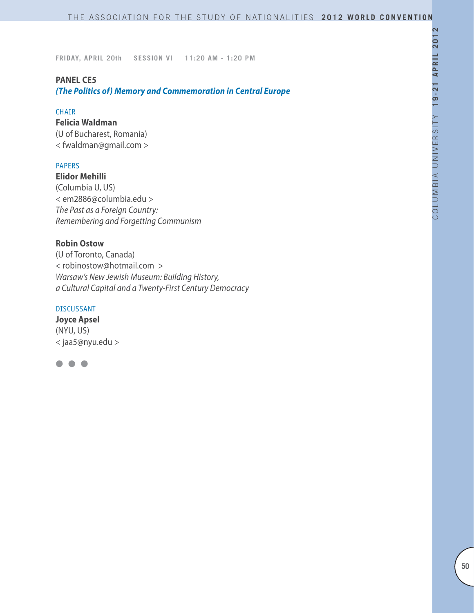#### **PANEL CE5**

*(The Politics of) Memory and Commemoration in Central Europe*

#### CHAIR

# **Felicia Waldman**

(U of Bucharest, Romania) < fwaldman@gmail.com >

# PAPERS

**Elidor Mehilli** (Columbia U, US) < em2886@columbia.edu > *The Past as a Foreign Country: Remembering and Forgetting Communism*

### **Robin Ostow**

(U of Toronto, Canada) < robinostow@hotmail.com > *Warsaw's New Jewish Museum: Building History, a Cultural Capital and a Twenty-First Century Democracy* 

### DISCUSSANT

**Joyce Apsel** (NYU, US) < jaa5@nyu.edu >

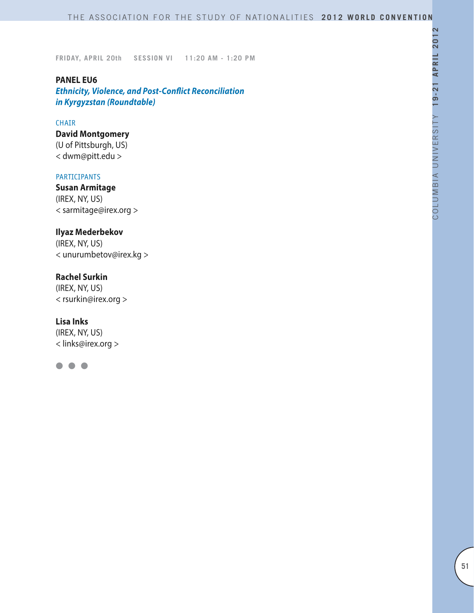**PANEL EU6** *Ethnicity, Violence, and Post-Conflict Reconciliation in Kyrgyzstan (Roundtable)*

#### CHAIR

**David Montgomery** (U of Pittsburgh, US) < dwm@pitt.edu >

#### PARTICIPANTS

**Susan Armitage** (IREX, NY, US) < sarmitage@irex.org >

# **Ilyaz Mederbekov**

(IREX, NY, US) < unurumbetov@irex.kg >

# **Rachel Surkin**

(IREX, NY, US) < rsurkin@irex.org >

### **Lisa Inks**

(IREX, NY, US) < links@irex.org >

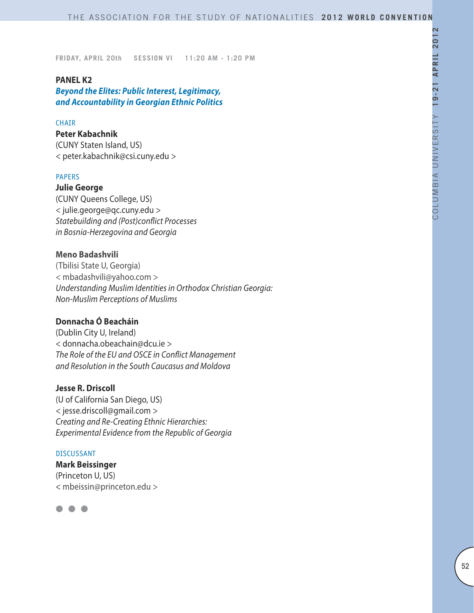### **PANEL K2**

*Beyond the Elites: Public Interest, Legitimacy, and Accountability in Georgian Ethnic Politics*

#### **CHAIR**

#### **Peter Kabachnik**

(CUNY Staten Island, US) < peter.kabachnik@csi.cuny.edu >

#### PAPERS

**Julie George** (CUNY Queens College, US) < julie.george@qc.cuny.edu > *Statebuilding and (Post)conflict Processes in Bosnia-Herzegovina and Georgia*

### **Meno Badashvili**

(Tbilisi State U, Georgia) < mbadashvili@yahoo.com > *Understanding Muslim Identities in Orthodox Christian Georgia: Non-Muslim Perceptions of Muslims*

## **Donnacha Ó Beacháin**

(Dublin City U, Ireland) < donnacha.obeachain@dcu.ie > *The Role of the EU and OSCE in Conflict Management and Resolution in the South Caucasus and Moldova*

# **Jesse R. Driscoll**

(U of California San Diego, US) < jesse.driscoll@gmail.com > *Creating and Re-Creating Ethnic Hierarchies: Experimental Evidence from the Republic of Georgia*

#### DISCUSSANT

**Mark Beissinger** (Princeton U, US) < mbeissin@princeton.edu >

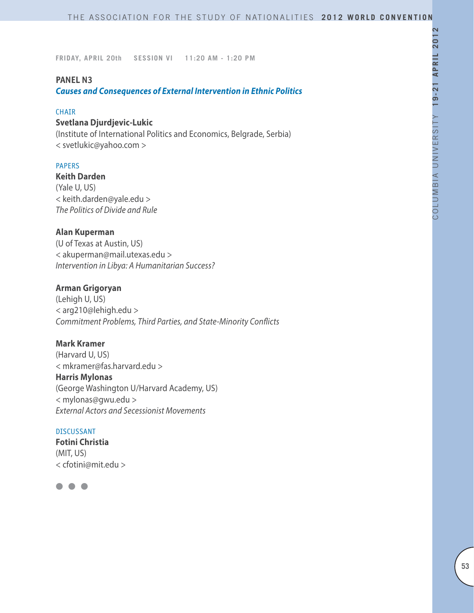### **PANEL N3**

*Causes and Consequences of External Intervention in Ethnic Politics*

#### CHAIR

### **Svetlana Djurdjevic-Lukic**

(Institute of International Politics and Economics, Belgrade, Serbia) < svetlukic@yahoo.com >

### PAPERS

#### **Keith Darden**

(Yale U, US) < keith.darden@yale.edu > *The Politics of Divide and Rule* 

### **Alan Kuperman**

(U of Texas at Austin, US) < akuperman@mail.utexas.edu > *Intervention in Libya: A Humanitarian Success?* 

### **Arman Grigoryan**

(Lehigh U, US) < arg210@lehigh.edu > *Commitment Problems, Third Parties, and State-Minority Conflicts*

#### **Mark Kramer**

(Harvard U, US) < mkramer@fas.harvard.edu > **Harris Mylonas** (George Washington U/Harvard Academy, US) < mylonas@gwu.edu > *External Actors and Secessionist Movements*

#### DISCUSSANT

**Fotini Christia** (MIT, US) < cfotini@mit.edu >

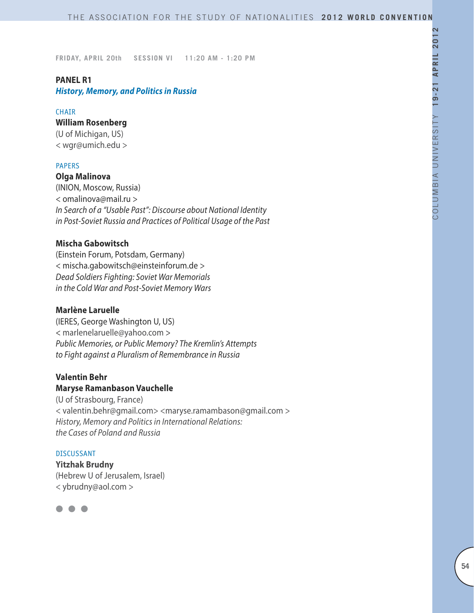#### **PANEL R1**

*History, Memory, and Politics in Russia*

#### **CHAIR**

#### **William Rosenberg**

(U of Michigan, US) < wgr@umich.edu >

#### PAPERS

**Olga Malinova** 

(INION, Moscow, Russia) < omalinova@mail.ru > *In Search of a "Usable Past": Discourse about National Identity in Post-Soviet Russia and Practices of Political Usage of the Past*

#### **Mischa Gabowitsch**

(Einstein Forum, Potsdam, Germany) < mischa.gabowitsch@einsteinforum.de > *Dead Soldiers Fighting: Soviet War Memorials in the Cold War and Post-Soviet Memory Wars*

#### **Marlène Laruelle**

(IERES, George Washington U, US) < marlenelaruelle@yahoo.com > *Public Memories, or Public Memory? The Kremlin's Attempts to Fight against a Pluralism of Remembrance in Russia*

#### **Valentin Behr Maryse Ramanbason Vauchelle**

(U of Strasbourg, France) < valentin.behr@gmail.com> <maryse.ramambason@gmail.com > *History, Memory and Politics in International Relations: the Cases of Poland and Russia*

#### DISCUSSANT

**Yitzhak Brudny** (Hebrew U of Jerusalem, Israel) < ybrudny@aol.com >

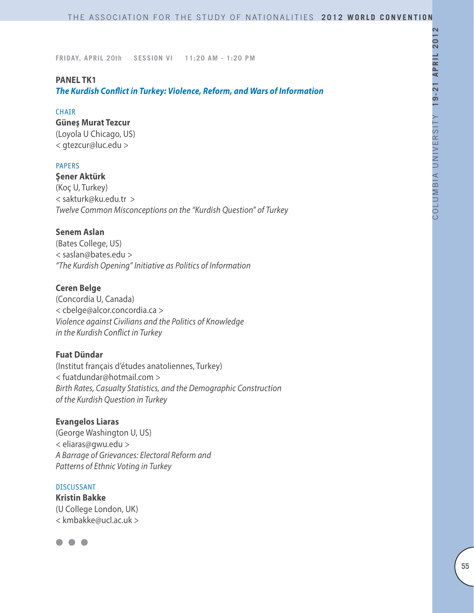### **PANEL TK1**

*The Kurdish Conflict in Turkey: Violence, Reform, and Wars of Information*

#### **CHAIR**

# **Güneş Murat Tezcur**

(Loyola U Chicago, US) < gtezcur@luc.edu >

### PAPERS

### **Şener Aktürk**

(Koç U, Turkey) < sakturk@ku.edu.tr > *Twelve Common Misconceptions on the "Kurdish Question" of Turkey*

# **Senem Aslan**

(Bates College, US) < saslan@bates.edu > *"The Kurdish Opening" Initiative as Politics of Information* 

### **Ceren Belge**

(Concordia U, Canada) < cbelge@alcor.concordia.ca > *Violence against Civilians and the Politics of Knowledge in the Kurdish Conflict in Turkey*

# **Fuat Dündar**

(Institut français d'études anatoliennes, Turkey) < fuatdundar@hotmail.com > *Birth Rates, Casualty Statistics, and the Demographic Construction of the Kurdish Question in Turkey*

### **Evangelos Liaras**

(George Washington U, US) < eliaras@gwu.edu > *A Barrage of Grievances: Electoral Reform and Patterns of Ethnic Voting in Turkey*

#### DISCUSSANT

**Kristin Bakke** (U College London, UK) < kmbakke@ucl.ac.uk >

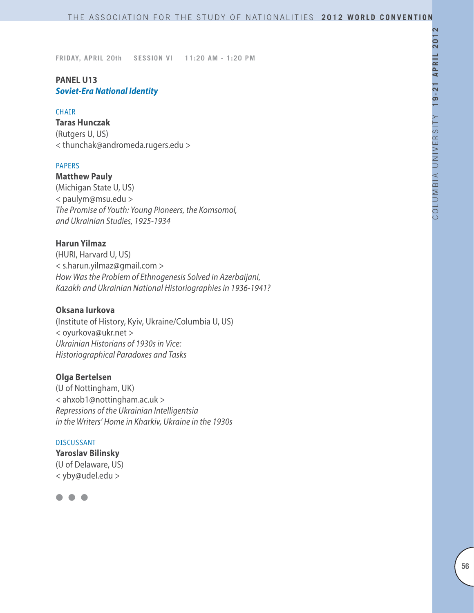# **PANEL U13** *Soviet-Era National Identity*

#### **CHAIR**

**Taras Hunczak** (Rutgers U, US) < thunchak@andromeda.rugers.edu >

#### PAPERS

**Matthew Pauly** (Michigan State U, US) < paulym@msu.edu > *The Promise of Youth: Young Pioneers, the Komsomol, and Ukrainian Studies, 1925-1934*

#### **Harun Yilmaz**

(HURI, Harvard U, US) < s.harun.yilmaz@gmail.com > *How Was the Problem of Ethnogenesis Solved in Azerbaijani, Kazakh and Ukrainian National Historiographies in 1936-1941?*

#### **Oksana Iurkova**

(Institute of History, Kyiv, Ukraine/Columbia U, US) < oyurkova@ukr.net > *Ukrainian Historians of 1930s in Vice: Historiographical Paradoxes and Tasks*

#### **Olga Bertelsen**

(U of Nottingham, UK) < ahxob1@nottingham.ac.uk > *Repressions of the Ukrainian Intelligentsia in the Writers' Home in Kharkiv, Ukraine in the 1930s*

#### DISCUSSANT

**Yaroslav Bilinsky** (U of Delaware, US) < yby@udel.edu >

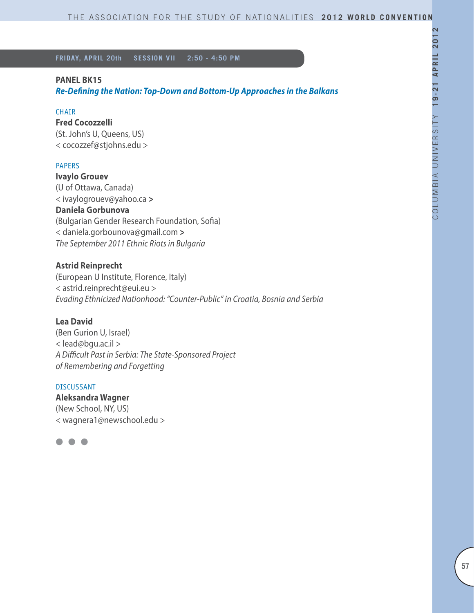### **PANEL BK15**

*Re-Defining the Nation: Top-Down and Bottom-Up Approaches in the Balkans*

#### CHAIR

# **Fred Cocozzelli**

(St. John's U, Queens, US) < cocozzef@stjohns.edu >

### PAPERS

**Ivaylo Grouev**  (U of Ottawa, Canada) < ivaylogrouev@yahoo.ca **> Daniela Gorbunova** (Bulgarian Gender Research Foundation, Sofia) < daniela.gorbounova@gmail.com **>** *The September 2011 Ethnic Riots in Bulgaria* 

# **Astrid Reinprecht**

(European U Institute, Florence, Italy) < astrid.reinprecht@eui.eu > *Evading Ethnicized Nationhood: "Counter-Public" in Croatia, Bosnia and Serbia*

### **Lea David**

(Ben Gurion U, Israel) < lead@bgu.ac.il > *A Difficult Past in Serbia: The State-Sponsored Project of Remembering and Forgetting*

#### DISCUSSANT

**Aleksandra Wagner** (New School, NY, US) < wagnera1@newschool.edu >

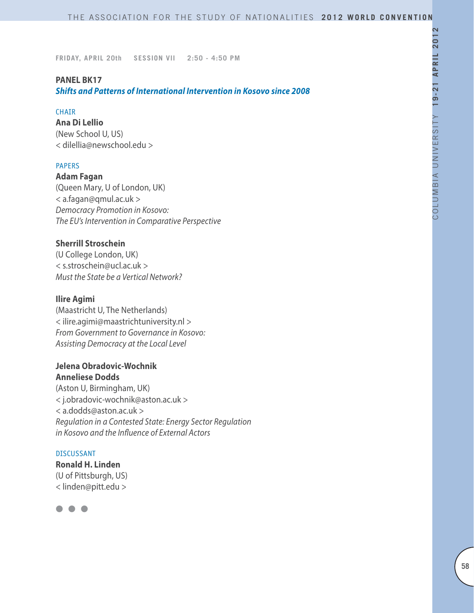### **PANEL BK17**

*Shifts and Patterns of International Intervention in Kosovo since 2008*

#### CHAIR

**Ana Di Lellio** (New School U, US) < dilellia@newschool.edu >

### PAPERS

**Adam Fagan**  (Queen Mary, U of London, UK) < a.fagan@qmul.ac.uk > *Democracy Promotion in Kosovo: The EU's Intervention in Comparative Perspective*

### **Sherrill Stroschein**

(U College London, UK) < s.stroschein@ucl.ac.uk > *Must the State be a Vertical Network?*

### **Ilire Agimi**

(Maastricht U, The Netherlands) < ilire.agimi@maastrichtuniversity.nl > *From Government to Governance in Kosovo: Assisting Democracy at the Local Level* 

### **Jelena Obradovic-Wochnik Anneliese Dodds**

(Aston U, Birmingham, UK) < j.obradovic-wochnik@aston.ac.uk > < a.dodds@aston.ac.uk > *Regulation in a Contested State: Energy Sector Regulation in Kosovo and the Influence of External Actors* 

#### DISCUSSANT

**Ronald H. Linden** (U of Pittsburgh, US) < linden@pitt.edu >

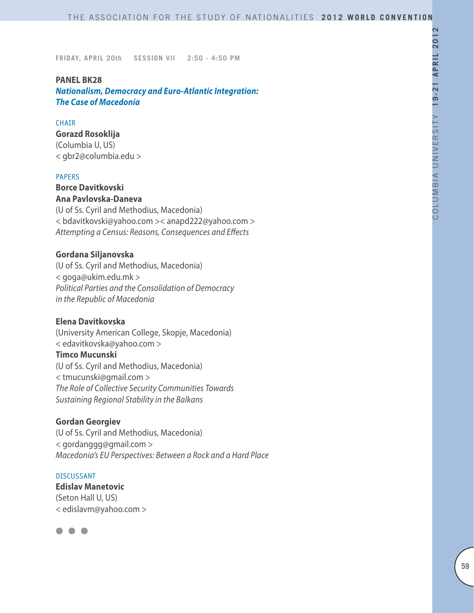#### **PANEL BK28**

*Nationalism, Democracy and Euro-Atlantic Integration: The Case of Macedonia*

#### **CHAIR**

#### **Gorazd Rosoklija**

(Columbia U, US) < gbr2@columbia.edu >

#### PAPERS

#### **Borce Davitkovski Ana Pavlovska-Daneva**

(U of Ss. Cyril and Methodius, Macedonia) < bdavitkovski@yahoo.com >< anapd222@yahoo.com > *Attempting a Census: Reasons, Consequences and Effects*

### **Gordana Siljanovska**

(U of Ss. Cyril and Methodius, Macedonia) < goga@ukim.edu.mk > *Political Parties and the Consolidation of Democracy in the Republic of Macedonia*

#### **Elena Davitkovska**

(University American College, Skopje, Macedonia) < edavitkovska@yahoo.com >

# **Timco Mucunski**

(U of Ss. Cyril and Methodius, Macedonia) < tmucunski@gmail.com > *The Role of Collective Security Communities Towards Sustaining Regional Stability in the Balkans*

#### **Gordan Georgiev**

(U of Ss. Cyril and Methodius, Macedonia) < gordanggg@gmail.com > *Macedonia's EU Perspectives: Between a Rock and a Hard Place*

#### DISCUSSANT

**Edislav Manetovic** (Seton Hall U, US) < edislavm@yahoo.com >

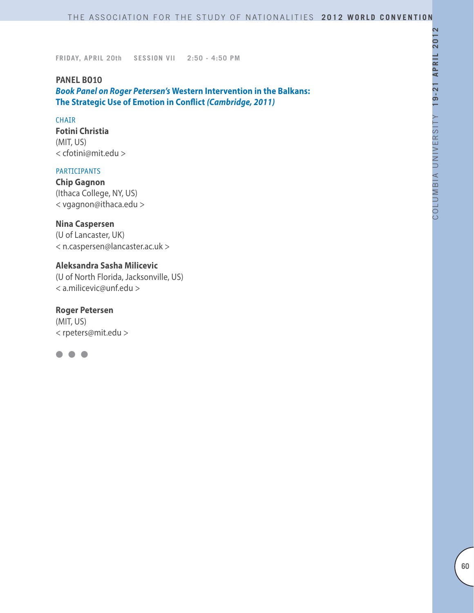# **PANEL BO10** *Book Panel on Roger Petersen's* **Western Intervention in the Balkans: The Strategic Use of Emotion in Conflict** *(Cambridge, 2011)*

#### CHAIR

**Fotini Christia** (MIT, US) < cfotini@mit.edu >

### PARTICIPANTS

**Chip Gagnon** (Ithaca College, NY, US) < vgagnon@ithaca.edu >

#### **Nina Caspersen**

(U of Lancaster, UK) < n.caspersen@lancaster.ac.uk >

# **Aleksandra Sasha Milicevic**

(U of North Florida, Jacksonville, US) < a.milicevic@unf.edu >

### **Roger Petersen**

(MIT, US) < rpeters@mit.edu >

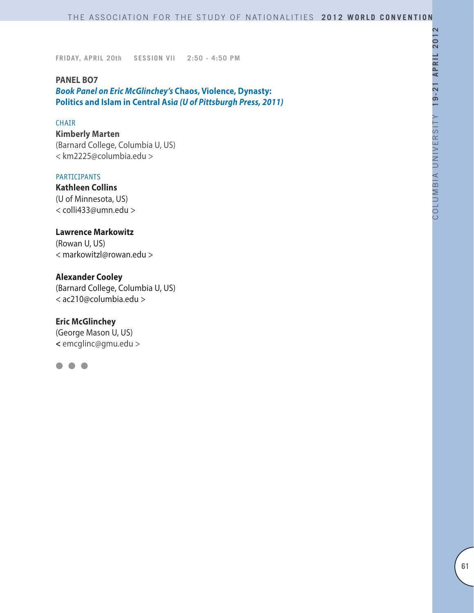**PANEL BO7** *Book Panel on Eric McGlinchey's* **Chaos, Violence, Dynasty: Politics and Islam in Central Asi***a (U of Pittsburgh Press, 2011)*

#### CHAIR

**Kimberly Marten** (Barnard College, Columbia U, US) < km2225@columbia.edu >

#### **PARTICIPANTS**

**Kathleen Collins** (U of Minnesota, US) < colli433@umn.edu >

# **Lawrence Markowitz**

(Rowan U, US) < markowitzl@rowan.edu >

# **Alexander Cooley**

(Barnard College, Columbia U, US) < ac210@columbia.edu >

# **Eric McGlinchey**

(George Mason U, US) **<** emcglinc@gmu.edu >

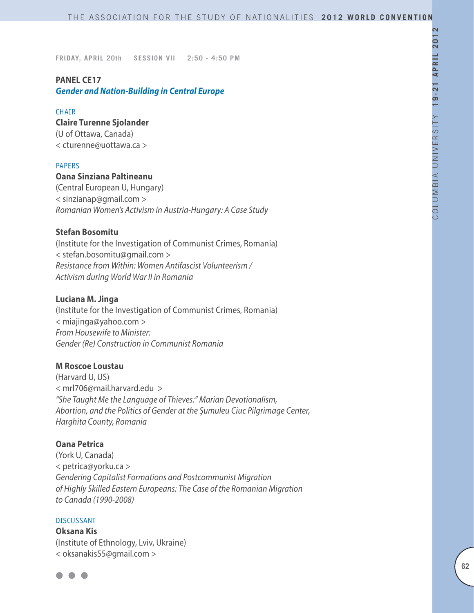# **PANEL CE17** *Gender and Nation-Building in Central Europe*

#### **CHAIR**

# **Claire Turenne Sjolander**

(U of Ottawa, Canada) < cturenne@uottawa.ca >

#### PAPERS

### **Oana Sinziana Paltineanu**

(Central European U, Hungary) < sinzianap@gmail.com > *Romanian Women's Activism in Austria-Hungary: A Case Study*

#### **Stefan Bosomitu**

(Institute for the Investigation of Communist Crimes, Romania) < stefan.bosomitu@gmail.com > *Resistance from Within: Women Antifascist Volunteerism / Activism during World War II in Romania*

#### **Luciana M. Jinga**

(Institute for the Investigation of Communist Crimes, Romania) < miajinga@yahoo.com > *From Housewife to Minister: Gender (Re) Construction in Communist Romania*

### **M Roscoe Loustau**

(Harvard U, US) < mrl706@mail.harvard.edu > *"She Taught Me the Language of Thieves:" Marian Devotionalism, Abortion, and the Politics of Gender at the Şumuleu Ciuc Pilgrimage Center, Harghita County, Romania*

#### **Oana Petrica**

(York U, Canada) < petrica@yorku.ca > *Gendering Capitalist Formations and Postcommunist Migration of Highly Skilled Eastern Europeans: The Case of the Romanian Migration to Canada (1990-2008)*

### DISCUSSANT

**Oksana Kis** (Institute of Ethnology, Lviv, Ukraine) < oksanakis55@gmail.com >

$$
\bullet\bullet\bullet
$$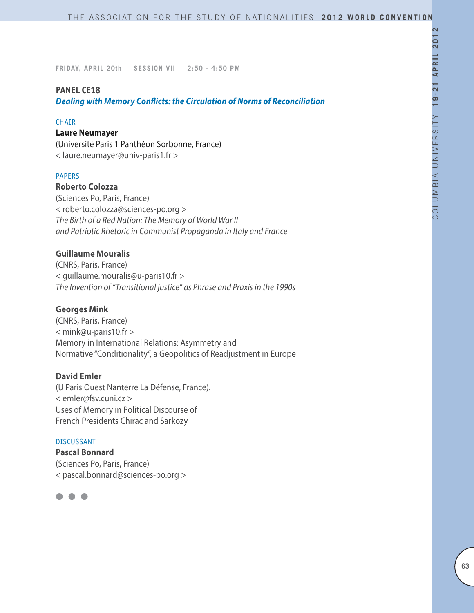# **PANEL CE18**

*Dealing with Memory Conflicts: the Circulation of Norms of Reconciliation*

#### CHAIR

#### **Laure Neumayer**

(Université Paris 1 Panthéon Sorbonne, France) < laure.neumayer@univ-paris1.fr >

#### PAPERS

#### **Roberto Colozza**

(Sciences Po, Paris, France) < roberto.colozza@sciences-po.org > *The Birth of a Red Nation: The Memory of World War II and Patriotic Rhetoric in Communist Propaganda in Italy and France*

# **Guillaume Mouralis**

(CNRS, Paris, France) < guillaume.mouralis@u-paris10.fr > *The Invention of "Transitional justice" as Phrase and Praxis in the 1990s*

#### **Georges Mink**

(CNRS, Paris, France) < mink@u-paris10.fr > Memory in International Relations: Asymmetry and Normative "Conditionality", a Geopolitics of Readjustment in Europe

#### **David Emler**

(U Paris Ouest Nanterre La Défense, France). < emler@fsv.cuni.cz > Uses of Memory in Political Discourse of French Presidents Chirac and Sarkozy

#### DISCUSSANT

**Pascal Bonnard** (Sciences Po, Paris, France) < pascal.bonnard@sciences-po.org >

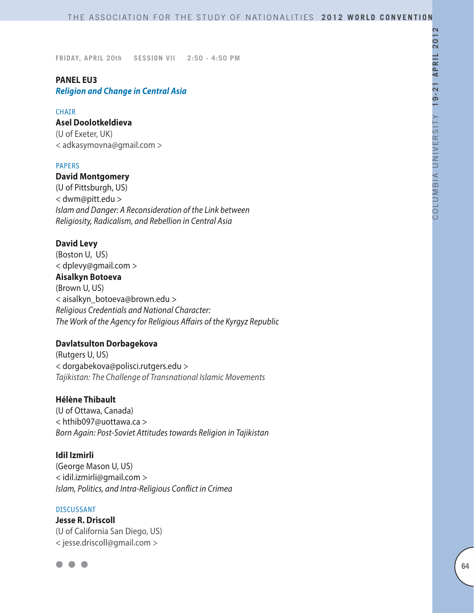# **PANEL EU3**

*Religion and Change in Central Asia*

#### CHAIR

### **Asel Doolotkeldieva**

(U of Exeter, UK) < adkasymovna@gmail.com >

### PAPERS

# **David Montgomery**

(U of Pittsburgh, US) < dwm@pitt.edu > *Islam and Danger: A Reconsideration of the Link between Religiosity, Radicalism, and Rebellion in Central Asia*

### **David Levy**

(Boston U, US) < dplevy@gmail.com > **Aisalkyn Botoeva** (Brown U, US) < aisalkyn\_botoeva@brown.edu > *Religious Credentials and National Character: The Work of the Agency for Religious Affairs of the Kyrgyz Republic*

### **Davlatsulton Dorbagekova**

(Rutgers U, US) < dorgabekova@polisci.rutgers.edu > *Tajikistan: The Challenge of Transnational Islamic Movements*

#### **Hélène Thibault**

(U of Ottawa, Canada) < hthib097@uottawa.ca > *Born Again: Post-Soviet Attitudes towards Religion in Tajikistan*

#### **Idil Izmirli**

(George Mason U, US) < idil.izmirli@gmail.com > *Islam, Politics, and Intra-Religious Conflict in Crimea*

#### **DISCUSSANT**

**Jesse R. Driscoll** (U of California San Diego, US) < jesse.driscoll@gmail.com >

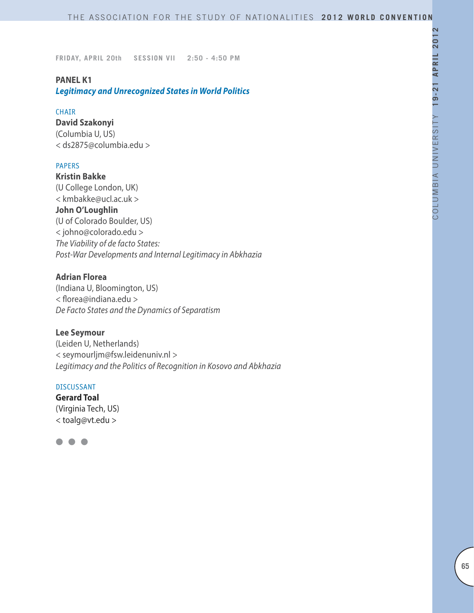### **PANEL K1**

*Legitimacy and Unrecognized States in World Politics*

#### CHAIR

**David Szakonyi** (Columbia U, US) < ds2875@columbia.edu >

### PAPERS

**Kristin Bakke** (U College London, UK) < kmbakke@ucl.ac.uk > **John O'Loughlin** (U of Colorado Boulder, US) < johno@colorado.edu > *The Viability of de facto States: Post-War Developments and Internal Legitimacy in Abkhazia*

### **Adrian Florea**

(Indiana U, Bloomington, US) < florea@indiana.edu > *De Facto States and the Dynamics of Separatism*

### **Lee Seymour**

(Leiden U, Netherlands) < seymourljm@fsw.leidenuniv.nl > *Legitimacy and the Politics of Recognition in Kosovo and Abkhazia*

#### DISCUSSANT

**Gerard Toal** (Virginia Tech, US) < toalg@vt.edu >

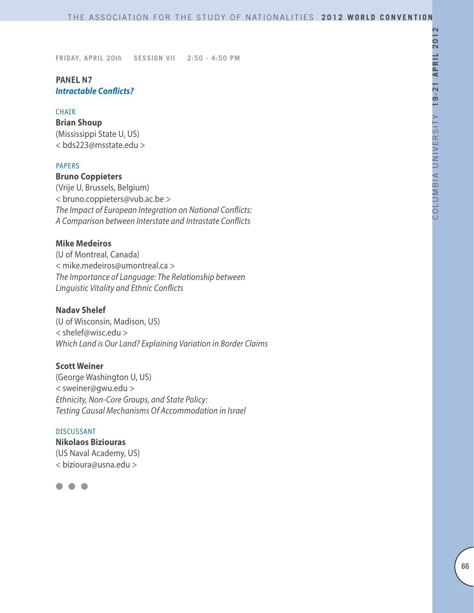# **PANEL N7** *Intractable Conflicts?*

#### CHAIR

**Brian Shoup** (Mississippi State U, US) < bds223@msstate.edu >

### PAPERS

# **Bruno Coppieters**

(Vrije U, Brussels, Belgium) < bruno.coppieters@vub.ac.be > *The Impact of European Integration on National Conflicts: A Comparison between Interstate and Intrastate Conflicts* 

### **Mike Medeiros**

(U of Montreal, Canada) < mike.medeiros@umontreal.ca > *The Importance of Language: The Relationship between Linguistic Vitality and Ethnic Conflicts*

#### **Nadav Shelef**

(U of Wisconsin, Madison, US) < shelef@wisc.edu > *Which Land is Our Land? Explaining Variation in Border Claims*

### **Scott Weiner**

(George Washington U, US) < sweiner@gwu.edu > *Ethnicity, Non-Core Groups, and State Policy: Testing Causal Mechanisms Of Accommodation in Israel*

#### DISCUSSANT

**Nikolaos Biziouras** (US Naval Academy, US) < bizioura@usna.edu >

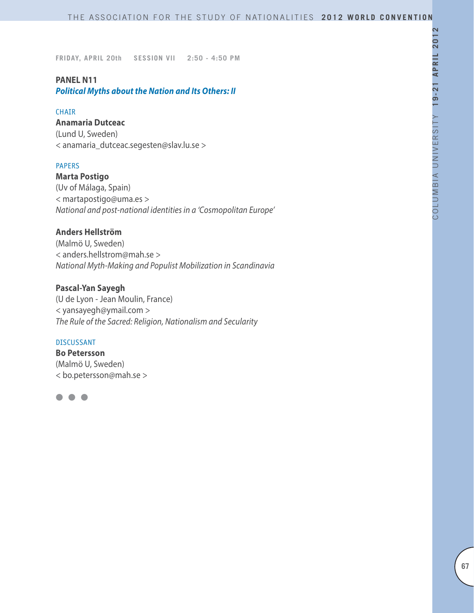# **PANEL N11**

*Political Myths about the Nation and Its Others: II*

#### CHAIR

#### **Anamaria Dutceac**

(Lund U, Sweden) < anamaria\_dutceac.segesten@slav.lu.se >

# PAPERS

**Marta Postigo** (Uv of Málaga, Spain) < martapostigo@uma.es > *National and post-national identities in a 'Cosmopolitan Europe'*

# **Anders Hellström**

(Malmö U, Sweden) < anders.hellstrom@mah.se > *National Myth-Making and Populist Mobilization in Scandinavia*

# **Pascal-Yan Sayegh**

(U de Lyon - Jean Moulin, France) < yansayegh@ymail.com > *The Rule of the Sacred: Religion, Nationalism and Secularity*

#### DISCUSSANT

**Bo Petersson** (Malmö U, Sweden) < bo.petersson@mah.se >

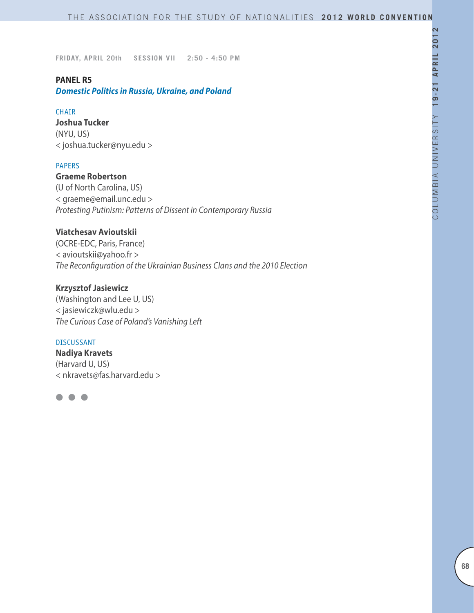#### **PANEL R5**

*Domestic Politics in Russia, Ukraine, and Poland*

#### CHAIR

**Joshua Tucker** (NYU, US) < joshua.tucker@nyu.edu >

### PAPERS

**Graeme Robertson** (U of North Carolina, US)

< graeme@email.unc.edu > *Protesting Putinism: Patterns of Dissent in Contemporary Russia*

# **Viatchesav Avioutskii**

(OCRE-EDC, Paris, France) < avioutskii@yahoo.fr > *The Reconfiguration of the Ukrainian Business Clans and the 2010 Election*

### **Krzysztof Jasiewicz**

(Washington and Lee U, US) < jasiewiczk@wlu.edu > *The Curious Case of Poland's Vanishing Left*

### DISCUSSANT

**Nadiya Kravets** (Harvard U, US) < nkravets@fas.harvard.edu >

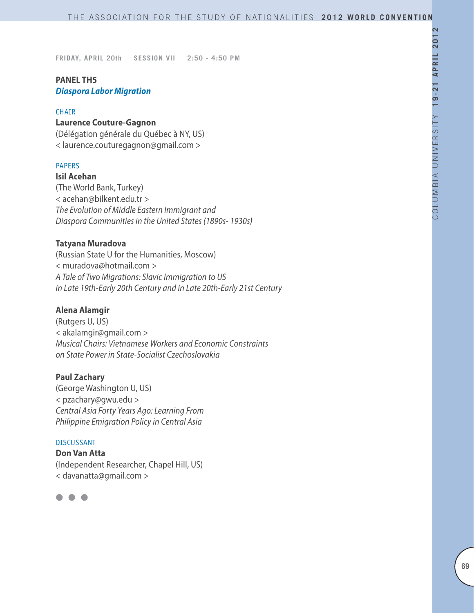# **PANEL TH5** *Diaspora Labor Migration*

#### CHAIR

#### **Laurence Couture-Gagnon**

(Délégation générale du Québec à NY, US) < laurence.couturegagnon@gmail.com >

### PAPERS

**Isil Acehan**

(The World Bank, Turkey) < acehan@bilkent.edu.tr > *The Evolution of Middle Eastern Immigrant and Diaspora Communities in the United States (1890s- 1930s)*

# **Tatyana Muradova**

(Russian State U for the Humanities, Moscow) < muradova@hotmail.com > *A Tale of Two Migrations: Slavic Immigration to US in Late 19th-Early 20th Century and in Late 20th-Early 21st Century*

### **Alena Alamgir**

(Rutgers U, US) < akalamgir@gmail.com > *Musical Chairs: Vietnamese Workers and Economic Constraints on State Power in State-Socialist Czechoslovakia*

#### **Paul Zachary**

(George Washington U, US) < pzachary@gwu.edu > *Central Asia Forty Years Ago: Learning From Philippine Emigration Policy in Central Asia*

#### DISCUSSANT

**Don Van Atta** (Independent Researcher, Chapel Hill, US) < davanatta@gmail.com >

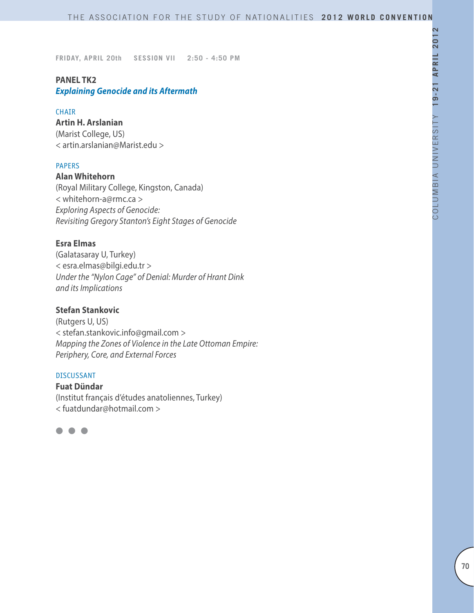### **PANEL TK2** *Explaining Genocide and its Aftermath*

#### CHAIR

**Artin H. Arslanian** (Marist College, US) < artin.arslanian@Marist.edu >

### PAPERS

**Alan Whitehorn** (Royal Military College, Kingston, Canada) < whitehorn-a@rmc.ca > *Exploring Aspects of Genocide: Revisiting Gregory Stanton's Eight Stages of Genocide*

### **Esra Elmas**

(Galatasaray U, Turkey) < esra.elmas@bilgi.edu.tr > *Under the "Nylon Cage" of Denial: Murder of Hrant Dink and its Implications*

# **Stefan Stankovic**

(Rutgers U, US) < stefan.stankovic.info@gmail.com > *Mapping the Zones of Violence in the Late Ottoman Empire: Periphery, Core, and External Forces*

#### DISCUSSANT

**Fuat Dündar** (Institut français d'études anatoliennes, Turkey) < fuatdundar@hotmail.com >

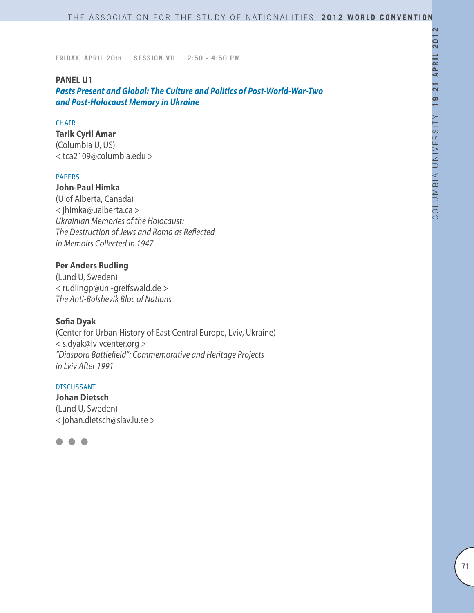#### **PANEL U1**

*Pasts Present and Global: The Culture and Politics of Post-World-War-Two and Post-Holocaust Memory in Ukraine*

#### CHAIR

# **Tarik Cyril Amar**

(Columbia U, US) < tca2109@columbia.edu >

### PAPERS

# **John-Paul Himka**

(U of Alberta, Canada) < jhimka@ualberta.ca > *Ukrainian Memories of the Holocaust: The Destruction of Jews and Roma as Reflected in Memoirs Collected in 1947*

# **Per Anders Rudling**

(Lund U, Sweden) < rudlingp@uni-greifswald.de > *The Anti-Bolshevik Bloc of Nations*

#### **Sofia Dyak**

(Center for Urban History of East Central Europe, Lviv, Ukraine) < s.dyak@lvivcenter.org > *"Diaspora Battlefield": Commemorative and Heritage Projects in Lviv After 1991*

### DISCUSSANT

**Johan Dietsch** (Lund U, Sweden) < johan.dietsch@slav.lu.se >

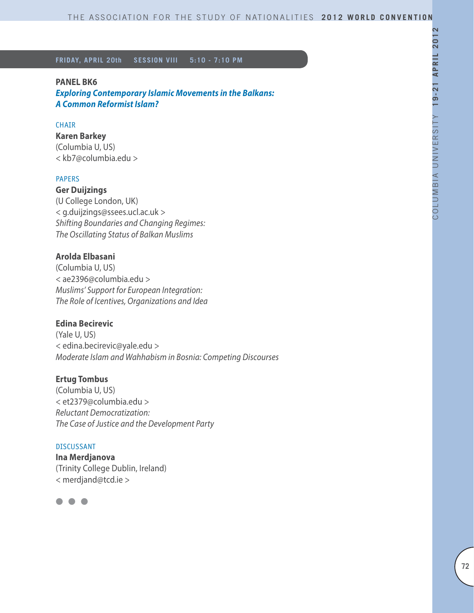#### **PANEL BK6**

*Exploring Contemporary Islamic Movements in the Balkans: A Common Reformist Islam?*

#### **CHAIR**

# **Karen Barkey**

(Columbia U, US) < kb7@columbia.edu >

#### PAPERS

**Ger Duijzings** (U College London, UK) < g.duijzings@ssees.ucl.ac.uk > *Shifting Boundaries and Changing Regimes: The Oscillating Status of Balkan Muslims*

# **Arolda Elbasani**

(Columbia U, US) < ae2396@columbia.edu > *Muslims' Support for European Integration: The Role of Icentives, Organizations and Idea*

### **Edina Becirevic**

(Yale U, US) < edina.becirevic@yale.edu > *Moderate Islam and Wahhabism in Bosnia: Competing Discourses*

# **Ertug Tombus**

(Columbia U, US) < et2379@columbia.edu > *Reluctant Democratization: The Case of Justice and the Development Party*

#### DISCUSSANT

**Ina Merdjanova** (Trinity College Dublin, Ireland) < merdjand@tcd.ie >

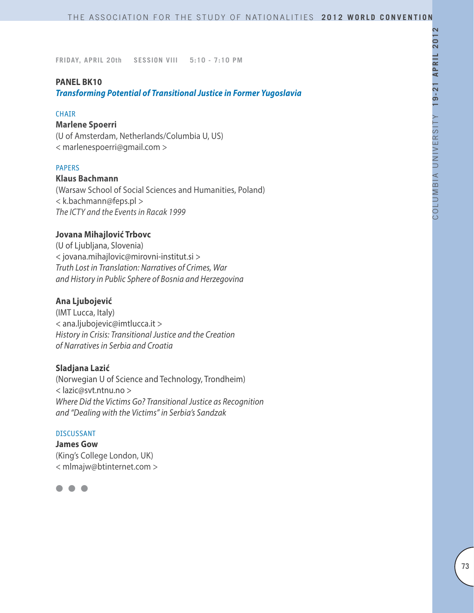#### **PANEL BK10**

*Transforming Potential of Transitional Justice in Former Yugoslavia*

#### **CHAIR**

# **Marlene Spoerri**

(U of Amsterdam, Netherlands/Columbia U, US) < marlenespoerri@gmail.com >

#### PAPERS

### **Klaus Bachmann**

(Warsaw School of Social Sciences and Humanities, Poland) < k.bachmann@feps.pl > *The ICTY and the Events in Racak 1999*

## **Jovana Mihajlović Trbovc**

(U of Ljubljana, Slovenia) < jovana.mihajlovic@mirovni-institut.si > *Truth Lost in Translation: Narratives of Crimes, War and History in Public Sphere of Bosnia and Herzegovina*

### **Ana Ljubojević**

(IMT Lucca, Italy) < ana.ljubojevic@imtlucca.it > *History in Crisis: Transitional Justice and the Creation of Narratives in Serbia and Croatia*

#### **Sladjana Lazić**

(Norwegian U of Science and Technology, Trondheim) < lazic@svt.ntnu.no > *Where Did the Victims Go? Transitional Justice as Recognition and "Dealing with the Victims" in Serbia's Sandzak*

#### DISCUSSANT

**James Gow**  (King's College London, UK) < mlmajw@btinternet.com >

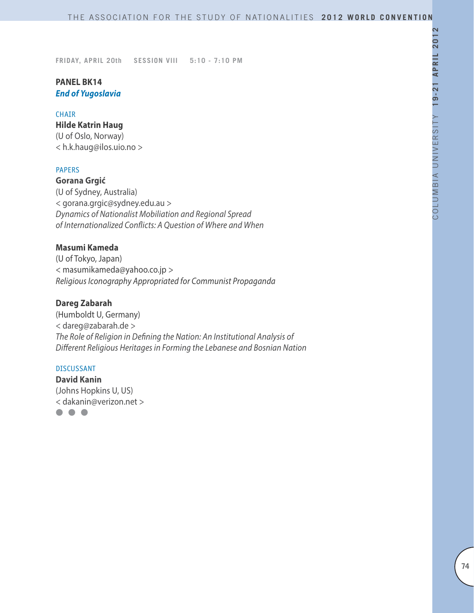# **PANEL BK14** *End of Yugoslavia*

### **CHAIR**

### **Hilde Katrin Haug**

(U of Oslo, Norway) < h.k.haug@ilos.uio.no >

### PAPERS

**Gorana Grgić** (U of Sydney, Australia) < gorana.grgic@sydney.edu.au > *Dynamics of Nationalist Mobiliation and Regional Spread of Internationalized Conflicts: A Question of Where and When*

# **Masumi Kameda**

(U of Tokyo, Japan) < masumikameda@yahoo.co.jp > *Religious Iconography Appropriated for Communist Propaganda*

# **Dareg Zabarah**

(Humboldt U, Germany) < dareg@zabarah.de > *The Role of Religion in Defining the Nation: An Institutional Analysis of Different Religious Heritages in Forming the Lebanese and Bosnian Nation* 

### DISCUSSANT

**David Kanin** (Johns Hopkins U, US) < dakanin@verizon.net >

 $\bullet$   $\bullet$   $\bullet$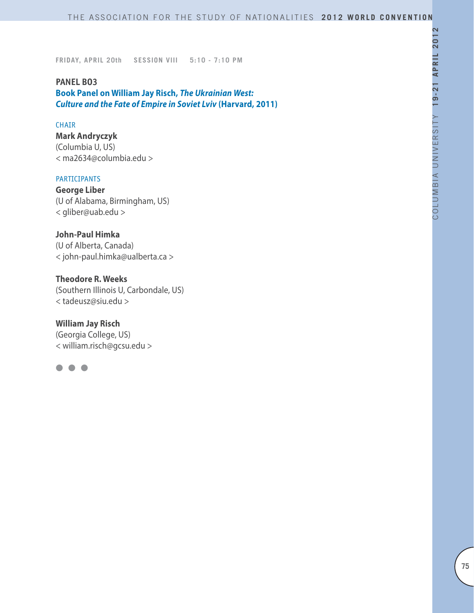### **PANEL BO3**

**Book Panel on William Jay Risch,** *The Ukrainian West: Culture and the Fate of Empire in Soviet Lviv* **(Harvard, 2011)**

#### **CHAIR**

**Mark Andryczyk** (Columbia U, US) < ma2634@columbia.edu >

# PARTICIPANTS

**George Liber** (U of Alabama, Birmingham, US) < gliber@uab.edu >

**John-Paul Himka** (U of Alberta, Canada) < john-paul.himka@ualberta.ca >

# **Theodore R. Weeks**

(Southern Illinois U, Carbondale, US) < tadeusz@siu.edu >

**William Jay Risch**

(Georgia College, US) < william.risch@gcsu.edu >

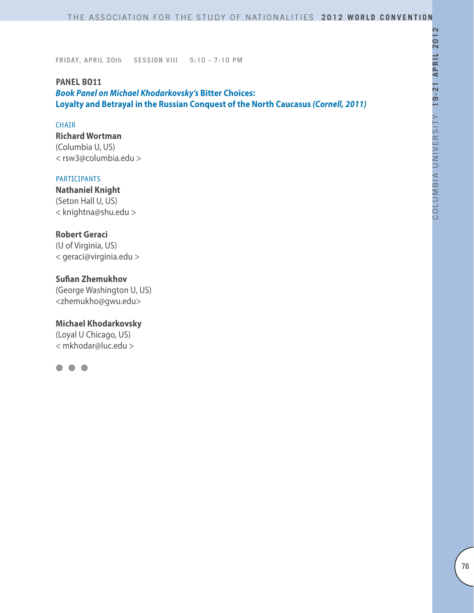### **PANEL BO11**

*Book Panel on Michael Khodarkovsky's* **Bitter Choices: Loyalty and Betrayal in the Russian Conquest of the North Caucasus** *(Cornell, 2011)*

### CHAIR

**Richard Wortman** (Columbia U, US) < rsw3@columbia.edu >

### PARTICIPANTS

**Nathaniel Knight** (Seton Hall U, US) < knightna@shu.edu >

## **Robert Geraci**

(U of Virginia, US) < geraci@virginia.edu >

# **Sufian Zhemukhov**

(George Washington U, US) <zhemukho@gwu.edu>

#### **Michael Khodarkovsky**

(Loyal U Chicago, US) < mkhodar@luc.edu >

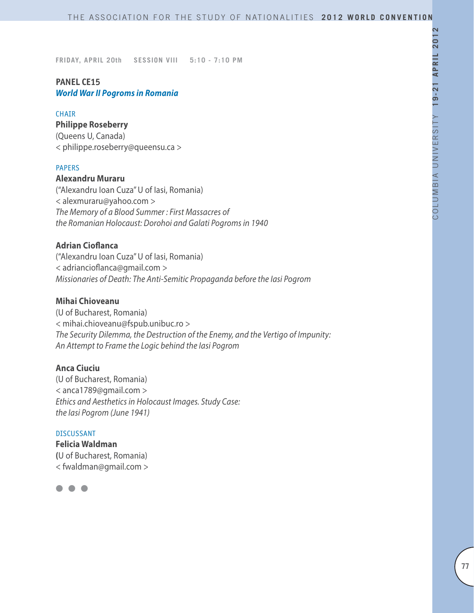# **PANEL CE15** *World War II Pogroms in Romania*

### **CHAIR**

# **Philippe Roseberry**

(Queens U, Canada) < philippe.roseberry@queensu.ca >

#### PAPERS

**Alexandru Muraru**  ("Alexandru Ioan Cuza" U of Iasi, Romania) < alexmuraru@yahoo.com > *The Memory of a Blood Summer : First Massacres of the Romanian Holocaust: Dorohoi and Galati Pogroms in 1940*

## **Adrian Cioflanca**

("Alexandru Ioan Cuza" U of Iasi, Romania) < adriancioflanca@gmail.com > *Missionaries of Death: The Anti-Semitic Propaganda before the Iasi Pogrom*

## **Mihai Chioveanu**

(U of Bucharest, Romania) < mihai.chioveanu@fspub.unibuc.ro > *The Security Dilemma, the Destruction of the Enemy, and the Vertigo of Impunity: An Attempt to Frame the Logic behind the Iasi Pogrom*

## **Anca Ciuciu**

(U of Bucharest, Romania) < anca1789@gmail.com > *Ethics and Aesthetics in Holocaust Images. Study Case: the Iasi Pogrom (June 1941)*

### DISCUSSANT

**Felicia Waldman (**U of Bucharest, Romania) < fwaldman@gmail.com >

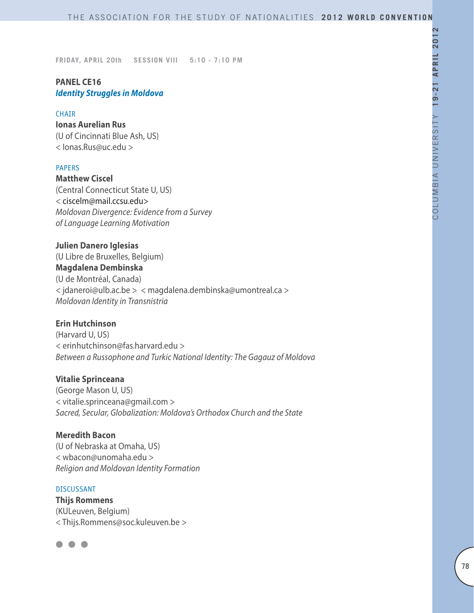# **PANEL CE16** *Identity Struggles in Moldova*

#### CHAIR

# **Ionas Aurelian Rus**

(U of Cincinnati Blue Ash, US) < Ionas.Rus@uc.edu >

#### **PAPERS**

**Matthew Ciscel** (Central Connecticut State U, US) < ciscelm@mail.ccsu.edu> *Moldovan Divergence: Evidence from a Survey of Language Learning Motivation*

**Julien Danero Iglesias** 

(U Libre de Bruxelles, Belgium) **Magdalena Dembinska** (U de Montréal, Canada) < jdaneroi@ulb.ac.be > < magdalena.dembinska@umontreal.ca > *Moldovan Identity in Transnistria*

# **Erin Hutchinson**

(Harvard U, US) < erinhutchinson@fas.harvard.edu > *Between a Russophone and Turkic National Identity: The Gagauz of Moldova*

### **Vitalie Sprinceana**

(George Mason U, US) < vitalie.sprinceana@gmail.com > *Sacred, Secular, Globalization: Moldova's Orthodox Church and the State*

## **Meredith Bacon**

(U of Nebraska at Omaha, US) < wbacon@unomaha.edu > *Religion and Moldovan Identity Formation*

### DISCUSSANT

**Thijs Rommens** (KULeuven, Belgium) < Thijs.Rommens@soc.kuleuven.be >

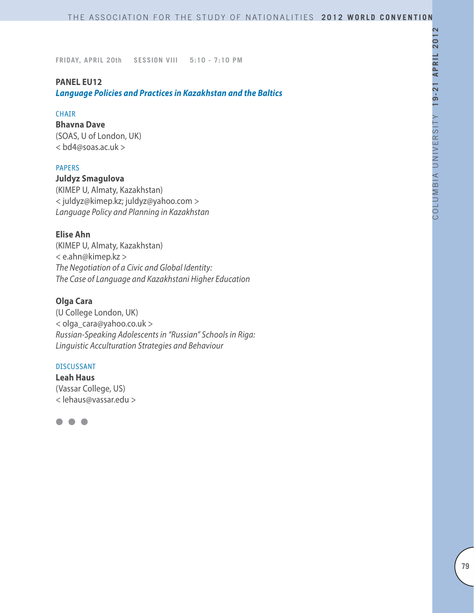#### **PANEL EU12**

*Language Policies and Practices in Kazakhstan and the Baltics*

#### **CHAIR**

**Bhavna Dave** (SOAS, U of London, UK) < bd4@soas.ac.uk >

### PAPERS

**Juldyz Smagulova** (KIMEP U, Almaty, Kazakhstan) < juldyz@kimep.kz; juldyz@yahoo.com > *Language Policy and Planning in Kazakhstan*

# **Elise Ahn**

(KIMEP U, Almaty, Kazakhstan) < e.ahn@kimep.kz > *The Negotiation of a Civic and Global Identity: The Case of Language and Kazakhstani Higher Education*

# **Olga Cara**

(U College London, UK) < olga\_cara@yahoo.co.uk > *Russian-Speaking Adolescents in "Russian" Schools in Riga: Linguistic Acculturation Strategies and Behaviour*

### DISCUSSANT

**Leah Haus** (Vassar College, US) < lehaus@vassar.edu >

 $\bullet$   $\bullet$   $\bullet$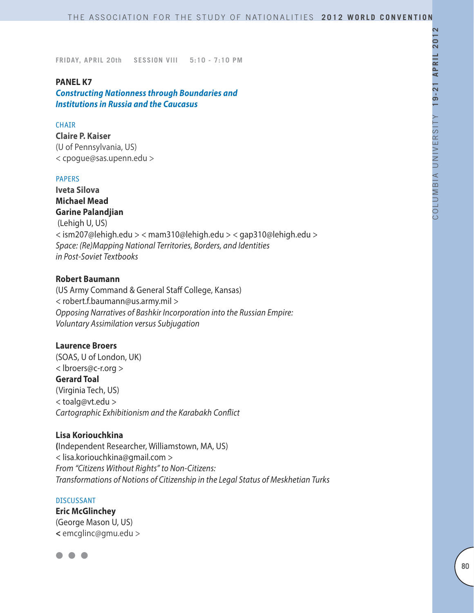### **PANEL K7**

*Constructing Nationness through Boundaries and Institutions in Russia and the Caucasus*

#### **CHAIR**

**Claire P. Kaiser** (U of Pennsylvania, US) < cpogue@sas.upenn.edu >

#### PAPERS

**Iveta Silova Michael Mead Garine Palandjian**

 (Lehigh U, US) < ism207@lehigh.edu > < mam310@lehigh.edu > < gap310@lehigh.edu > *Space: (Re)Mapping National Territories, Borders, and Identities in Post-Soviet Textbooks*

#### **Robert Baumann**

(US Army Command & General Staff College, Kansas) < robert.f.baumann@us.army.mil > *Opposing Narratives of Bashkir Incorporation into the Russian Empire: Voluntary Assimilation versus Subjugation*

#### **Laurence Broers**

(SOAS, U of London, UK) < lbroers@c-r.org > **Gerard Toal** (Virginia Tech, US) < toalg@vt.edu > *Cartographic Exhibitionism and the Karabakh Conflict*

### **Lisa Koriouchkina**

**(**Independent Researcher, Williamstown, MA, US) < lisa.koriouchkina@gmail.com > *From "Citizens Without Rights" to Non-Citizens: Transformations of Notions of Citizenship in the Legal Status of Meskhetian Turks*

#### DISCUSSANT

**Eric McGlinchey** (George Mason U, US) **<** emcglinc@gmu.edu >

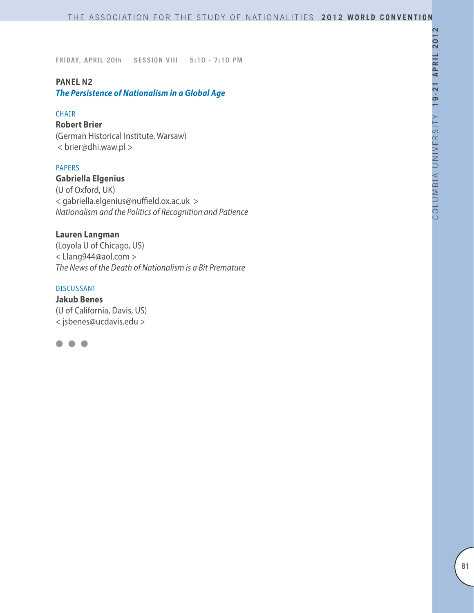# **PANEL N2**

*The Persistence of Nationalism in a Global Age* 

### CHAIR

# **Robert Brier**

(German Historical Institute, Warsaw) < brier@dhi.waw.pl >

#### PAPERS

**Gabriella Elgenius** (U of Oxford, UK) < gabriella.elgenius@nuffield.ox.ac.uk > *Nationalism and the Politics of Recognition and Patience*

## **Lauren Langman**

(Loyola U of Chicago, US) < Llang944@aol.com > *The News of the Death of Nationalism is a Bit Premature*

### DISCUSSANT

**Jakub Benes** (U of California, Davis, US) < jsbenes@ucdavis.edu >

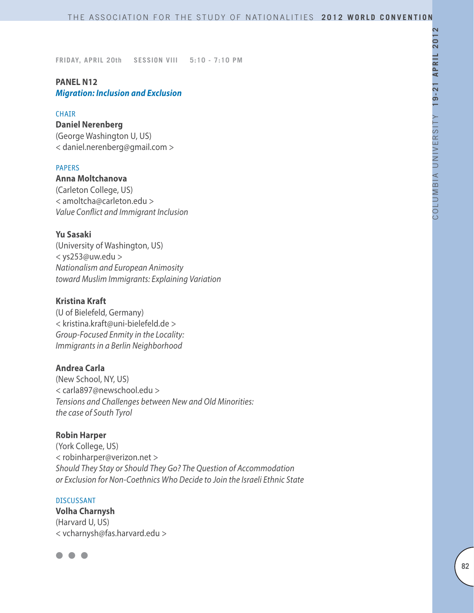# **PANEL N12**

*Migration: Inclusion and Exclusion*

### **CHAIR**

# **Daniel Nerenberg**

(George Washington U, US) < daniel.nerenberg@gmail.com >

## PAPERS

**Anna Moltchanova** (Carleton College, US) < amoltcha@carleton.edu > *Value Conflict and Immigrant Inclusion*

# **Yu Sasaki**

(University of Washington, US) < ys253@uw.edu > *Nationalism and European Animosity toward Muslim Immigrants: Explaining Variation*

# **Kristina Kraft**

(U of Bielefeld, Germany) < kristina.kraft@uni-bielefeld.de > *Group-Focused Enmity in the Locality: Immigrants in a Berlin Neighborhood*

## **Andrea Carla**

(New School, NY, US) < carla897@newschool.edu > *Tensions and Challenges between New and Old Minorities: the case of South Tyrol*

## **Robin Harper**

(York College, US) < robinharper@verizon.net > *Should They Stay or Should They Go? The Question of Accommodation or Exclusion for Non-Coethnics Who Decide to Join the Israeli Ethnic State* 

#### DISCUSSANT

**Volha Charnysh** (Harvard U, US) < vcharnysh@fas.harvard.edu >

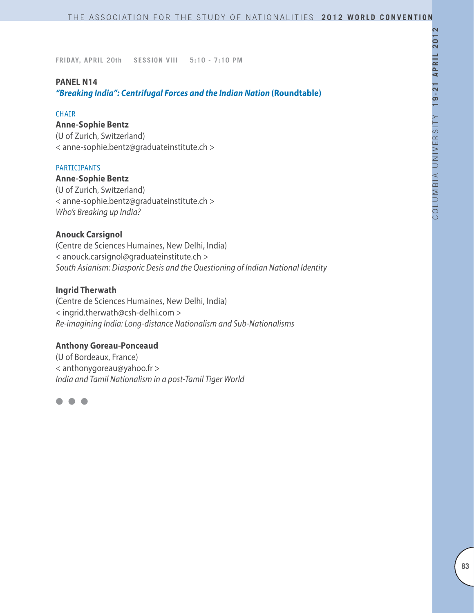#### **PANEL N14**

*"Breaking India": Centrifugal Forces and the Indian Nation* **(Roundtable)**

#### **CHAIR**

# **Anne-Sophie Bentz**

(U of Zurich, Switzerland) < anne-sophie.bentz@graduateinstitute.ch >

#### PARTICIPANTS

**Anne-Sophie Bentz** (U of Zurich, Switzerland) < anne-sophie.bentz@graduateinstitute.ch > *Who's Breaking up India?*

# **Anouck Carsignol**

(Centre de Sciences Humaines, New Delhi, India) < anouck.carsignol@graduateinstitute.ch > *South Asianism: Diasporic Desis and the Questioning of Indian National Identity*

#### **Ingrid Therwath**

(Centre de Sciences Humaines, New Delhi, India) < ingrid.therwath@csh-delhi.com > *Re-imagining India: Long-distance Nationalism and Sub-Nationalisms* 

### **Anthony Goreau-Ponceaud**

(U of Bordeaux, France) < anthonygoreau@yahoo.fr > *India and Tamil Nationalism in a post-Tamil Tiger World* 

 $\bullet$   $\bullet$   $\bullet$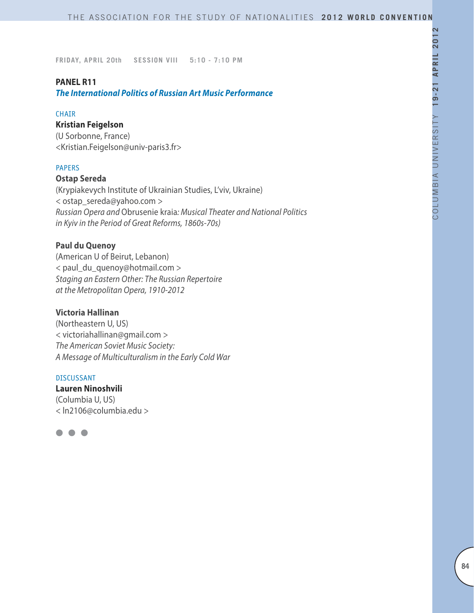#### **PANEL R11**

*The International Politics of Russian Art Music Performance*

#### CHAIR

## **Kristian Feigelson**

(U Sorbonne, France) <Kristian.Feigelson@univ-paris3.fr>

#### **PAPERS**

### **Ostap Sereda**

(Krypiakevych Institute of Ukrainian Studies, L'viv, Ukraine) < ostap\_sereda@yahoo.com > *Russian Opera and* Obrusenie kraia*: Musical Theater and National Politics in Kyiv in the Period of Great Reforms, 1860s-70s)*

### **Paul du Quenoy**

(American U of Beirut, Lebanon) < paul\_du\_quenoy@hotmail.com > *Staging an Eastern Other: The Russian Repertoire at the Metropolitan Opera, 1910-2012*

## **Victoria Hallinan**

(Northeastern U, US) < victoriahallinan@gmail.com > *The American Soviet Music Society: A Message of Multiculturalism in the Early Cold War*

#### DISCUSSANT

**Lauren Ninoshvili** (Columbia U, US) < ln2106@columbia.edu >

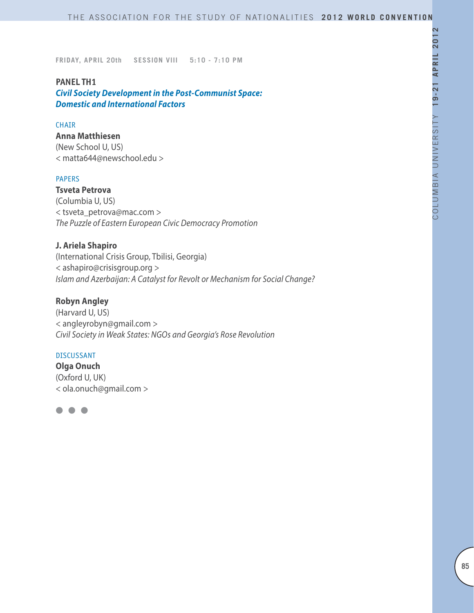#### **PANEL TH1**

*Civil Society Development in the Post-Communist Space: Domestic and International Factors*

#### CHAIR

### **Anna Matthiesen**

(New School U, US) < matta644@newschool.edu >

### PAPERS

**Tsveta Petrova**  (Columbia U, US) < tsveta\_petrova@mac.com > *The Puzzle of Eastern European Civic Democracy Promotion*

### **J. Ariela Shapiro**

(International Crisis Group, Tbilisi, Georgia) < ashapiro@crisisgroup.org > *Islam and Azerbaijan: A Catalyst for Revolt or Mechanism for Social Change?*

## **Robyn Angley**

(Harvard U, US) < angleyrobyn@gmail.com > *Civil Society in Weak States: NGOs and Georgia's Rose Revolution*

#### DISCUSSANT

**Olga Onuch** (Oxford U, UK) < ola.onuch@gmail.com >

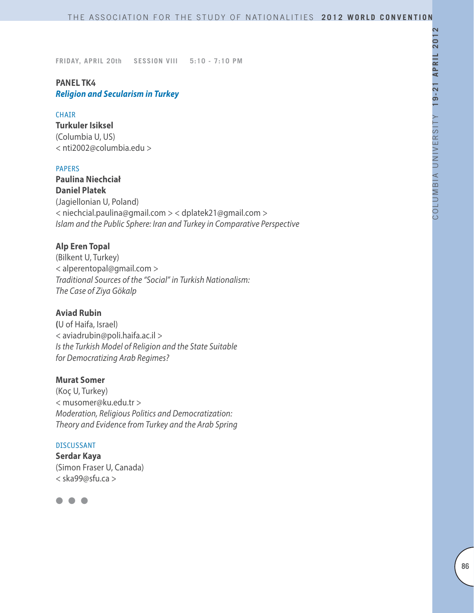# **PANEL TK4** *Religion and Secularism in Turkey*

### CHAIR

**Turkuler Isiksel** (Columbia U, US) < nti2002@columbia.edu >

#### PAPERS

**Paulina Niechciał Daniel Platek** (Jagiellonian U, Poland) < niechcial.paulina@gmail.com > < dplatek21@gmail.com > *Islam and the Public Sphere: Iran and Turkey in Comparative Perspective*

### **Alp Eren Topal**

(Bilkent U, Turkey) < alperentopal@gmail.com > *Traditional Sources of the "Social" in Turkish Nationalism: The Case of Ziya Gökalp*

## **Aviad Rubin**

**(**U of Haifa, Israel) < aviadrubin@poli.haifa.ac.il > *Is the Turkish Model of Religion and the State Suitable for Democratizing Arab Regimes?* 

## **Murat Somer**

(Koç U, Turkey) < musomer@ku.edu.tr > *Moderation, Religious Politics and Democratization: Theory and Evidence from Turkey and the Arab Spring*

#### DISCUSSANT

**Serdar Kaya** (Simon Fraser U, Canada) < ska99@sfu.ca >

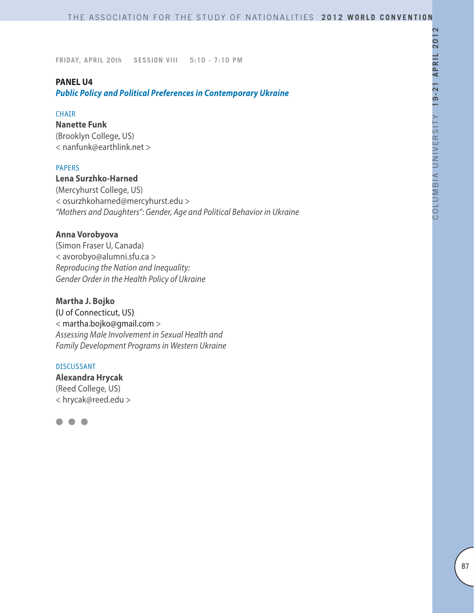### **PANEL U4**

*Public Policy and Political Preferences in Contemporary Ukraine*

### **CHAIR**

**Nanette Funk** (Brooklyn College, US) < nanfunk@earthlink.net >

#### PAPERS

**Lena Surzhko-Harned** (Mercyhurst College, US) < osurzhkoharned@mercyhurst.edu > *"Mothers and Daughters": Gender, Age and Political Behavior in Ukraine*

## **Anna Vorobyova**

(Simon Fraser U, Canada) < avorobyo@alumni.sfu.ca > *Reproducing the Nation and Inequality: Gender Order in the Health Policy of Ukraine*

#### **Martha J. Bojko**

**(**U of Connecticut, US**)** < martha.bojko@gmail.com > *Assessing Male Involvement in Sexual Health and Family Development Programs in Western Ukraine*

#### DISCUSSANT

**Alexandra Hrycak** (Reed College, US) < hrycak@reed.edu >

l l l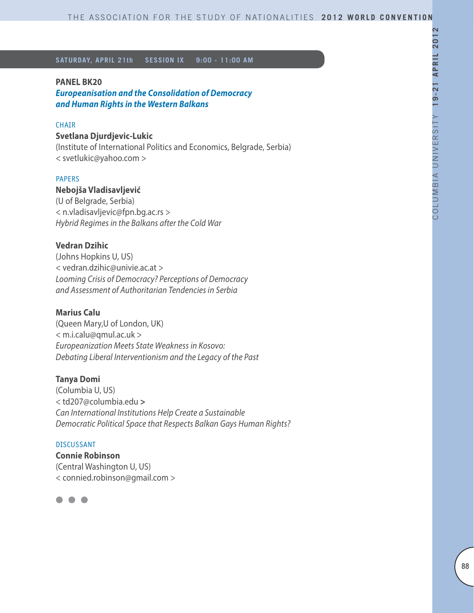#### **PANEL BK20**

*Europeanisation and the Consolidation of Democracy and Human Rights in the Western Balkans*

#### **CHAIR**

# **Svetlana Djurdjevic-Lukic**

(Institute of International Politics and Economics, Belgrade, Serbia) < svetlukic@yahoo.com >

### PAPERS

### **Nebojša Vladisavljević**

(U of Belgrade, Serbia) < n.vladisavljevic@fpn.bg.ac.rs > *Hybrid Regimes in the Balkans after the Cold War*

#### **Vedran Dzihic**

(Johns Hopkins U, US) < vedran.dzihic@univie.ac.at > *Looming Crisis of Democracy? Perceptions of Democracy and Assessment of Authoritarian Tendencies in Serbia*

#### **Marius Calu**

(Queen Mary,U of London, UK) < m.i.calu@qmul.ac.uk > *Europeanization Meets State Weakness in Kosovo: Debating Liberal Interventionism and the Legacy of the Past*

#### **Tanya Domi**

(Columbia U, US) < td207@columbia.edu **>** *Can International Institutions Help Create a Sustainable Democratic Political Space that Respects Balkan Gays Human Rights?*

#### DISCUSSANT

**Connie Robinson** (Central Washington U, US) < connied.robinson@gmail.com >

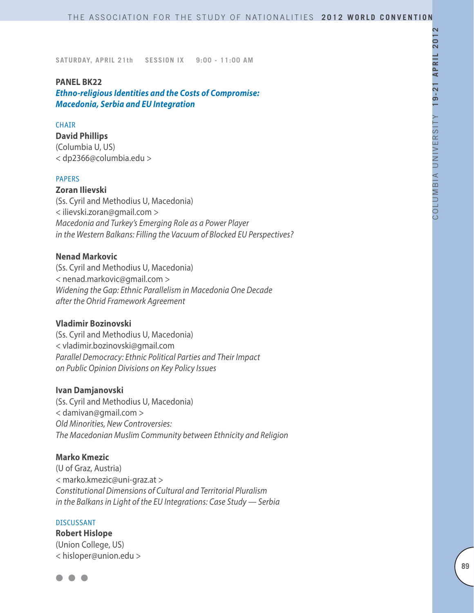#### **PANEL BK22**

*Ethno-religious Identities and the Costs of Compromise: Macedonia, Serbia and EU Integration*

#### **CHAIR**

### **David Phillips**

(Columbia U, US) < dp2366@columbia.edu >

#### PAPERS

**Zoran Ilievski** 

(Ss. Cyril and Methodius U, Macedonia) < ilievski.zoran@gmail.com > *Macedonia and Turkey's Emerging Role as a Power Player in the Western Balkans: Filling the Vacuum of Blocked EU Perspectives?* 

### **Nenad Markovic**

(Ss. Cyril and Methodius U, Macedonia) < nenad.markovic@gmail.com > *Widening the Gap: Ethnic Parallelism in Macedonia One Decade after the Ohrid Framework Agreement*

# **Vladimir Bozinovski**

(Ss. Cyril and Methodius U, Macedonia) < vladimir.bozinovski@gmail.com *Parallel Democracy: Ethnic Political Parties and Their Impact on Public Opinion Divisions on Key Policy Issues* 

#### **Ivan Damjanovski**

(Ss. Cyril and Methodius U, Macedonia) < damivan@gmail.com > *Old Minorities, New Controversies: The Macedonian Muslim Community between Ethnicity and Religion*

#### **Marko Kmezic**

(U of Graz, Austria) < marko.kmezic@uni-graz.at > *Constitutional Dimensions of Cultural and Territorial Pluralism in the Balkans in Light of the EU Integrations: Case Study — Serbia* 

#### DISCUSSANT

**Robert Hislope**  (Union College, US) < hisloper@union.edu >

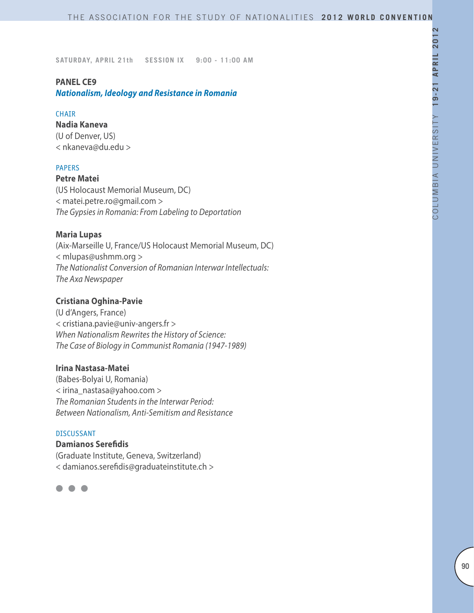### **PANEL CE9**

*Nationalism, Ideology and Resistance in Romania*

### **CHAIR**

**Nadia Kaneva** (U of Denver, US) < nkaneva@du.edu >

### PAPERS

**Petre Matei**

(US Holocaust Memorial Museum, DC) < matei.petre.ro@gmail.com > *The Gypsies in Romania: From Labeling to Deportation*

## **Maria Lupas**

(Aix-Marseille U, France/US Holocaust Memorial Museum, DC) < mlupas@ushmm.org > *The Nationalist Conversion of Romanian Interwar Intellectuals: The Axa Newspaper*

## **Cristiana Oghina-Pavie**

(U d'Angers, France) < cristiana.pavie@univ-angers.fr > *When Nationalism Rewrites the History of Science: The Case of Biology in Communist Romania (1947-1989)*

#### **Irina Nastasa-Matei**

(Babes-Bolyai U, Romania) < irina\_nastasa@yahoo.com > *The Romanian Students in the Interwar Period: Between Nationalism, Anti-Semitism and Resistance*

### DISCUSSANT

**Damianos Serefidis** (Graduate Institute, Geneva, Switzerland) < damianos.serefidis@graduateinstitute.ch >

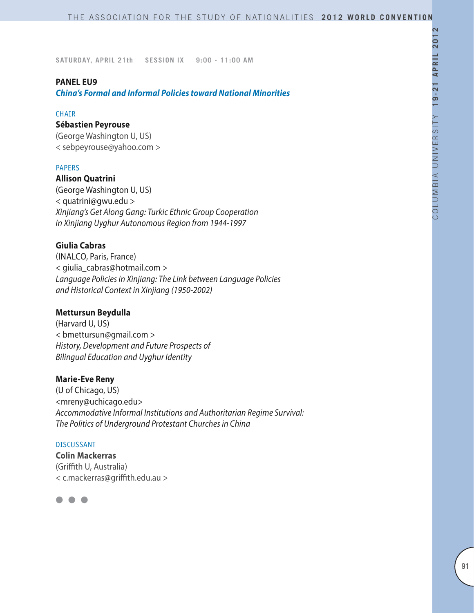#### **PANEL EU9**

*China's Formal and Informal Policies toward National Minorities* 

#### **CHAIR**

### **Sébastien Peyrouse**

(George Washington U, US) < sebpeyrouse@yahoo.com >

#### PAPERS

**Allison Quatrini** (George Washington U, US) < quatrini@gwu.edu > *Xinjiang's Get Along Gang: Turkic Ethnic Group Cooperation in Xinjiang Uyghur Autonomous Region from 1944-1997*

## **Giulia Cabras**

(INALCO, Paris, France) < giulia\_cabras@hotmail.com > *Language Policies in Xinjiang: The Link between Language Policies and Historical Context in Xinjiang (1950-2002)*

## **Mettursun Beydulla**

(Harvard U, US) < bmettursun@gmail.com > *History, Development and Future Prospects of Bilingual Education and Uyghur Identity*

### **Marie-Eve Reny**

(U of Chicago, US) <mreny@uchicago.edu> *Accommodative Informal Institutions and Authoritarian Regime Survival: The Politics of Underground Protestant Churches in China*

#### DISCUSSANT

**Colin Mackerras** (Griffith U, Australia) < c.mackerras@griffith.edu.au >

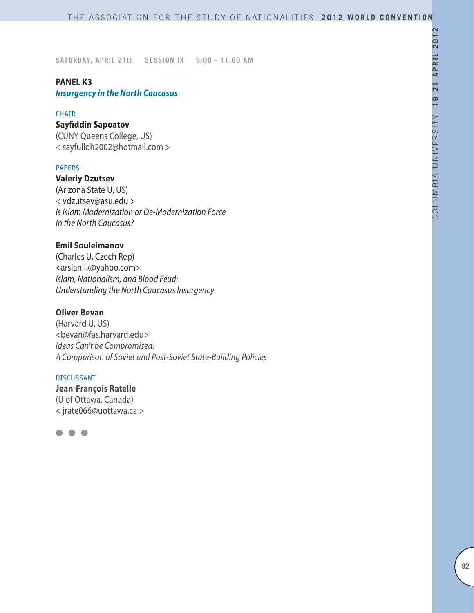### **PANEL K3**

*Insurgency in the North Caucasus*

#### CHAIR

# **Sayfiddin Sapoatov**

(CUNY Queens College, US) < sayfulloh2002@hotmail.com >

#### PAPERS

**Valeriy Dzutsev** (Arizona State U, US) < vdzutsev@asu.edu > *Is Islam Modernization or De-Modernization Force in the North Caucasus?*

### **Emil Souleimanov**

(Charles U, Czech Rep) <arslanlik@yahoo.com> *Islam, Nationalism, and Blood Feud: Understanding the North Caucasus Insurgency*

## **Oliver Bevan**

(Harvard U, US) <bevan@fas.harvard.edu> *Ideas Can't be Compromised: A Comparison of Soviet and Post-Soviet State-Building Policies*

#### DISCUSSANT

**Jean-François Ratelle** (U of Ottawa, Canada) < jrate066@uottawa.ca >

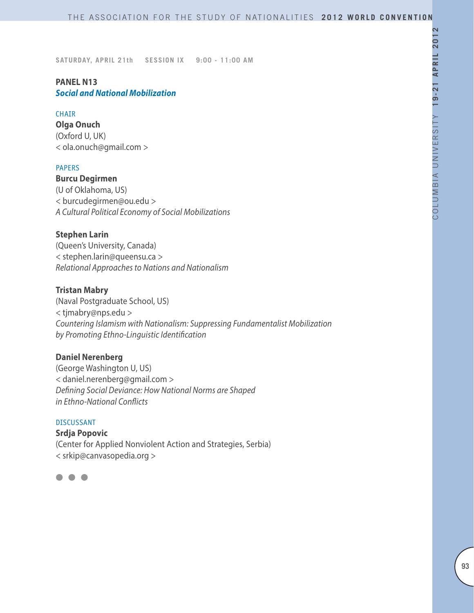### **PANEL N13** *Social and National Mobilization*

### **CHAIR**

**Olga Onuch** (Oxford U, UK) < ola.onuch@gmail.com >

#### PAPERS

**Burcu Degirmen** (U of Oklahoma, US) < burcudegirmen@ou.edu > *A Cultural Political Economy of Social Mobilizations*

## **Stephen Larin**

(Queen's University, Canada) < stephen.larin@queensu.ca > *Relational Approaches to Nations and Nationalism*

### **Tristan Mabry**

(Naval Postgraduate School, US) < tjmabry@nps.edu > *Countering Islamism with Nationalism: Suppressing Fundamentalist Mobilization by Promoting Ethno-Linguistic Identification*

### **Daniel Nerenberg**

(George Washington U, US) < daniel.nerenberg@gmail.com > *Defining Social Deviance: How National Norms are Shaped in Ethno-National Conflicts*

#### DISCUSSANT

**Srdja Popovic** (Center for Applied Nonviolent Action and Strategies, Serbia) < srkip@canvasopedia.org >

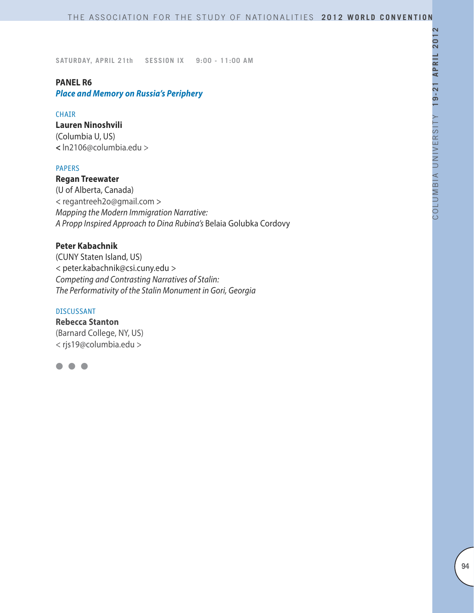### **PANEL R6**

*Place and Memory on Russia's Periphery*

### **CHAIR**

#### **Lauren Ninoshvili**

(Columbia U, US) **<** ln2106@columbia.edu >

### PAPERS

# **Regan Treewater** (U of Alberta, Canada) < regantreeh2o@gmail.com > *Mapping the Modern Immigration Narrative: A Propp Inspired Approach to Dina Rubina's* Belaia Golubka Cordovy

## **Peter Kabachnik**

(CUNY Staten Island, US) < peter.kabachnik@csi.cuny.edu > *Competing and Contrasting Narratives of Stalin: The Performativity of the Stalin Monument in Gori, Georgia*

#### DISCUSSANT

**Rebecca Stanton** (Barnard College, NY, US) < rjs19@columbia.edu >

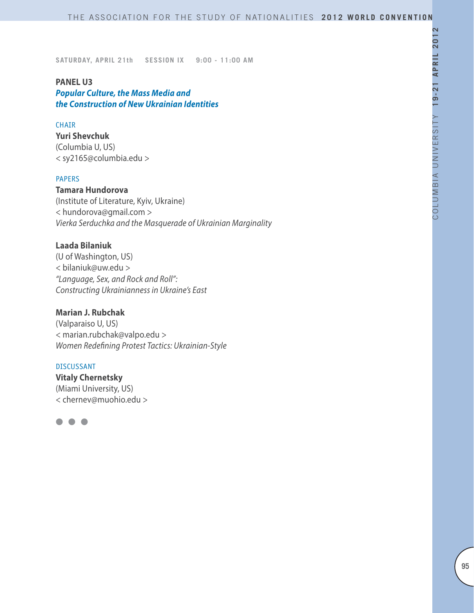#### **PANEL U3**

*Popular Culture, the Mass Media and the Construction of New Ukrainian Identities*

#### CHAIR

**Yuri Shevchuk**  (Columbia U, US) < sy2165@columbia.edu >

### PAPERS

**Tamara Hundorova**

(Institute of Literature, Kyiv, Ukraine) < hundorova@gmail.com > *Vierka Serduchka and the Masquerade of Ukrainian Marginality*

## **Laada Bilaniuk**

(U of Washington, US) < bilaniuk@uw.edu > *"Language, Sex, and Rock and Roll": Constructing Ukrainianness in Ukraine's East*

### **Marian J. Rubchak**

(Valparaiso U, US) < marian.rubchak@valpo.edu > *Women Redefining Protest Tactics: Ukrainian-Style*

#### DISCUSSANT

**Vitaly Chernetsky** (Miami University, US) < chernev@muohio.edu >

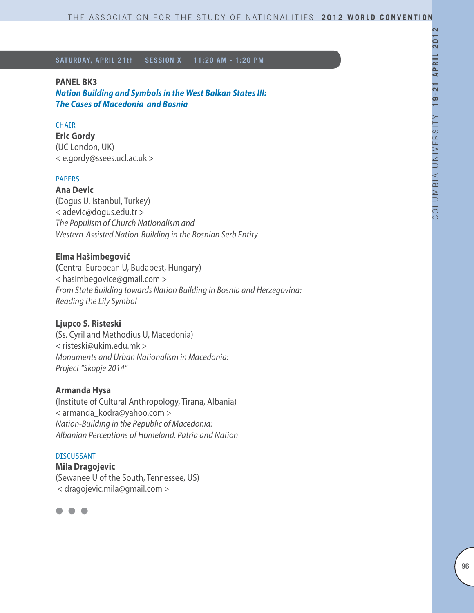#### **PANEL BK3**

*Nation Building and Symbols in the West Balkan States III: The Cases of Macedonia and Bosnia*

#### **CHAIR**

**Eric Gordy** (UC London, UK) < e.gordy@ssees.ucl.ac.uk >

# PAPERS

**Ana Devic** (Dogus U, Istanbul, Turkey) < adevic@dogus.edu.tr > *The Populism of Church Nationalism and Western-Assisted Nation-Building in the Bosnian Serb Entity*

### **Elma Hašimbegović**

**(**Central European U, Budapest, Hungary) < hasimbegovice@gmail.com > *From State Building towards Nation Building in Bosnia and Herzegovina: Reading the Lily Symbol*

# **Ljupco S. Risteski**

(Ss. Cyril and Methodius U, Macedonia) < risteski@ukim.edu.mk > *Monuments and Urban Nationalism in Macedonia: Project "Skopje 2014"*

#### **Armanda Hysa**

(Institute of Cultural Anthropology, Tirana, Albania) < armanda\_kodra@yahoo.com > *Nation-Building in the Republic of Macedonia: Albanian Perceptions of Homeland, Patria and Nation*

#### DISCUSSANT

**Mila Dragojevic** (Sewanee U of the South, Tennessee, US) < dragojevic.mila@gmail.com >

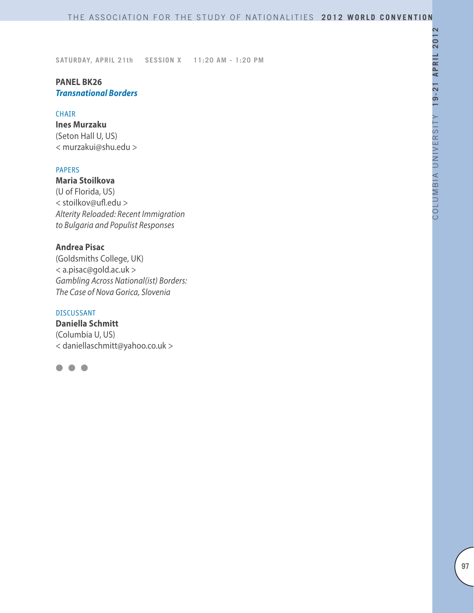## **PANEL BK26** *Transnational Borders*

#### CHAIR

**Ines Murzaku** (Seton Hall U, US) < murzakui@shu.edu >

#### PAPERS

**Maria Stoilkova** (U of Florida, US) < stoilkov@ufl.edu > *Alterity Reloaded: Recent Immigration to Bulgaria and Populist Responses*

### **Andrea Pisac**

(Goldsmiths College, UK) < a.pisac@gold.ac.uk > *Gambling Across National(ist) Borders: The Case of Nova Gorica, Slovenia*

#### DISCUSSANT

**Daniella Schmitt**  (Columbia U, US) < daniellaschmitt@yahoo.co.uk >

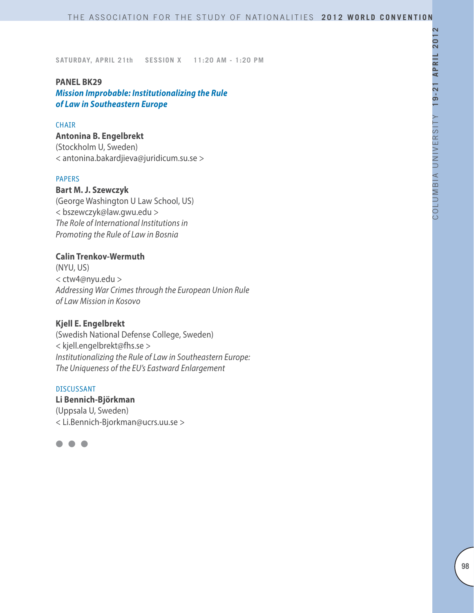#### **PANEL BK29**

*Mission Improbable: Institutionalizing the Rule of Law in Southeastern Europe*

#### **CHAIR**

### **Antonina B. Engelbrekt**

(Stockholm U, Sweden) < antonina.bakardjieva@juridicum.su.se >

#### PAPERS

#### **Bart M. J. Szewczyk**

(George Washington U Law School, US) < bszewczyk@law.gwu.edu > *The Role of International Institutions in Promoting the Rule of Law in Bosnia*

# **Calin Trenkov-Wermuth**

(NYU, US) < ctw4@nyu.edu > *Addressing War Crimes through the European Union Rule of Law Mission in Kosovo* 

### **Kjell E. Engelbrekt**

(Swedish National Defense College, Sweden) < kjell.engelbrekt@fhs.se > *Institutionalizing the Rule of Law in Southeastern Europe: The Uniqueness of the EU's Eastward Enlargement*

#### DISCUSSANT

**Li Bennich-Björkman** (Uppsala U, Sweden) < Li.Bennich-Bjorkman@ucrs.uu.se >

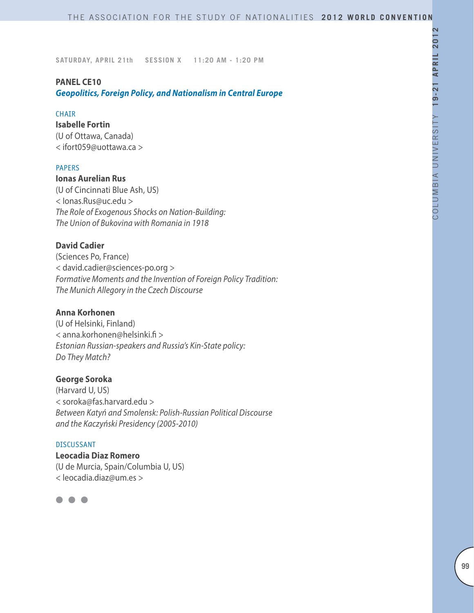#### **PANEL CE10**

*Geopolitics, Foreign Policy, and Nationalism in Central Europe*

#### **CHAIR**

# **Isabelle Fortin**

(U of Ottawa, Canada) < ifort059@uottawa.ca >

#### PAPERS

**Ionas Aurelian Rus** (U of Cincinnati Blue Ash, US) < Ionas.Rus@uc.edu >

*The Role of Exogenous Shocks on Nation-Building: The Union of Bukovina with Romania in 1918*

# **David Cadier**

(Sciences Po, France) < david.cadier@sciences-po.org > *Formative Moments and the Invention of Foreign Policy Tradition: The Munich Allegory in the Czech Discourse*

## **Anna Korhonen**

(U of Helsinki, Finland) < anna.korhonen@helsinki.fi > *Estonian Russian-speakers and Russia's Kin-State policy: Do They Match?*

### **George Soroka**

(Harvard U, US) < soroka@fas.harvard.edu > *Between Katyń and Smolensk: Polish-Russian Political Discourse and the Kaczyński Presidency (2005-2010)*

#### DISCUSSANT

**Leocadia Diaz Romero** (U de Murcia, Spain/Columbia U, US) < leocadia.diaz@um.es >

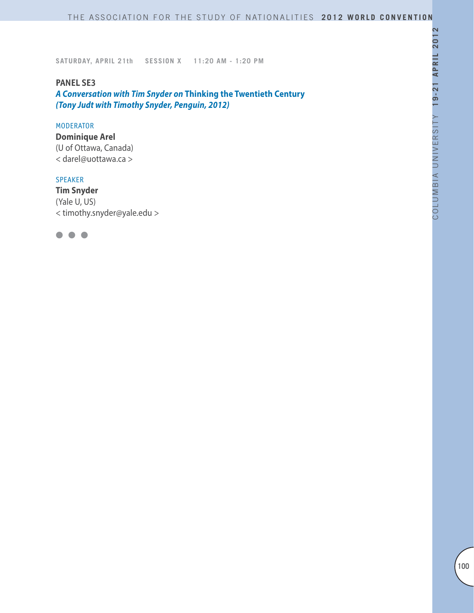### **PANEL SE3**

*A Conversation with Tim Snyder on* **Thinking the Twentieth Century**  *(Tony Judt with Timothy Snyder, Penguin, 2012)*

### MODERATOR

**Dominique Arel** (U of Ottawa, Canada) < darel@uottawa.ca >

#### SPEAKER

**Tim Snyder** (Yale U, US) < timothy.snyder@yale.edu >

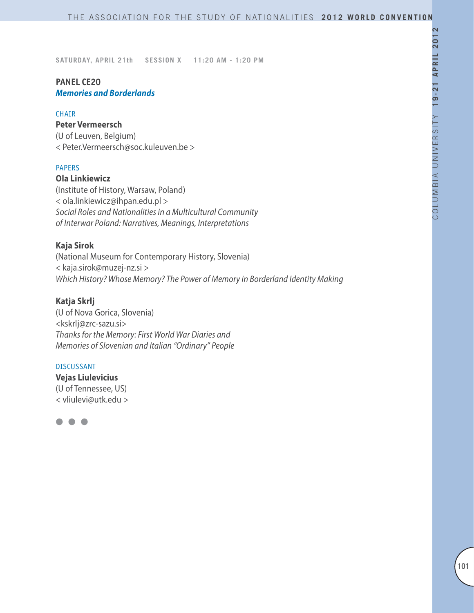# **PANEL CE20** *Memories and Borderlands*

#### CHAIR

### **Peter Vermeersch**

(U of Leuven, Belgium) < Peter.Vermeersch@soc.kuleuven.be >

### PAPERS

### **Ola Linkiewicz**

(Institute of History, Warsaw, Poland) < ola.linkiewicz@ihpan.edu.pl > *Social Roles and Nationalities in a Multicultural Community of Interwar Poland: Narratives, Meanings, Interpretations*

## **Kaja Sirok**

(National Museum for Contemporary History, Slovenia) < kaja.sirok@muzej-nz.si > *Which History? Whose Memory? The Power of Memory in Borderland Identity Making*

# **Katja Skrlj**

(U of Nova Gorica, Slovenia) <kskrlj@zrc-sazu.si> *Thanks for the Memory: First World War Diaries and Memories of Slovenian and Italian "Ordinary" People*

#### DISCUSSANT

**Vejas Liulevicius** (U of Tennessee, US) < vliulevi@utk.edu >

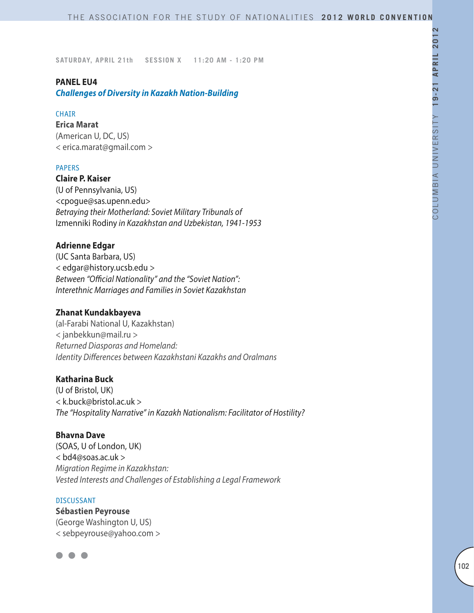### **PANEL EU4**

*Challenges of Diversity in Kazakh Nation-Building* 

### **CHAIR**

**Erica Marat** (American U, DC, US) < erica.marat@gmail.com >

### PAPERS

**Claire P. Kaiser** (U of Pennsylvania, US) <cpogue@sas.upenn.edu> *Betraying their Motherland: Soviet Military Tribunals of*  Izmenniki Rodiny *in Kazakhstan and Uzbekistan, 1941-1953*

## **Adrienne Edgar**

(UC Santa Barbara, US) < edgar@history.ucsb.edu > *Between "Official Nationality" and the "Soviet Nation": Interethnic Marriages and Families in Soviet Kazakhstan*

## **Zhanat Kundakbayeva**

(al-Farabi National U, Kazakhstan) < janbekkun@mail.ru > *Returned Diasporas and Homeland: Identity Differences between Kazakhstani Kazakhs and Oralmans*

## **Katharina Buck**

(U of Bristol, UK) < k.buck@bristol.ac.uk > *The "Hospitality Narrative" in Kazakh Nationalism: Facilitator of Hostility?*

### **Bhavna Dave**

(SOAS, U of London, UK) < bd4@soas.ac.uk > *Migration Regime in Kazakhstan: Vested Interests and Challenges of Establishing a Legal Framework*

#### DISCUSSANT

**Sébastien Peyrouse** (George Washington U, US) < sebpeyrouse@yahoo.com >

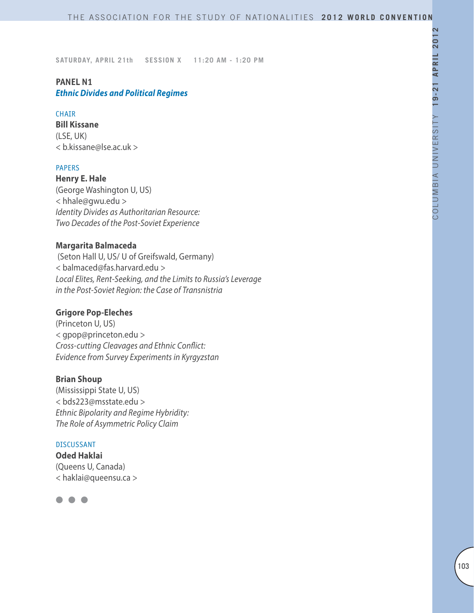# **PANEL N1**

*Ethnic Divides and Political Regimes* 

### **CHAIR**

**Bill Kissane** (LSE, UK) < b.kissane@lse.ac.uk >

## PAPERS

**Henry E. Hale** (George Washington U, US) < hhale@gwu.edu > *Identity Divides as Authoritarian Resource: Two Decades of the Post-Soviet Experience*

## **Margarita Balmaceda**

 (Seton Hall U, US/ U of Greifswald, Germany) < balmaced@fas.harvard.edu > *Local Elites, Rent-Seeking, and the Limits to Russia's Leverage in the Post-Soviet Region: the Case of Transnistria*

# **Grigore Pop-Eleches**

(Princeton U, US) < gpop@princeton.edu > *Cross-cutting Cleavages and Ethnic Conflict: Evidence from Survey Experiments in Kyrgyzstan*

## **Brian Shoup**

(Mississippi State U, US) < bds223@msstate.edu > *Ethnic Bipolarity and Regime Hybridity: The Role of Asymmetric Policy Claim*

#### DISCUSSANT

**Oded Haklai** (Queens U, Canada) < haklai@queensu.ca >

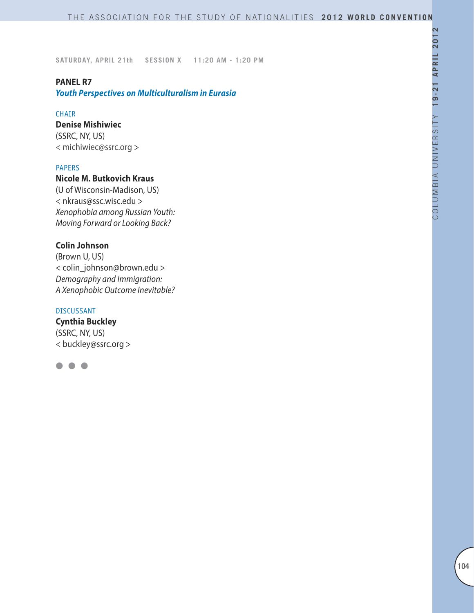# **PANEL R7**

*Youth Perspectives on Multiculturalism in Eurasia* 

#### CHAIR

# **Denise Mishiwiec**

(SSRC, NY, US) < michiwiec@ssrc.org >

#### PAPERS

# **Nicole M. Butkovich Kraus**

(U of Wisconsin-Madison, US) < nkraus@ssc.wisc.edu > *Xenophobia among Russian Youth: Moving Forward or Looking Back?*

## **Colin Johnson**

(Brown U, US) < colin\_johnson@brown.edu > *Demography and Immigration: A Xenophobic Outcome Inevitable?*

### DISCUSSANT

**Cynthia Buckley** (SSRC, NY, US) < buckley@ssrc.org >

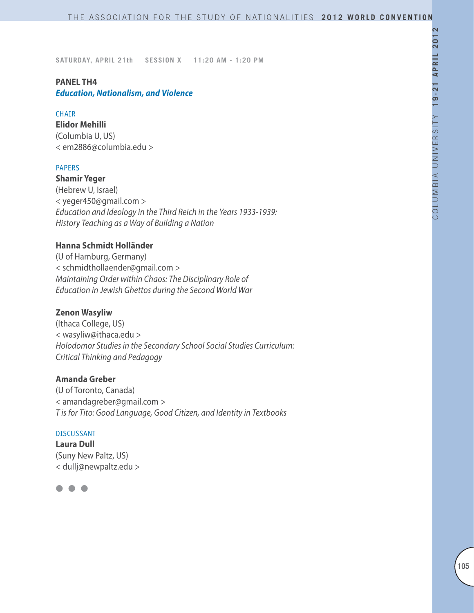# **PANEL TH4**

*Education, Nationalism, and Violence*

## **CHAIR**

**Elidor Mehilli** (Columbia U, US) < em2886@columbia.edu >

## PAPERS

**Shamir Yeger** (Hebrew U, Israel) < yeger450@gmail.com > *Education and Ideology in the Third Reich in the Years 1933-1939: History Teaching as a Way of Building a Nation*

## **Hanna Schmidt Holländer**

(U of Hamburg, Germany) < schmidthollaender@gmail.com > *Maintaining Order within Chaos: The Disciplinary Role of Education in Jewish Ghettos during the Second World War* 

## **Zenon Wasyliw**

(Ithaca College, US) < wasyliw@ithaca.edu > *Holodomor Studies in the Secondary School Social Studies Curriculum: Critical Thinking and Pedagogy*

# **Amanda Greber**

(U of Toronto, Canada) < amandagreber@gmail.com > *T is for Tito: Good Language, Good Citizen, and Identity in Textbooks*

#### DISCUSSANT

**Laura Dull** (Suny New Paltz, US) < dullj@newpaltz.edu >

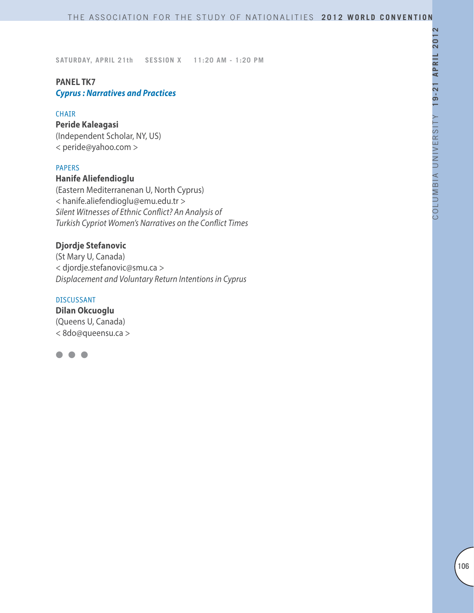# **PANEL TK7**

*Cyprus : Narratives and Practices*

# CHAIR

# **Peride Kaleagasi**

(Independent Scholar, NY, US) < peride@yahoo.com >

# PAPERS

# **Hanife Aliefendioglu**

(Eastern Mediterranenan U, North Cyprus) < hanife.aliefendioglu@emu.edu.tr > *Silent Witnesses of Ethnic Conflict? An Analysis of Turkish Cypriot Women's Narratives on the Conflict Times*

# **Djordje Stefanovic**

(St Mary U, Canada) < djordje.stefanovic@smu.ca > *Displacement and Voluntary Return Intentions in Cyprus*

### DISCUSSANT

**Dilan Okcuoglu** (Queens U, Canada) < 8do@queensu.ca >

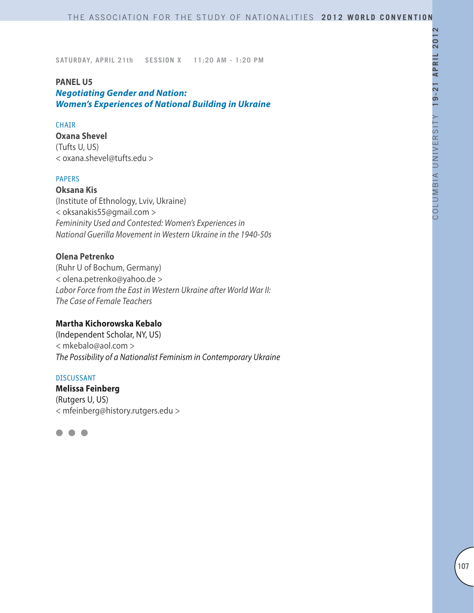#### **PANEL U5**

*Negotiating Gender and Nation: Women's Experiences of National Building in Ukraine* 

#### CHAIR

**Oxana Shevel** (Tufts U, US) < oxana.shevel@tufts.edu >

# PAPERS

**Oksana Kis** (Institute of Ethnology, Lviv, Ukraine) < oksanakis55@gmail.com > *Femininity Used and Contested: Women's Experiences in National Guerilla Movement in Western Ukraine in the 1940-50s*

# **Olena Petrenko**

(Ruhr U of Bochum, Germany) < olena.petrenko@yahoo.de > *Labor Force from the East in Western Ukraine after World War II: The Case of Female Teachers*

### **Martha Kichorowska Kebalo**

(Independent Scholar, NY, US) < mkebalo@aol.com > *The Possibility of a Nationalist Feminism in Contemporary Ukraine*

#### DISCUSSANT

**Melissa Feinberg**  (Rutgers U, US) < mfeinberg@history.rutgers.edu >

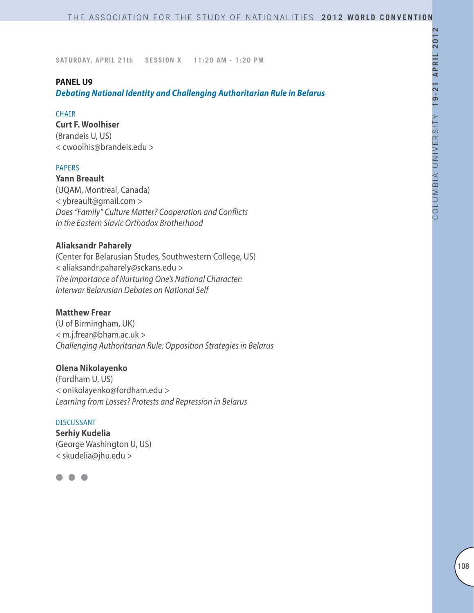#### **PANEL U9**

*Debating National Identity and Challenging Authoritarian Rule in Belarus*

### **CHAIR**

### **Curt F. Woolhiser**

(Brandeis U, US) < cwoolhis@brandeis.edu >

## **PAPERS**

**Yann Breault** (UQAM, Montreal, Canada) < ybreault@gmail.com > *Does "Family" Culture Matter? Cooperation and Conflicts in the Eastern Slavic Orthodox Brotherhood*

## **Aliaksandr Paharely**

(Center for Belarusian Studes, Southwestern College, US) < aliaksandr.paharely@sckans.edu > *The Importance of Nurturing One's National Character: Interwar Belarusian Debates on National Self*

## **Matthew Frear**

(U of Birmingham, UK) < m.j.frear@bham.ac.uk > *Challenging Authoritarian Rule: Opposition Strategies in Belarus*

## **Olena Nikolayenko**

(Fordham U, US) < onikolayenko@fordham.edu > *Learning from Losses? Protests and Repression in Belarus*

#### DISCUSSANT

**Serhiy Kudelia** (George Washington U, US) < skudelia@jhu.edu >

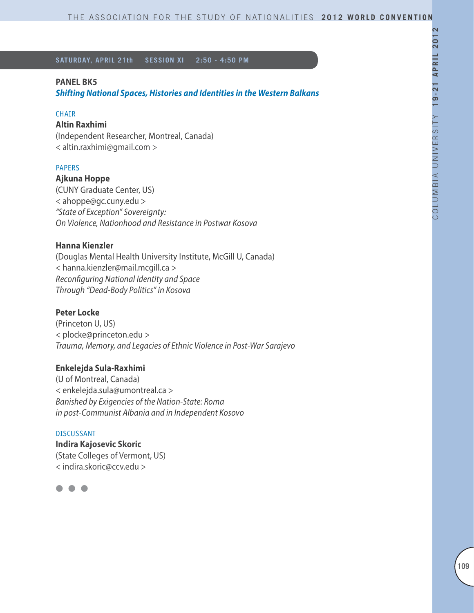### **PANEL BK5**

*Shifting National Spaces, Histories and Identities in the Western Balkans*

#### CHAIR

# **Altin Raxhimi**

(Independent Researcher, Montreal, Canada) < altin.raxhimi@gmail.com >

#### PAPERS

### **Ajkuna Hoppe**

(CUNY Graduate Center, US) < ahoppe@gc.cuny.edu > *"State of Exception" Sovereignty: On Violence, Nationhood and Resistance in Postwar Kosova*

#### **Hanna Kienzler**

(Douglas Mental Health University Institute, McGill U, Canada) < hanna.kienzler@mail.mcgill.ca > *Reconfiguring National Identity and Space Through "Dead-Body Politics" in Kosova*

### **Peter Locke**

(Princeton U, US) < plocke@princeton.edu > *Trauma, Memory, and Legacies of Ethnic Violence in Post-War Sarajevo*

#### **Enkelejda Sula-Raxhimi**

(U of Montreal, Canada) < enkelejda.sula@umontreal.ca > *Banished by Exigencies of the Nation-State: Roma in post-Communist Albania and in Independent Kosovo*

### DISCUSSANT

**Indira Kajosevic Skoric** (State Colleges of Vermont, US) < indira.skoric@ccv.edu >

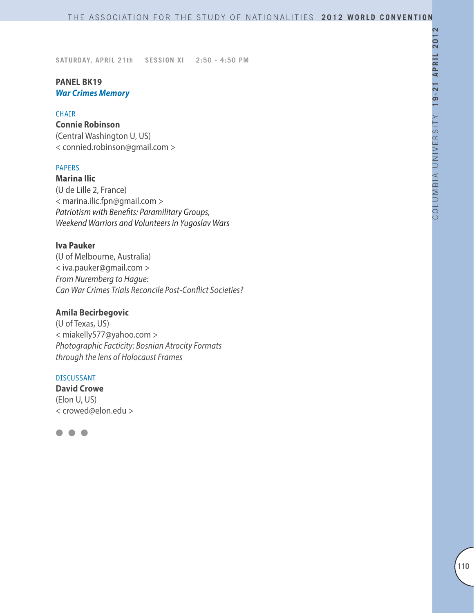# **PANEL BK19** *War Crimes Memory*

### CHAIR

# **Connie Robinson**

(Central Washington U, US) < connied.robinson@gmail.com >

# PAPERS

**Marina Ilic** (U de Lille 2, France) < marina.ilic.fpn@gmail.com > *Patriotism with Benefits: Paramilitary Groups, Weekend Warriors and Volunteers in Yugoslav Wars*

### **Iva Pauker**

(U of Melbourne, Australia) < iva.pauker@gmail.com > *From Nuremberg to Hague: Can War Crimes Trials Reconcile Post-Conflict Societies?*

# **Amila Becirbegovic**

(U of Texas, US) < miakelly577@yahoo.com > *Photographic Facticity: Bosnian Atrocity Formats through the lens of Holocaust Frames*

### DISCUSSANT

**David Crowe** (Elon U, US) < crowed@elon.edu >

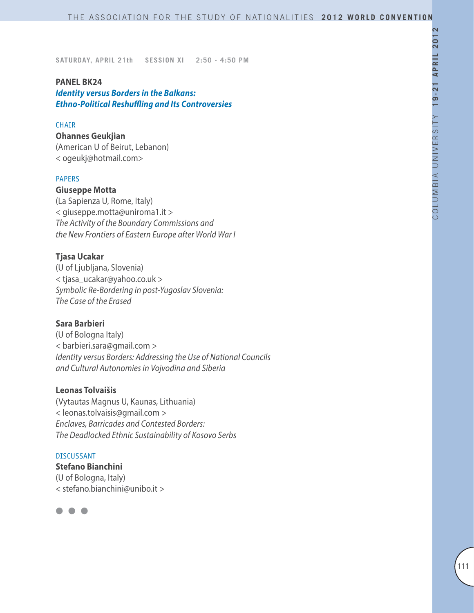### **PANEL BK24**

*Identity versus Borders in the Balkans: Ethno-Political Reshuffling and Its Controversies*

### **CHAIR**

**Ohannes Geukjian** (American U of Beirut, Lebanon) < ogeukj@hotmail.com>

# PAPERS

**Giuseppe Motta** (La Sapienza U, Rome, Italy) < giuseppe.motta@uniroma1.it >

*The Activity of the Boundary Commissions and the New Frontiers of Eastern Europe after World War I*

# **Tjasa Ucakar**

(U of Ljubljana, Slovenia) < tjasa\_ucakar@yahoo.co.uk > *Symbolic Re-Bordering in post-Yugoslav Slovenia: The Case of the Erased*

# **Sara Barbieri**

(U of Bologna Italy) < barbieri.sara@gmail.com > *Identity versus Borders: Addressing the Use of National Councils and Cultural Autonomies in Vojvodina and Siberia*

### **Leonas Tolvaišis**

(Vytautas Magnus U, Kaunas, Lithuania) < leonas.tolvaisis@gmail.com > *Enclaves, Barricades and Contested Borders: The Deadlocked Ethnic Sustainability of Kosovo Serbs*

# DISCUSSANT

**Stefano Bianchini** (U of Bologna, Italy) < stefano.bianchini@unibo.it >

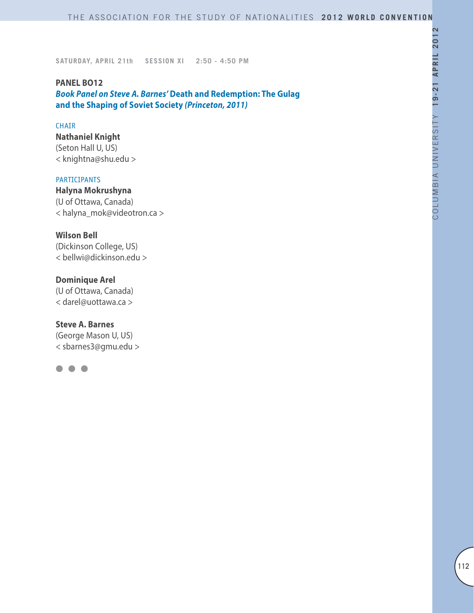**PANEL BO12** *Book Panel on Steve A. Barnes'* **Death and Redemption: The Gulag and the Shaping of Soviet Society** *(Princeton, 2011)*

### CHAIR

**Nathaniel Knight** (Seton Hall U, US) < knightna@shu.edu >

# PARTICIPANTS

**Halyna Mokrushyna** (U of Ottawa, Canada) < halyna\_mok@videotron.ca >

# **Wilson Bell**

(Dickinson College, US) < bellwi@dickinson.edu >

# **Dominique Arel**

(U of Ottawa, Canada) < darel@uottawa.ca >

# **Steve A. Barnes**

(George Mason U, US) < sbarnes3@gmu.edu >

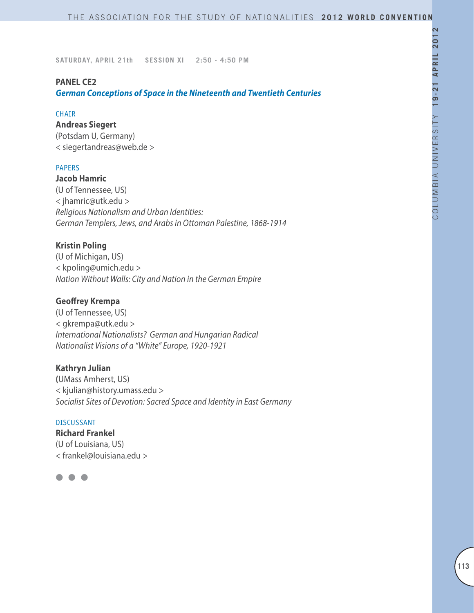# **PANEL CE2**

*German Conceptions of Space in the Nineteenth and Twentieth Centuries*

### CHAIR

# **Andreas Siegert**

(Potsdam U, Germany) < siegertandreas@web.de >

### PAPERS

**Jacob Hamric** (U of Tennessee, US) < jhamric@utk.edu > *Religious Nationalism and Urban Identities: German Templers, Jews, and Arabs in Ottoman Palestine, 1868-1914*

# **Kristin Poling**

(U of Michigan, US) < kpoling@umich.edu > *Nation Without Walls: City and Nation in the German Empire*

### **Geoffrey Krempa**

(U of Tennessee, US) < gkrempa@utk.edu > *International Nationalists? German and Hungarian Radical Nationalist Visions of a "White" Europe, 1920-1921*

### **Kathryn Julian**

**(**UMass Amherst, US) < kjulian@history.umass.edu > *Socialist Sites of Devotion: Sacred Space and Identity in East Germany* 

#### DISCUSSANT

**Richard Frankel** (U of Louisiana, US) < frankel@louisiana.edu >

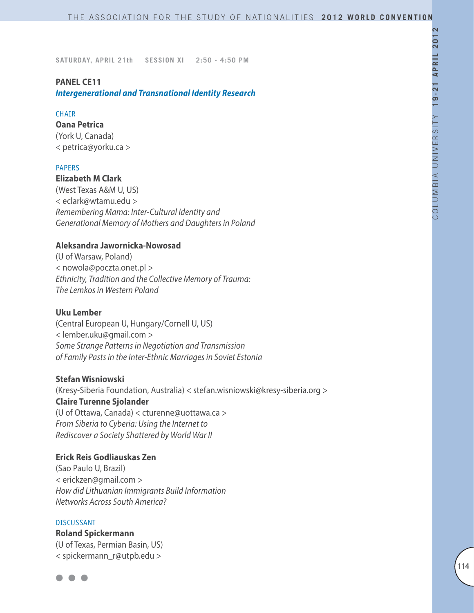### **PANEL CE11**

*Intergenerational and Transnational Identity Research*

#### **CHATR**

**Oana Petrica** (York U, Canada) < petrica@yorku.ca >

#### PAPERS

**Elizabeth M Clark** (West Texas A&M U, US) < eclark@wtamu.edu > *Remembering Mama: Inter-Cultural Identity and Generational Memory of Mothers and Daughters in Poland*

### **Aleksandra Jawornicka-Nowosad**

(U of Warsaw, Poland) < nowola@poczta.onet.pl > *Ethnicity, Tradition and the Collective Memory of Trauma: The Lemkos in Western Poland*

### **Uku Lember**

(Central European U, Hungary/Cornell U, US) < lember.uku@gmail.com > *Some Strange Patterns in Negotiation and Transmission of Family Pasts in the Inter-Ethnic Marriages in Soviet Estonia*

### **Stefan Wisniowski**

(Kresy-Siberia Foundation, Australia) < stefan.wisniowski@kresy-siberia.org > **Claire Turenne Sjolander** (U of Ottawa, Canada) < cturenne@uottawa.ca > *From Siberia to Cyberia: Using the Internet to Rediscover a Society Shattered by World War II*

# **Erick Reis Godliauskas Zen**

(Sao Paulo U, Brazil) < erickzen@gmail.com > *How did Lithuanian Immigrants Build Information Networks Across South America?*

#### DISCUSSANT

**Roland Spickermann** (U of Texas, Permian Basin, US) < spickermann\_r@utpb.edu >

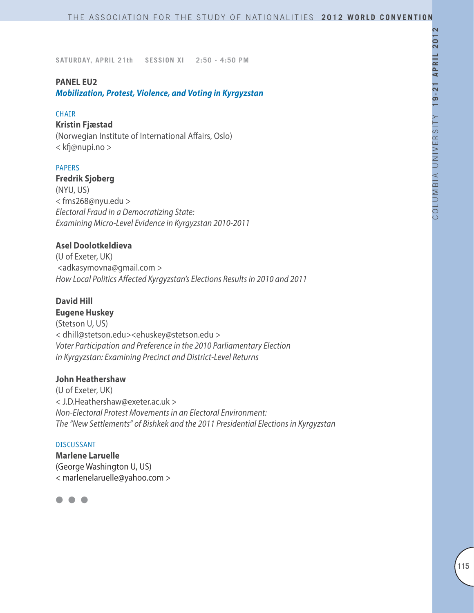### **PANEL EU2**

*Mobilization, Protest, Violence, and Voting in Kyrgyzstan*

### **CHAIR**

### **Kristin Fjæstad**

(Norwegian Institute of International Affairs, Oslo) < kfj@nupi.no >

### PAPERS

**Fredrik Sjoberg** (NYU, US) < fms268@nyu.edu > *Electoral Fraud in a Democratizing State: Examining Micro-Level Evidence in Kyrgyzstan 2010-2011*

# **Asel Doolotkeldieva**

(U of Exeter, UK) <adkasymovna@gmail.com > *How Local Politics Affected Kyrgyzstan's Elections Results in 2010 and 2011* 

### **David Hill**

**Eugene Huskey** (Stetson U, US) < dhill@stetson.edu><ehuskey@stetson.edu > *Voter Participation and Preference in the 2010 Parliamentary Election in Kyrgyzstan: Examining Precinct and District-Level Returns*

### **John Heathershaw**

(U of Exeter, UK) < J.D.Heathershaw@exeter.ac.uk > *Non-Electoral Protest Movements in an Electoral Environment: The "New Settlements" of Bishkek and the 2011 Presidential Elections in Kyrgyzstan*

#### DISCUSSANT

**Marlene Laruelle** (George Washington U, US) < marlenelaruelle@yahoo.com >

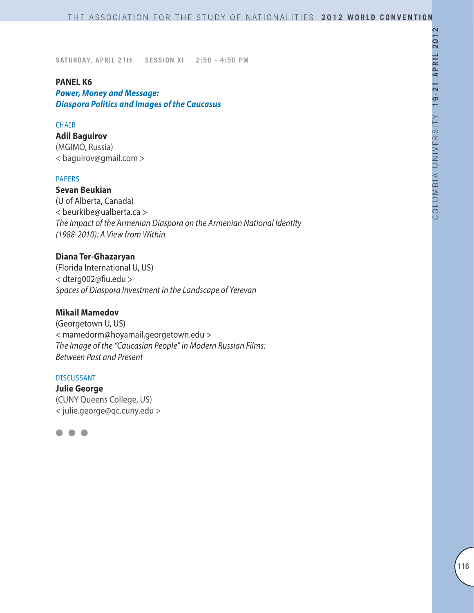### **PANEL K6**

*Power, Money and Message: Diaspora Politics and Images of the Caucasus*

#### CHAIR

# **Adil Baguirov**

(MGIMO, Russia) < baguirov@gmail.com >

### PAPERS

**Sevan Beukian** (U of Alberta, Canada) < beurkibe@ualberta.ca > *The Impact of the Armenian Diaspora on the Armenian National Identity (1988-2010): A View from Within*

# **Diana Ter-Ghazaryan**

(Florida International U, US) < dterg002@fiu.edu > *Spaces of Diaspora Investment in the Landscape of Yerevan*

### **Mikail Mamedov**

(Georgetown U, US) < mamedorm@hoyamail.georgetown.edu > *The Image of the "Caucasian People" in Modern Russian Films: Between Past and Present*

#### DISCUSSANT

**Julie George** (CUNY Queens College, US) < julie.george@qc.cuny.edu >

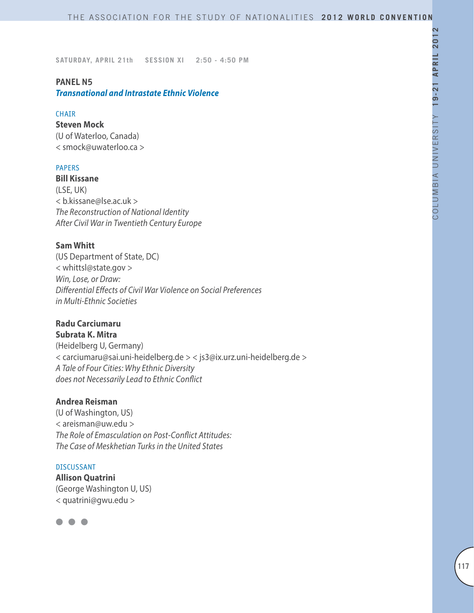### **PANEL N5**

*Transnational and Intrastate Ethnic Violence*

### **CHATR**

# **Steven Mock**

(U of Waterloo, Canada) < smock@uwaterloo.ca >

### PAPERS

**Bill Kissane** (LSE, UK) < b.kissane@lse.ac.uk > *The Reconstruction of National Identity After Civil War in Twentieth Century Europe*

### **Sam Whitt**

(US Department of State, DC) < whittsl@state.gov > *Win, Lose, or Draw: Differential Effects of Civil War Violence on Social Preferences in Multi-Ethnic Societies*

# **Radu Carciumaru**

**Subrata K. Mitra**

(Heidelberg U, Germany) < carciumaru@sai.uni-heidelberg.de > < js3@ix.urz.uni-heidelberg.de > *A Tale of Four Cities: Why Ethnic Diversity does not Necessarily Lead to Ethnic Conflict*

# **Andrea Reisman**

(U of Washington, US) < areisman@uw.edu > *The Role of Emasculation on Post-Conflict Attitudes: The Case of Meskhetian Turks in the United States*

### DISCUSSANT

**Allison Quatrini** (George Washington U, US) < quatrini@gwu.edu >

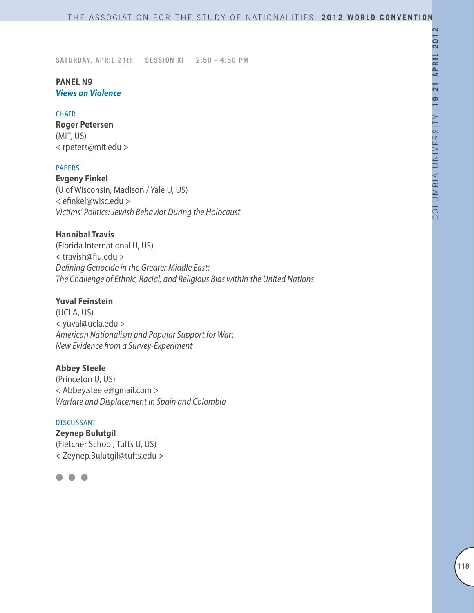### **PANEL N9** *Views on Violence*

### CHAIR

**Roger Petersen** (MIT, US) < rpeters@mit.edu >

### PAPERS

**Evgeny Finkel** (U of Wisconsin, Madison / Yale U, US) < efinkel@wisc.edu > *Victims' Politics: Jewish Behavior During the Holocaust*

# **Hannibal Travis**

(Florida International U, US) < travish@fiu.edu > *Defining Genocide in the Greater Middle East: The Challenge of Ethnic, Racial, and Religious Bias within the United Nations*

### **Yuval Feinstein**

(UCLA, US) < yuval@ucla.edu > *American Nationalism and Popular Support for War: New Evidence from a Survey-Experiment*

### **Abbey Steele**

(Princeton U, US) < Abbey.steele@gmail.com > *Warfare and Displacement in Spain and Colombia*

#### DISCUSSANT

**Zeynep Bulutgil** (Fletcher School, Tufts U, US) < Zeynep.Bulutgil@tufts.edu >

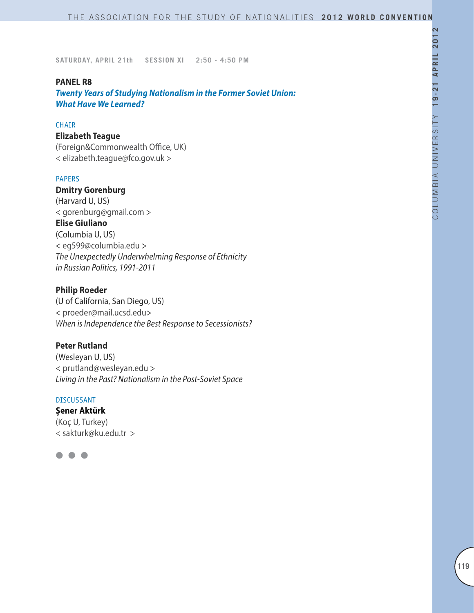### **PANEL R8**

*Twenty Years of Studying Nationalism in the Former Soviet Union: What Have We Learned?*

#### **CHAIR**

# **Elizabeth Teague**

(Foreign&Commonwealth Office, UK) < elizabeth.teague@fco.gov.uk >

# PAPERS

**Dmitry Gorenburg** (Harvard U, US) < gorenburg@gmail.com > **Elise Giuliano** (Columbia U, US) < eg599@columbia.edu > *The Unexpectedly Underwhelming Response of Ethnicity in Russian Politics, 1991-2011*

# **Philip Roeder**

(U of California, San Diego, US) < proeder@mail.ucsd.edu> *When is Independence the Best Response to Secessionists?*

# **Peter Rutland**

(Wesleyan U, US) < prutland@wesleyan.edu > *Living in the Past? Nationalism in the Post-Soviet Space*

#### DISCUSSANT

# **Şener Aktürk**

(Koç U, Turkey) < sakturk@ku.edu.tr >

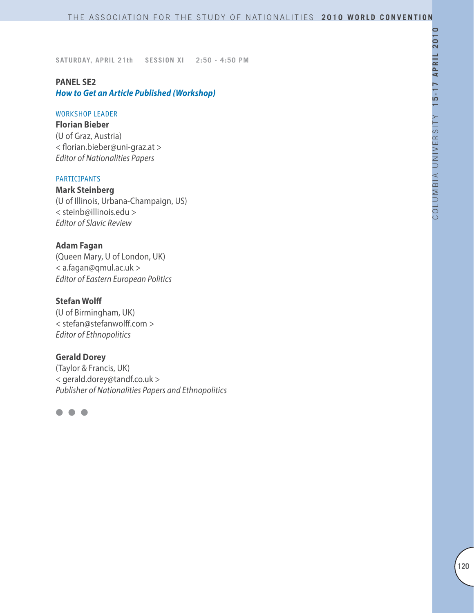# **PANEL SE2**

# *How to Get an Article Published (Workshop)*

### WORKSHOP LEADER

**Florian Bieber**  (U of Graz, Austria) < florian.bieber@uni-graz.at > *Editor of Nationalities Papers*

# PARTICIPANTS

**Mark Steinberg** (U of Illinois, Urbana-Champaign, US) < steinb@illinois.edu > *Editor of Slavic Review*

# **Adam Fagan**

(Queen Mary, U of London, UK) < a.fagan@qmul.ac.uk > *Editor of Eastern European Politics*

# **Stefan Wolff**

(U of Birmingham, UK) < stefan@stefanwolff.com > *Editor of Ethnopolitics*

# **Gerald Dorey**

(Taylor & Francis, UK) < gerald.dorey@tandf.co.uk > *Publisher of Nationalities Papers and Ethnopolitics*

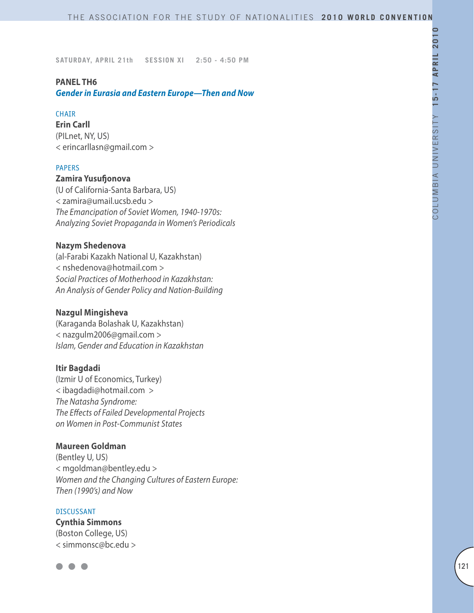### **PANEL TH6**

*Gender in Eurasia and Eastern Europe—Then and Now*

# **CHAIR**

**Erin Carll** (PILnet, NY, US) < erincarllasn@gmail.com >

### PAPERS

# **Zamira Yusufjonova**

(U of California-Santa Barbara, US) < zamira@umail.ucsb.edu > *The Emancipation of Soviet Women, 1940-1970s: Analyzing Soviet Propaganda in Women's Periodicals*

### **Nazym Shedenova**

(al-Farabi Kazakh National U, Kazakhstan) < nshedenova@hotmail.com > *Social Practices of Motherhood in Kazakhstan: An Analysis of Gender Policy and Nation-Building*

### **Nazgul Mingisheva**

(Karaganda Bolashak U, Kazakhstan) < nazgulm2006@gmail.com > *Islam, Gender and Education in Kazakhstan*

### **Itir Bagdadi**

(Izmir U of Economics, Turkey) < ibagdadi@hotmail.com > *The Natasha Syndrome: The Effects of Failed Developmental Projects on Women in Post-Communist States*

### **Maureen Goldman**

(Bentley U, US) < mgoldman@bentley.edu > *Women and the Changing Cultures of Eastern Europe: Then (1990's) and Now*

### DISCUSSANT

**Cynthia Simmons** (Boston College, US) < simmonsc@bc.edu >

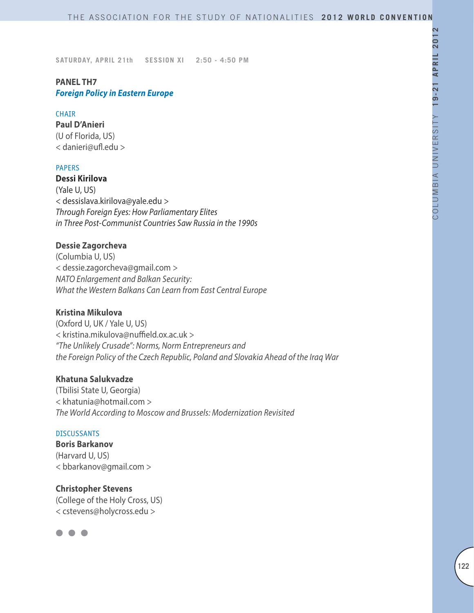# **PANEL TH7** *Foreign Policy in Eastern Europe*

### **CHAIR**

**Paul D'Anieri** (U of Florida, US) < danieri@ufl.edu >

### PAPERS

**Dessi Kirilova** (Yale U, US) < dessislava.kirilova@yale.edu > *Through Foreign Eyes: How Parliamentary Elites in Three Post-Communist Countries Saw Russia in the 1990s*

# **Dessie Zagorcheva**

(Columbia U, US) < dessie.zagorcheva@gmail.com > *NATO Enlargement and Balkan Security: What the Western Balkans Can Learn from East Central Europe*

# **Kristina Mikulova**

(Oxford U, UK / Yale U, US) < kristina.mikulova@nuffield.ox.ac.uk > *"The Unlikely Crusade": Norms, Norm Entrepreneurs and the Foreign Policy of the Czech Republic, Poland and Slovakia Ahead of the Iraq War*

### **Khatuna Salukvadze**

(Tbilisi State U, Georgia) < khatunia@hotmail.com > *The World According to Moscow and Brussels: Modernization Revisited*

# DISCUSSANTS

**Boris Barkanov** (Harvard U, US) < bbarkanov@gmail.com >

**Christopher Stevens** (College of the Holy Cross, US) < cstevens@holycross.edu >

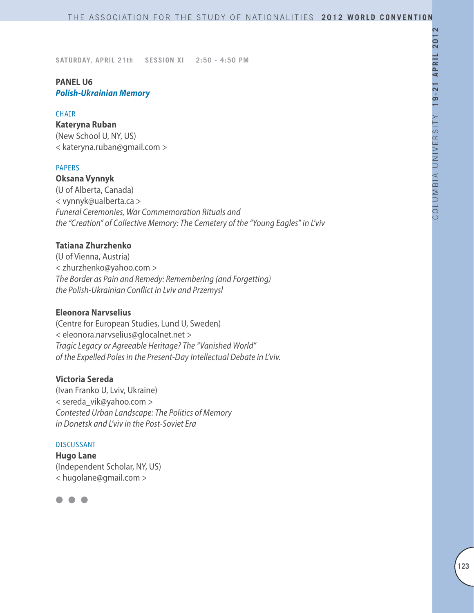# **PANEL U6** *Polish-Ukrainian Memory*

### **CHAIR**

**Kateryna Ruban** (New School U, NY, US) < kateryna.ruban@gmail.com >

### PAPERS

**Oksana Vynnyk** (U of Alberta, Canada) < vynnyk@ualberta.ca > *Funeral Ceremonies, War Commemoration Rituals and the "Creation" of Collective Memory: The Cemetery of the "Young Eagles" in L'viv*

### **Tatiana Zhurzhenko**

(U of Vienna, Austria) < zhurzhenko@yahoo.com > *The Border as Pain and Remedy: Remembering (and Forgetting) the Polish-Ukrainian Conflict in Lviv and Przemysl*

### **Eleonora Narvselius**

(Centre for European Studies, Lund U, Sweden) < eleonora.narvselius@glocalnet.net > *Tragic Legacy or Agreeable Heritage? The "Vanished World" of the Expelled Poles in the Present-Day Intellectual Debate in L'viv.*

### **Victoria Sereda**

(Ivan Franko U, Lviv, Ukraine) < sereda\_vik@yahoo.com > *Contested Urban Landscape: The Politics of Memory in Donetsk and L'viv in the Post-Soviet Era*

#### DISCUSSANT

**Hugo Lane** (Independent Scholar, NY, US) < hugolane@gmail.com >

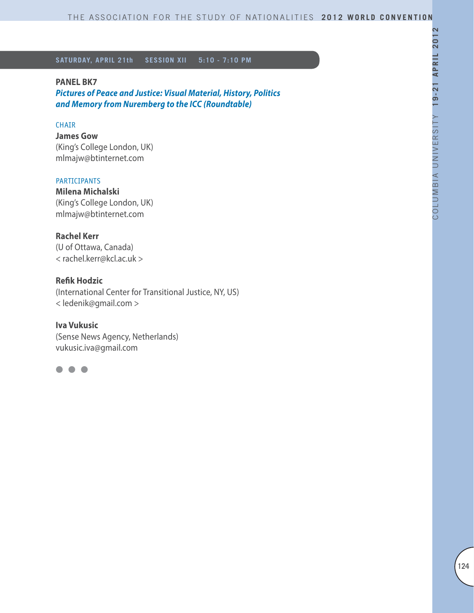# **PANEL BK7**

*Pictures of Peace and Justice: Visual Material, History, Politics and Memory from Nuremberg to the ICC (Roundtable)*

### CHAIR

**James Gow**  (King's College London, UK) mlmajw@btinternet.com

#### **PARTICIPANTS**

**Milena Michalski**  (King's College London, UK) mlmajw@btinternet.com

# **Rachel Kerr**

(U of Ottawa, Canada) < rachel.kerr@kcl.ac.uk >

# **Refik Hodzic**

(International Center for Transitional Justice, NY, US) < ledenik@gmail.com >

**Iva Vukusic**  (Sense News Agency, Netherlands) vukusic.iva@gmail.com

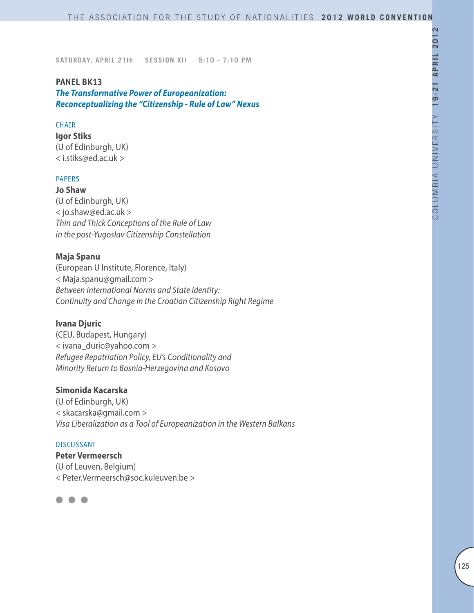### **PANEL BK13**

*The Transformative Power of Europeanization: Reconceptualizing the "Citizenship - Rule of Law" Nexus*

### **CHAIR**

**Igor Stiks** (U of Edinburgh, UK) < i.stiks@ed.ac.uk >

### PAPERS

**Jo Shaw** (U of Edinburgh, UK) < jo.shaw@ed.ac.uk > *Thin and Thick Conceptions of the Rule of Law in the post-Yugoslav Citizenship Constellation* 

# **Maja Spanu**

(European U Institute, Florence, Italy) < Maja.spanu@gmail.com > *Between International Norms and State Identity: Continuity and Change in the Croatian Citizenship Right Regime* 

# **Ivana Djuric**

(CEU, Budapest, Hungary) < ivana\_duric@yahoo.com > *Refugee Repatriation Policy, EU's Conditionality and Minority Return to Bosnia-Herzegovina and Kosovo*

# **Simonida Kacarska**

(U of Edinburgh, UK) < skacarska@gmail.com > *Visa Liberalization as a Tool of Europeanization in the Western Balkans* 

#### DISCUSSANT

**Peter Vermeersch** (U of Leuven, Belgium) < Peter.Vermeersch@soc.kuleuven.be >

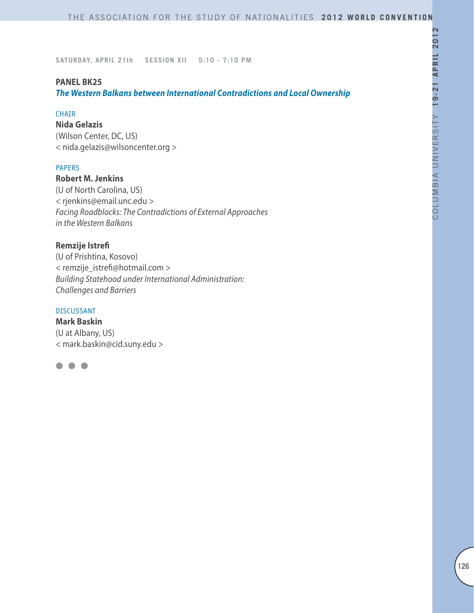# **PANEL BK25**

*The Western Balkans between International Contradictions and Local Ownership*

# CHAIR

**Nida Gelazis** (Wilson Center, DC, US) < nida.gelazis@wilsoncenter.org >

### PAPERS

**Robert M. Jenkins** (U of North Carolina, US) < rjenkins@email.unc.edu > *Facing Roadblocks: The Contradictions of External Approaches in the Western Balkans*

# **Remzije Istrefi**

(U of Prishtina, Kosovo) < remzije\_istrefi@hotmail.com > *Building Statehood under International Administration: Challenges and Barriers*

### DISCUSSANT

**Mark Baskin** (U at Albany, US) < mark.baskin@cid.suny.edu >

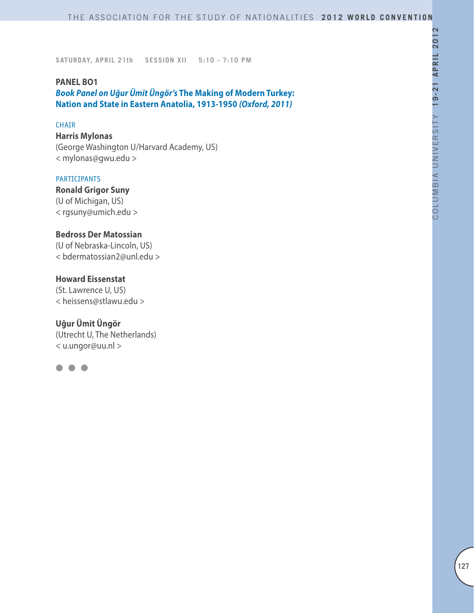### **PANEL BO1**

*Book Panel on Uğur Ümit Üngör's* **The Making of Modern Turkey: Nation and State in Eastern Anatolia, 1913-1950** *(Oxford, 2011)*

### **CHAIR**

**Harris Mylonas** (George Washington U/Harvard Academy, US) < mylonas@gwu.edu >

# PARTICIPANTS

**Ronald Grigor Suny** (U of Michigan, US) < rgsuny@umich.edu >

# **Bedross Der Matossian**

(U of Nebraska-Lincoln, US) < bdermatossian2@unl.edu >

### **Howard Eissenstat**

(St. Lawrence U, US) < heissens@stlawu.edu >

# **Uğur Ümit Üngör**

(Utrecht U, The Netherlands) < u.ungor@uu.nl >

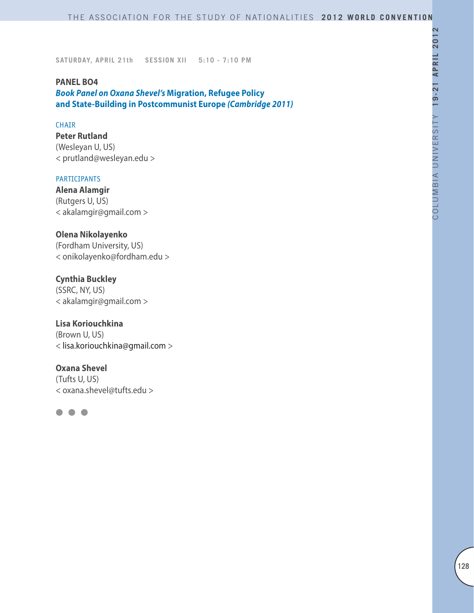### **PANEL BO4**

*Book Panel on Oxana Shevel's* **Migration, Refugee Policy and State-Building in Postcommunist Europe** *(Cambridge 2011)*

### **CHAIR**

**Peter Rutland** (Wesleyan U, US) < prutland@wesleyan.edu >

# PARTICIPANTS

**Alena Alamgir** (Rutgers U, US) < akalamgir@gmail.com >

# **Olena Nikolayenko**

(Fordham University, US) < onikolayenko@fordham.edu >

# **Cynthia Buckley**

(SSRC, NY, US) < akalamgir@gmail.com >

# **Lisa Koriouchkina**

(Brown U, US) < lisa.koriouchkina@gmail.com >

### **Oxana Shevel**

(Tufts U, US) < oxana.shevel@tufts.edu >

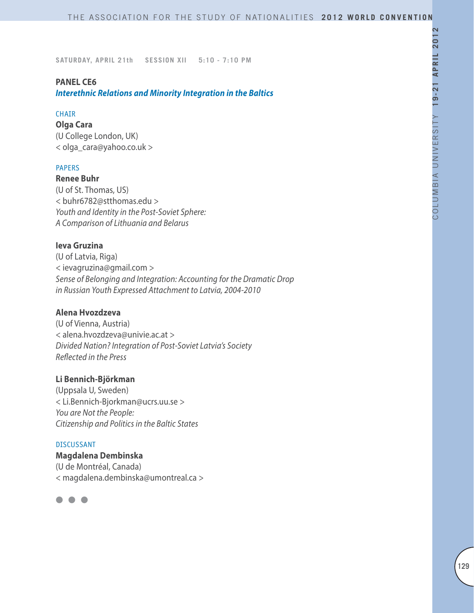# **PANEL CE6**

*Interethnic Relations and Minority Integration in the Baltics*

# CHAIR

**Olga Cara** (U College London, UK) < olga\_cara@yahoo.co.uk >

### PAPERS

**Renee Buhr**  (U of St. Thomas, US) < buhr6782@stthomas.edu > *Youth and Identity in the Post-Soviet Sphere: A Comparison of Lithuania and Belarus*

# **Ieva Gruzina**

(U of Latvia, Riga) < ievagruzina@gmail.com > *Sense of Belonging and Integration: Accounting for the Dramatic Drop in Russian Youth Expressed Attachment to Latvia, 2004-2010*

# **Alena Hvozdzeva**

(U of Vienna, Austria) < alena.hvozdzeva@univie.ac.at > *Divided Nation? Integration of Post-Soviet Latvia's Society Reflected in the Press*

### **Li Bennich-Björkman**

(Uppsala U, Sweden) < Li.Bennich-Bjorkman@ucrs.uu.se > *You are Not the People: Citizenship and Politics in the Baltic States*

#### DISCUSSANT

**Magdalena Dembinska** (U de Montréal, Canada) < magdalena.dembinska@umontreal.ca >

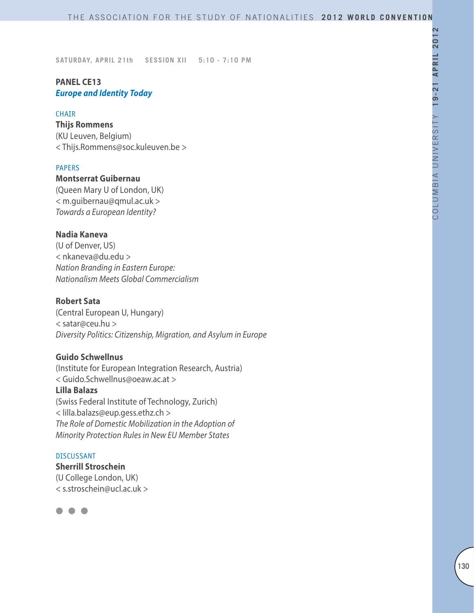# **PANEL CE13** *Europe and Identity Today*

### **CHAIR**

**Thijs Rommens** (KU Leuven, Belgium) < Thijs.Rommens@soc.kuleuven.be >

### PAPERS

**Montserrat Guibernau** (Queen Mary U of London, UK) < m.guibernau@qmul.ac.uk > *Towards a European Identity?*

# **Nadia Kaneva**

(U of Denver, US) < nkaneva@du.edu > *Nation Branding in Eastern Europe: Nationalism Meets Global Commercialism*

# **Robert Sata**

(Central European U, Hungary) < satar@ceu.hu > *Diversity Politics: Citizenship, Migration, and Asylum in Europe*

# **Guido Schwellnus**

(Institute for European Integration Research, Austria) < Guido.Schwellnus@oeaw.ac.at > **Lilla Balazs** (Swiss Federal Institute of Technology, Zurich) < lilla.balazs@eup.gess.ethz.ch > *The Role of Domestic Mobilization in the Adoption of Minority Protection Rules in New EU Member States*

# DISCUSSANT

**Sherrill Stroschein**  (U College London, UK) < s.stroschein@ucl.ac.uk >

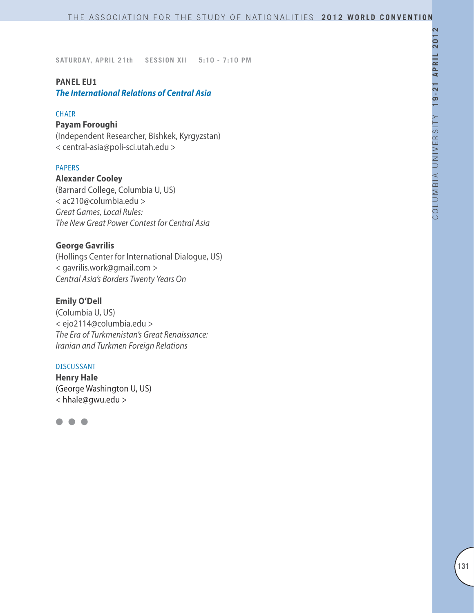# **PANEL EU1**

*The International Relations of Central Asia*

### CHAIR

# **Payam Foroughi**

(Independent Researcher, Bishkek, Kyrgyzstan) < central-asia@poli-sci.utah.edu >

### **PAPERS**

**Alexander Cooley** (Barnard College, Columbia U, US) < ac210@columbia.edu > *Great Games, Local Rules: The New Great Power Contest for Central Asia*

# **George Gavrilis**

(Hollings Center for International Dialogue, US) < gavrilis.work@gmail.com > *Central Asia's Borders Twenty Years On*

# **Emily O'Dell**

(Columbia U, US) < ejo2114@columbia.edu > *The Era of Turkmenistan's Great Renaissance: Iranian and Turkmen Foreign Relations*

### DISCUSSANT

**Henry Hale** (George Washington U, US) < hhale@gwu.edu >

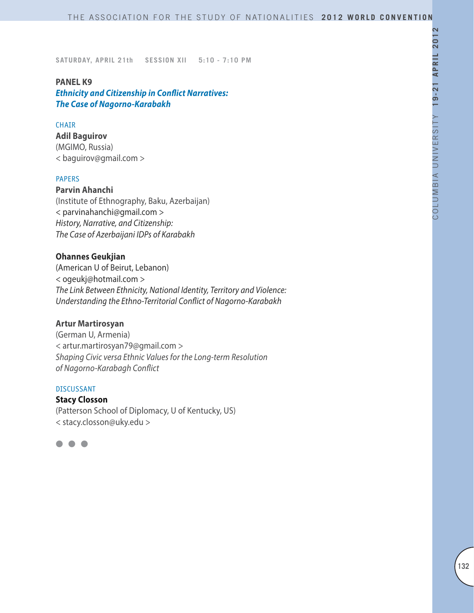### **PANEL K9**

*Ethnicity and Citizenship in Conflict Narratives: The Case of Nagorno-Karabakh*

### **CHAIR**

**Adil Baguirov** (MGIMO, Russia) < baguirov@gmail.com >

### PAPERS

**Parvin Ahanchi** (Institute of Ethnography, Baku, Azerbaijan) < parvinahanchi@gmail.com > *History, Narrative, and Citizenship: The Case of Azerbaijani IDPs of Karabakh*

# **Ohannes Geukjian**

(American U of Beirut, Lebanon) < ogeukj@hotmail.com > *The Link Between Ethnicity, National Identity, Territory and Violence: Understanding the Ethno-Territorial Conflict of Nagorno-Karabakh*

# **Artur Martirosyan**

(German U, Armenia) < artur.martirosyan79@gmail.com > *Shaping Civic versa Ethnic Values for the Long-term Resolution of Nagorno-Karabagh Conflict*

### DISCUSSANT

**Stacy Closson** (Patterson School of Diplomacy, U of Kentucky, US) < stacy.closson@uky.edu >

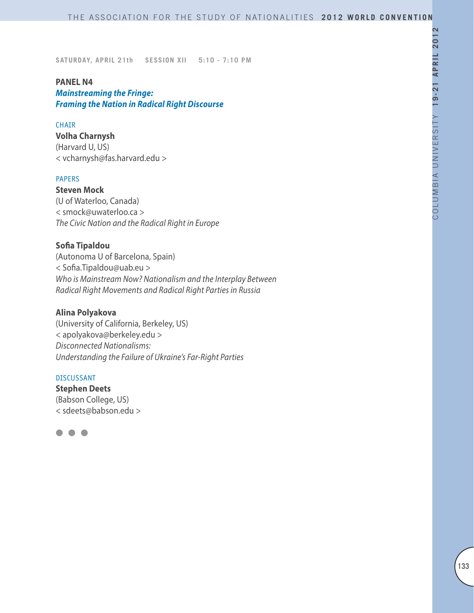# **PANEL N4**

*Mainstreaming the Fringe: Framing the Nation in Radical Right Discourse* 

#### **CHAIR**

**Volha Charnysh** (Harvard U, US) < vcharnysh@fas.harvard.edu >

# PAPERS

**Steven Mock** (U of Waterloo, Canada) < smock@uwaterloo.ca > *The Civic Nation and the Radical Right in Europe*

#### **Sofia Tipaldou**

(Autonoma U of Barcelona, Spain) < Sofia.Tipaldou@uab.eu > *Who is Mainstream Now? Nationalism and the Interplay Between Radical Right Movements and Radical Right Parties in Russia*

#### **Alina Polyakova**

(University of California, Berkeley, US) < apolyakova@berkeley.edu > *Disconnected Nationalisms: Understanding the Failure of Ukraine's Far-Right Parties*

#### DISCUSSANT

**Stephen Deets** (Babson College, US) < sdeets@babson.edu >

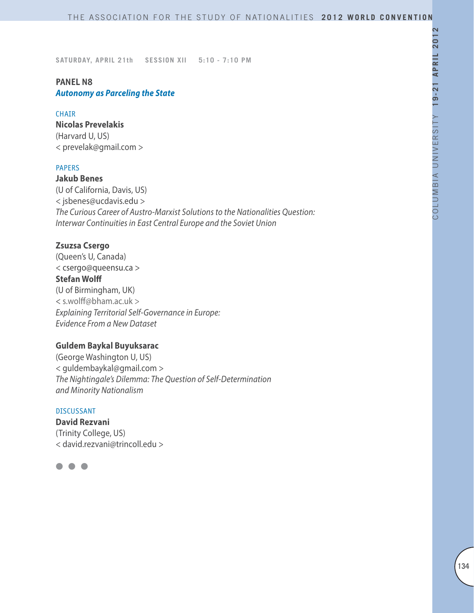# **PANEL N8** *Autonomy as Parceling the State*

### CHAIR

**Nicolas Prevelakis** (Harvard U, US) < prevelak@gmail.com >

### **PAPERS**

**Jakub Benes**

(U of California, Davis, US) < jsbenes@ucdavis.edu > *The Curious Career of Austro-Marxist Solutions to the Nationalities Question: Interwar Continuities in East Central Europe and the Soviet Union*

# **Zsuzsa Csergo**

(Queen's U, Canada) < csergo@queensu.ca > **Stefan Wolff** (U of Birmingham, UK) < s.wolff@bham.ac.uk > *Explaining Territorial Self-Governance in Europe: Evidence From a New Dataset*

# **Guldem Baykal Buyuksarac**

(George Washington U, US) < guldembaykal@gmail.com > *The Nightingale's Dilemma: The Question of Self-Determination and Minority Nationalism*

### DISCUSSANT

**David Rezvani** (Trinity College, US) < david.rezvani@trincoll.edu >

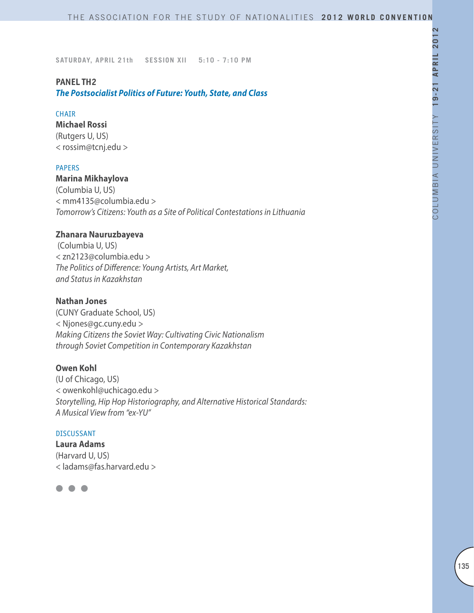# **PANEL TH2**

*The Postsocialist Politics of Future: Youth, State, and Class* 

### **CHAIR**

**Michael Rossi**  (Rutgers U, US) < rossim@tcnj.edu >

### PAPERS

**Marina Mikhaylova** (Columbia U, US) < mm4135@columbia.edu > *Tomorrow's Citizens: Youth as a Site of Political Contestations in Lithuania*

# **Zhanara Nauruzbayeva**

 (Columbia U, US) < zn2123@columbia.edu > *The Politics of Difference: Young Artists, Art Market, and Status in Kazakhstan*

### **Nathan Jones**

(CUNY Graduate School, US) < Njones@gc.cuny.edu > *Making Citizens the Soviet Way: Cultivating Civic Nationalism through Soviet Competition in Contemporary Kazakhstan*

### **Owen Kohl**

(U of Chicago, US) < owenkohl@uchicago.edu > *Storytelling, Hip Hop Historiography, and Alternative Historical Standards: A Musical View from "ex-YU"*

### DISCUSSANT

**Laura Adams** (Harvard U, US) < ladams@fas.harvard.edu >

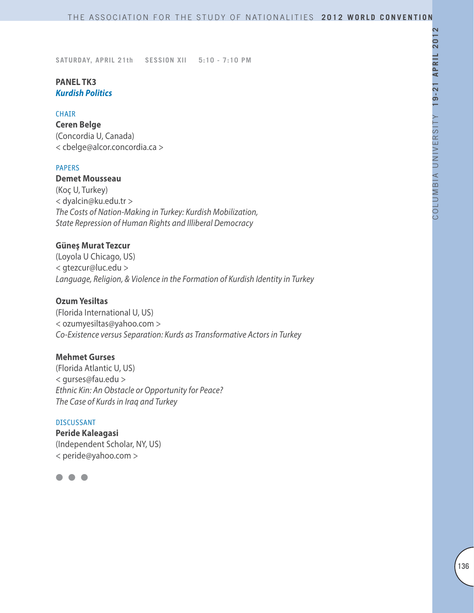# **PANEL TK3** *Kurdish Politics*

### CHAIR

**Ceren Belge** (Concordia U, Canada) < cbelge@alcor.concordia.ca >

### PAPERS

**Demet Mousseau** (Koç U, Turkey) < dyalcin@ku.edu.tr > *The Costs of Nation-Making in Turkey: Kurdish Mobilization, State Repression of Human Rights and Illiberal Democracy* 

# **Güneş Murat Tezcur**

(Loyola U Chicago, US) < gtezcur@luc.edu > *Language, Religion, & Violence in the Formation of Kurdish Identity in Turkey*

### **Ozum Yesiltas**

(Florida International U, US) < ozumyesiltas@yahoo.com > *Co-Existence versus Separation: Kurds as Transformative Actors in Turkey*

# **Mehmet Gurses**

(Florida Atlantic U, US) < gurses@fau.edu > *Ethnic Kin: An Obstacle or Opportunity for Peace? The Case of Kurds in Iraq and Turkey*

### DISCUSSANT

**Peride Kaleagasi** (Independent Scholar, NY, US) < peride@yahoo.com >

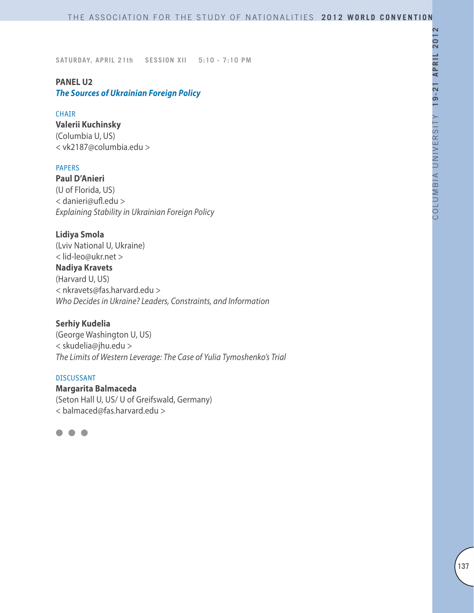# **PANEL U2**

*The Sources of Ukrainian Foreign Policy*

### CHAIR

**Valerii Kuchinsky**

(Columbia U, US) < vk2187@columbia.edu >

### PAPERS

**Paul D'Anieri** (U of Florida, US) < danieri@ufl.edu > *Explaining Stability in Ukrainian Foreign Policy*

# **Lidiya Smola**

(Lviv National U, Ukraine) < lid-leo@ukr.net > **Nadiya Kravets** (Harvard U, US) < nkravets@fas.harvard.edu > *Who Decides in Ukraine? Leaders, Constraints, and Information*

# **Serhiy Kudelia**

(George Washington U, US) < skudelia@jhu.edu > *The Limits of Western Leverage: The Case of Yulia Tymoshenko's Trial*

#### DISCUSSANT

**Margarita Balmaceda** (Seton Hall U, US/ U of Greifswald, Germany) < balmaced@fas.harvard.edu >